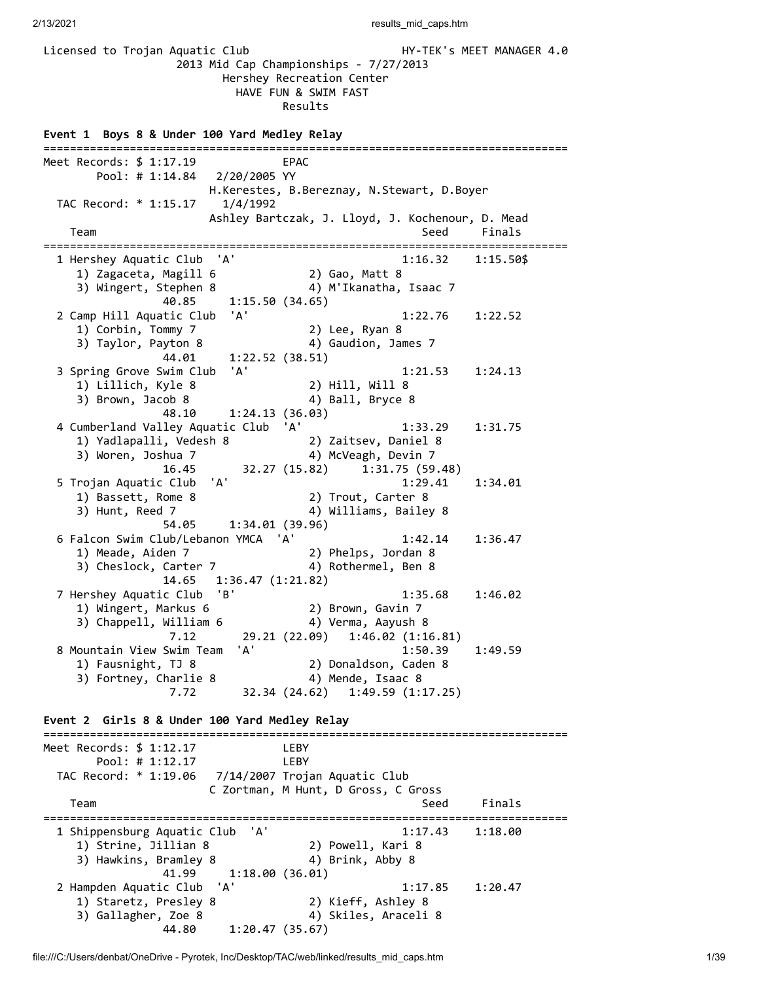Licensed to Trojan Aquatic Club **HY-TEK's MEET MANAGER 4.0**  2013 Mid Cap Championships - 7/27/2013 Hershey Recreation Center HAVE FUN & SWIM FAST Results **Event 1 Boys 8 & Under 100 Yard Medley Relay** =============================================================================== Meet Records: \$ 1:17.19 EPAC Pool: # 1:14.84 2/20/2005 YY H.Kerestes, B.Bereznay, N.Stewart, D.Boyer TAC Record: \* 1:15.17 1/4/1992 Ashley Bartczak, J. Lloyd, J. Kochenour, D. Mead Team Seed Finals =============================================================================== 1 Hershey Aquatic Club 'A' 1:16.32 1:15.50\$ 1) Zagaceta, Magill 6 2) Gao, Matt 8 3) Wingert, Stephen 8 4) M'Ikanatha, Isaac 7 40.85 1:15.50 (34.65) 2 Camp Hill Aquatic Club 'A' 1:22.76 1:22.52 1) Corbin, Tommy 7 2) Lee, Ryan 8 3) Taylor, Payton 8 4) Gaudion, James 7 44.01 1:22.52 (38.51) 3 Spring Grove Swim Club 'A' 1:21.53 1:24.13<br>1) Lillich, Kyle 8 2) Hill, Will 8<br>3) Brown, Jacob 8 4) Ball, Bryce 8 1) Lillich, Kyle 8 2) Hill, Will 8 3) Brown, Jacob 8 4) Ball, Bryce 8 48.10 1:24.13 (36.03) 4 Cumberland Valley Aquatic Club 'A' 1:33.29 1:31.75 1) Yadlapalli, Vedesh 8 2) Zaitsev, Daniel 8 3) Woren, Joshua 7 4) McVeagh, Devin 7 16.45 32.27 (15.82) 1:31.75 (59.48) 5 Trojan Aquatic Club 'A' 1:29.41 1:34.01 1) Bassett, Rome 8 2) Trout, Carter 8 3) Hunt, Reed 7 4) Williams, Bailey 8  $54.05$  1:34.01 (39.96) 6 Falcon Swim Club/Lebanon YMCA 'A' 1:42.14 1:36.47 1) Meade, Aiden 7 2) Phelps, Jordan 8 3) Cheslock, Carter 7 4) Rothermel, Ben 8 14.65 1:36.47 (1:21.82) 7 Hershey Aquatic Club 'B' 1:35.68 1:46.02 1) Wingert, Markus 6 2) Brown, Gavin 7 3) Chappell, William 6 4) Verma, Aayush 8 7.12 29.21 (22.09) 1:46.02 (1:16.81) 8 Mountain View Swim Team 'A' 1:50.39 1:49.59 1) Fausnight, TJ 8 2) Donaldson, Caden 8 3) Fortney, Charlie 8  $\hskip1cm$  4) Mende, Isaac 8 7.72 32.34 (24.62) 1:49.59 (1:17.25) **Event 2 Girls 8 & Under 100 Yard Medley Relay** =============================================================================== Meet Records: \$ 1:12.17 LEBY Pool: # 1:12.17 LEBY TAC Record: \* 1:19.06 7/14/2007 Trojan Aquatic Club C Zortman, M Hunt, D Gross, C Gross Team Seed Finals =============================================================================== 1 Shippensburg Aquatic Club 'A' 1:17.43 1:18.00 1) Strine, Jillian 8 2) Powell, Kari 8 3) Hawkins, Bramley 8 4) Brink, Abby 8 41.99 1:18.00 (36.01) 2 Hampden Aquatic Club 'A' 1:17.85 1:20.47 1) Staretz, Presley 8 2) Kieff, Ashley 8 3) Gallagher, Zoe 8 4) Skiles, Araceli 8 44.80 1:20.47 (35.67)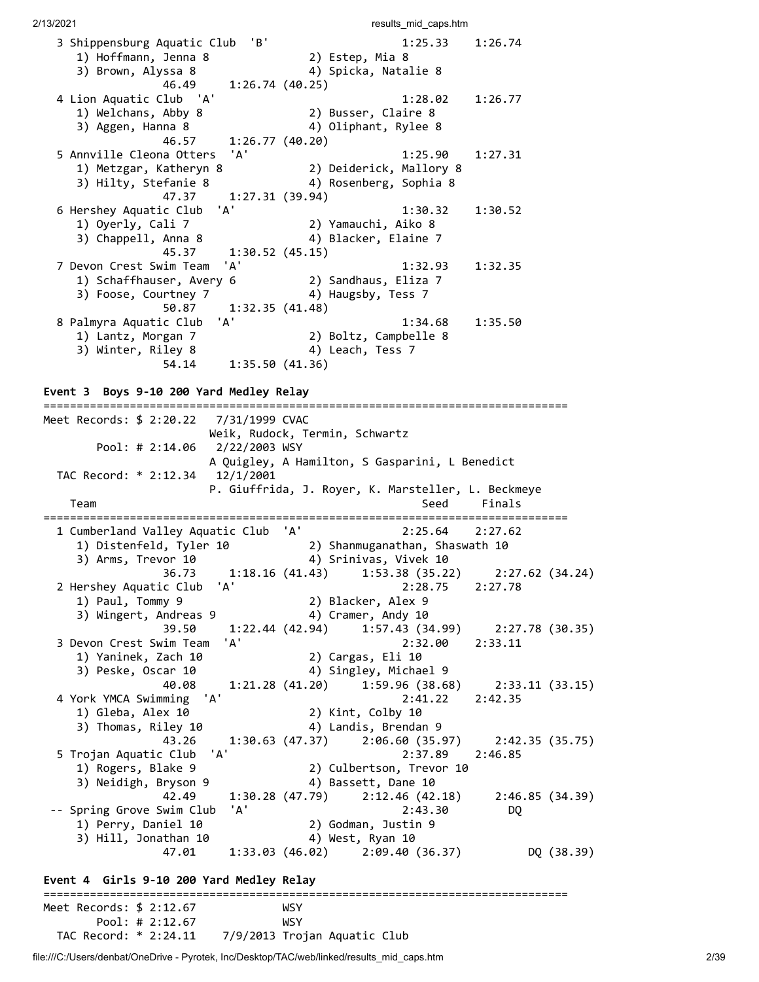| 3 Shippensburg Aquatic Club 'B'            | 1:25.33                                            | 1:26.74                                             |
|--------------------------------------------|----------------------------------------------------|-----------------------------------------------------|
| 1) Hoffmann, Jenna 8                       | 2) Estep, Mia 8                                    |                                                     |
| 3) Brown, Alyssa 8                         | 4) Spicka, Natalie 8                               |                                                     |
| 46.49                                      | 1:26.74(40.25)                                     |                                                     |
| 4 Lion Aquatic Club 'A'                    | 1:28.02                                            | 1:26.77                                             |
| 1) Welchans, Abby 8                        | 2) Busser, Claire 8                                |                                                     |
| 3) Aggen, Hanna 8                          | 4) Oliphant, Rylee 8                               |                                                     |
| 46.57                                      |                                                    |                                                     |
|                                            | 1:26.77(40.20)                                     |                                                     |
| 'A'<br>5 Annville Cleona Otters            | 1:25.90                                            | 1:27.31                                             |
| 1) Metzgar, Katheryn 8                     | 2) Deiderick, Mallory 8                            |                                                     |
| 3) Hilty, Stefanie 8                       | 4) Rosenberg, Sophia 8                             |                                                     |
| 47.37                                      | 1:27.31(39.94)                                     |                                                     |
| 'A'<br>6 Hershey Aquatic Club              | 1:30.32                                            | 1:30.52                                             |
| 1) Oyerly, Cali 7                          | 2) Yamauchi, Aiko 8                                |                                                     |
| 3) Chappell, Anna 8                        | 4) Blacker, Elaine 7                               |                                                     |
| 45.37                                      | 1:30.52(45.15)                                     |                                                     |
| 'A'<br>7 Devon Crest Swim Team             | 1:32.93                                            | 1:32.35                                             |
|                                            | 2) Sandhaus, Eliza 7                               |                                                     |
| 1) Schaffhauser, Avery 6                   |                                                    |                                                     |
| 3) Foose, Courtney 7                       | 4) Haugsby, Tess 7                                 |                                                     |
| 50.87                                      | 1:32.35(41.48)                                     |                                                     |
| 'A'<br>8 Palmyra Aquatic Club              | 1:34.68                                            | 1:35.50                                             |
| 1) Lantz, Morgan 7                         | 2) Boltz, Campbelle 8                              |                                                     |
| 3) Winter, Riley 8                         | 4) Leach, Tess 7                                   |                                                     |
| 54.14                                      | 1:35.50(41.36)                                     |                                                     |
|                                            |                                                    |                                                     |
| Event 3 Boys 9-10 200 Yard Medley Relay    |                                                    |                                                     |
|                                            |                                                    |                                                     |
|                                            |                                                    |                                                     |
|                                            |                                                    |                                                     |
|                                            | Weik, Rudock, Termin, Schwartz                     |                                                     |
| Pool: # $2:14.06$<br>2/22/2003 WSY         |                                                    |                                                     |
|                                            | A Quigley, A Hamilton, S Gasparini, L Benedict     |                                                     |
| TAC Record: * 2:12.34<br>12/1/2001         |                                                    |                                                     |
|                                            |                                                    |                                                     |
|                                            | P. Giuffrida, J. Royer, K. Marsteller, L. Beckmeye |                                                     |
| Team                                       | Seed                                               | Finals                                              |
|                                            |                                                    |                                                     |
|                                            | 'A'<br>2:25.64                                     | 2:27.62                                             |
| 1 Cumberland Valley Aquatic Club           |                                                    |                                                     |
| 1) Distenfeld, Tyler 10                    | 2) Shanmuganathan, Shaswath 10                     |                                                     |
| 3) Arms, Trevor 10                         | 4) Srinivas, Vivek 10                              |                                                     |
| 36.73                                      | $1:18.16(41.43)$ $1:53.38(35.22)$ $2:27.62(34.24)$ |                                                     |
| 2 Hershey Aquatic Club 'A'                 | 2:28.75 2:27.78                                    |                                                     |
| 1) Paul, Tommy 9                           | 2) Blacker, Alex 9                                 |                                                     |
| 3) Wingert, Andreas 9                      | 4) Cramer, Andy 10                                 |                                                     |
| 39.50                                      | $1:22.44$ (42.94) $1:57.43$ (34.99)                | 2:27.78(30.35)                                      |
| 3 Devon Crest Swim Team<br>'A'             | 2:32.00                                            | 2:33.11                                             |
| 1) Yaninek, Zach 10                        | 2) Cargas, Eli 10                                  |                                                     |
| 3) Peske, Oscar 10                         |                                                    |                                                     |
| 40.08                                      | 4) Singley, Michael 9                              |                                                     |
|                                            | 1:21.28 (41.20)<br>1:59.96(38.68)                  |                                                     |
| 'A'<br>4 York YMCA Swimming                | 2:41.22                                            | 2:42.35                                             |
| 1) Gleba, Alex 10                          | 2) Kint, Colby 10                                  |                                                     |
| 3) Thomas, Riley 10                        | 4) Landis, Brendan 9                               |                                                     |
| 43.26                                      | $1:30.63$ (47.37) $2:06.60$ (35.97)                |                                                     |
| 'A'<br>5 Trojan Aquatic Club               | 2:37.89                                            | 2:46.85                                             |
| 1) Rogers, Blake 9                         | 2) Culbertson, Trevor 10                           |                                                     |
| 3) Neidigh, Bryson 9                       | 4) Bassett, Dane 10                                |                                                     |
| 42.49                                      | $1:30.28$ (47.79) $2:12.46$ (42.18)                |                                                     |
| 'A'<br>-- Spring Grove Swim Club           | 2:43.30                                            | DQ                                                  |
|                                            |                                                    |                                                     |
| 1) Perry, Daniel 10                        | 2) Godman, Justin 9                                |                                                     |
| 3) Hill, Jonathan 10                       | 4) West, Ryan 10                                   | 2:33.11 (33.15)<br>2:42.35(35.75)<br>2:46.85(34.39) |
| 47.01                                      | $1:33.03(46.02)$ $2:09.40(36.37)$                  |                                                     |
|                                            |                                                    |                                                     |
| Event 4 Girls 9-10 200 Yard Medley Relay   |                                                    | DQ (38.39)                                          |
|                                            |                                                    |                                                     |
| Meet Records: $$2:12.67$                   | WSY                                                |                                                     |
| Pool: # $2:12.67$<br>TAC Record: * 2:24.11 | <b>WSY</b><br>7/9/2013 Trojan Aquatic Club         |                                                     |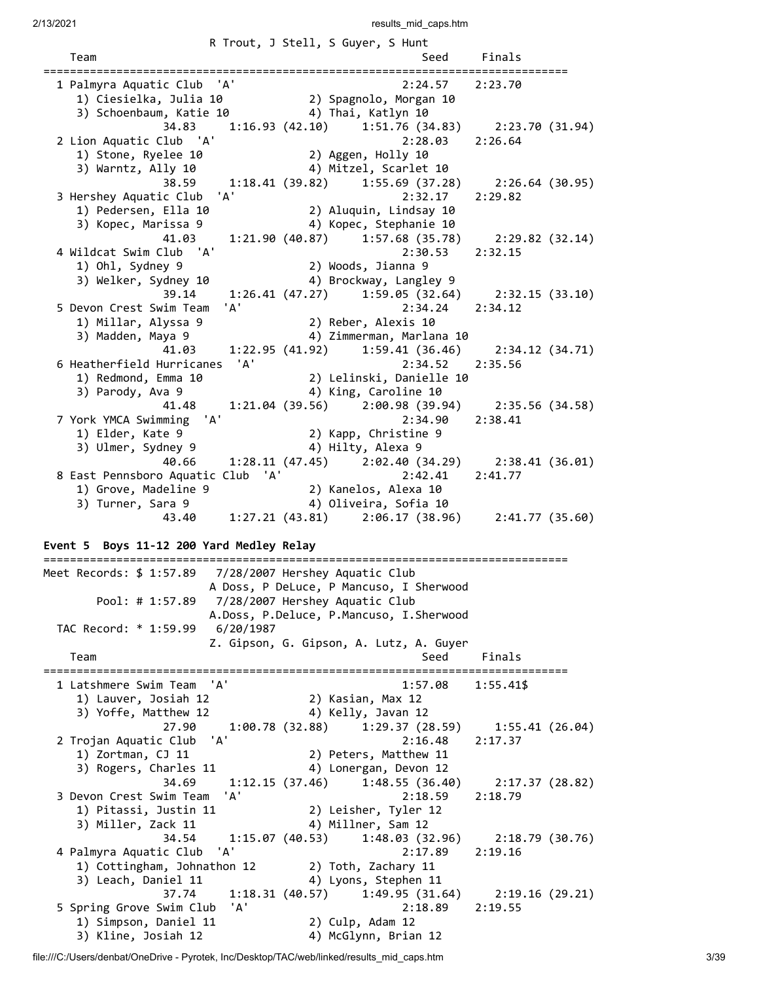|                                             | R Trout, J Stell, S Guyer, S Hunt                                            |                 |  |
|---------------------------------------------|------------------------------------------------------------------------------|-----------------|--|
| Team                                        | Seed Finals                                                                  |                 |  |
| 1 Palmyra Aquatic Club 'A'                  | 2:24.57                                                                      | 2:23.70         |  |
| 1) Ciesielka, Julia 10                      | 2) Spagnolo, Morgan 10                                                       |                 |  |
| 3) Schoenbaum, Katie 10 (4) Thai, Katlyn 10 |                                                                              |                 |  |
|                                             | 34.83 1:16.93 (42.10) 1:51.76 (34.83) 2:23.70 (31.94)                        |                 |  |
| 2 Lion Aquatic Club 'A'                     | 2:28.03 2:26.64                                                              |                 |  |
| 1) Stone, Ryelee 10                         | 2) Aggen, Holly <sub>10</sub>                                                |                 |  |
| 3) Warntz, Ally 10                          | 4) Mitzel, Scarlet 10                                                        |                 |  |
|                                             | 38.59 1:18.41 (39.82) 1:55.69 (37.28) 2:26.64 (30.95)                        |                 |  |
| 3 Hershey Aquatic Club 'A'                  | 2:32.17                                                                      | 2:29.82         |  |
| 1) Pedersen, Ella 10                        | 2) Aluquin, Lindsay 10                                                       |                 |  |
| 3) Kopec, Marissa 9                         | 4) Kopec, Stephanie 10                                                       |                 |  |
| 41.03                                       |                                                                              |                 |  |
| 4 Wildcat Swim Club 'A'                     | $1:21.90(40.87)$ $1:57.68(35.78)$<br>2:30.53                                 | 2:29.82 (32.14) |  |
|                                             | 2) Woods, Jianna 9                                                           | 2:32.15         |  |
| 1) Ohl, Sydney 9                            |                                                                              |                 |  |
| 3) Welker, Sydney 10                        | 4) Brockway, Langley 9                                                       |                 |  |
| 39.14<br>'A'                                | $1:26.41$ (47.27) $1:59.05$ (32.64) $2:32.15$ (33.10)                        |                 |  |
| 5 Devon Crest Swim Team                     | $2:34.24$ $2:34.12$                                                          |                 |  |
| 1) Millar, Alyssa 9                         | 2) Reber, Alexis 10                                                          |                 |  |
| 3) Madden, Maya 9                           | 4) Zimmerman, Marlana 10                                                     |                 |  |
|                                             | 41.03 1:22.95 (41.92) 1:59.41 (36.46) 2:34.12 (34.71)                        |                 |  |
| 6 Heatherfield Hurricanes 'A'               | 2:34.52 2:35.56                                                              |                 |  |
| 1) Redmond, Emma 10                         | 2) Lelinski, Danielle 10<br>2) Lelinski, Danielle 10<br>4) King, Caroline 10 |                 |  |
| 3) Parody, Ava 9                            | 4) King, Caroline 10                                                         |                 |  |
| 41.48                                       | $1:21.04$ (39.56) $2:00.98$ (39.94) $2:35.56$ (34.58)                        |                 |  |
| 7 York YMCA Swimming 'A'                    | 2:34.90                                                                      | 2:38.41         |  |
| 1) Elder, Kate 9                            | 2) Kapp, Christine 9                                                         |                 |  |
| 3) Ulmer, Sydney 9                          | 4) Hilty, Alexa 9                                                            |                 |  |
| 40.66                                       | 1:28.11 (47.45) 2:02.40 (34.29) 2:38.41 (36.01)                              |                 |  |
| 8 East Pennsboro Aquatic Club 'A'           | 2:42.41                                                                      | 2:41.77         |  |
| 1) Grove, Madeline 9                        | 2) Kanelos, Alexa 10                                                         |                 |  |
| 3) Turner, Sara 9                           | 4) Oliveira, Sofia 10                                                        |                 |  |
| 43.40                                       | $1:27.21(43.81)$ $2:06.17(38.96)$ $2:41.77(35.60)$                           |                 |  |

### **Event 5 Boys 11-12 200 Yard Medley Relay**

=============================================================================== Meet Records: \$ 1:57.89 7/28/2007 Hershey Aquatic Club A Doss, P DeLuce, P Mancuso, I Sherwood Pool: # 1:57.89 7/28/2007 Hershey Aquatic Club A.Doss, P.Deluce, P.Mancuso, I.Sherwood TAC Record: \* 1:59.99 6/20/1987 Z. Gipson, G. Gipson, A. Lutz, A. Guyer Team Seed Finals =============================================================================== 1 Latshmere Swim Team 'A' 1:57.08 1:55.41\$ 1) Lauver, Josiah 12 2) Kasian, Max 12 3) Yoffe, Matthew 12 4) Kelly, Javan 12 27.90 1:00.78 (32.88) 1:29.37 (28.59) 1:55.41 (26.04) 2 Trojan Aquatic Club 'A' 2:16.48 2:17.37 1) Zortman, CJ 11 2) Peters, Matthew 11 3) Rogers, Charles 11 4) Lonergan, Devon 12 34.69 1:12.15 (37.46) 1:48.55 (36.40) 2:17.37 (28.82) 3 Devon Crest Swim Team 'A' 2:18.59 2:18.79 1) Pitassi, Justin 11 2) Leisher, Tyler 12 3) Miller, Zack 11 4) Millner, Sam 12 34.54 1:15.07 (40.53) 1:48.03 (32.96) 2:18.79 (30.76) 4 Palmyra Aquatic Club 'A' 2:17.89 2:19.16 1) Cottingham, Johnathon 12 2) Toth, Zachary 11 3) Leach, Daniel 11 4) Lyons, Stephen 11 37.74 1:18.31 (40.57) 1:49.95 (31.64) 2:19.16 (29.21) 5 Spring Grove Swim Club 'A' 2:18.89 2:19.55 1) Simpson, Daniel 11 2) Culp, Adam 12 3) Kline, Josiah 12 (4) McGlynn, Brian 12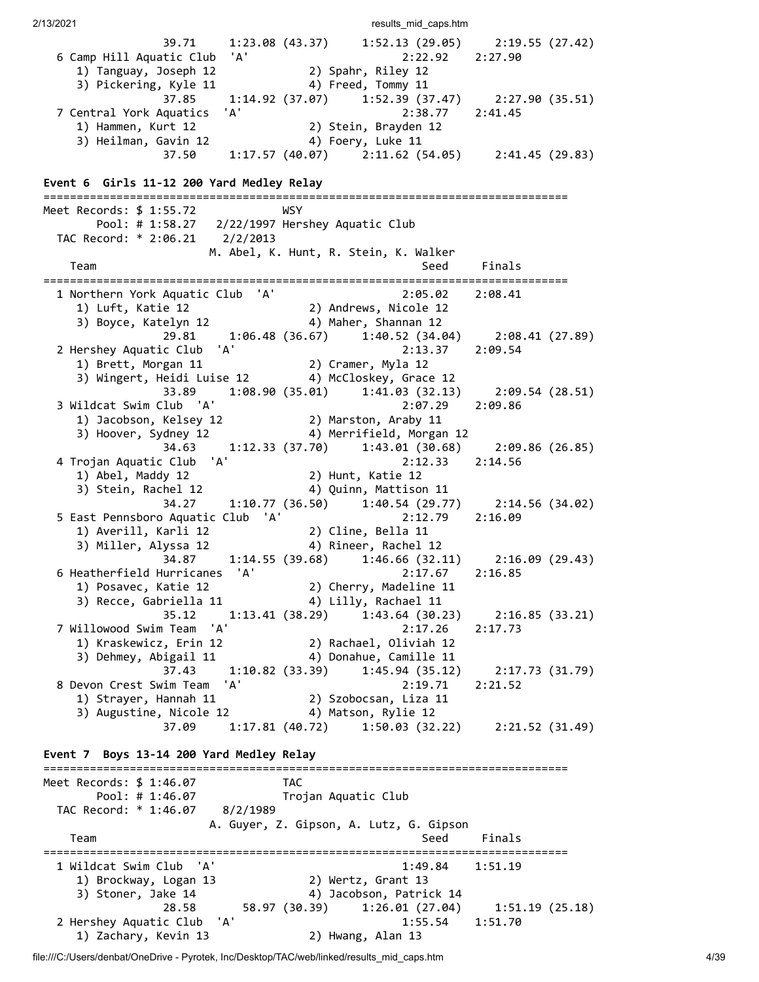2/13/2021 **results** mid caps.htm 39.71 1:23.08 (43.37) 1:52.13 (29.05) 2:19.55 (27.42) 6 Camp Hill Aquatic Club 'A' 2:22.92 2:27.90 1) Tanguay, Joseph 12 2) Spahr, Riley 12 3) Pickering, Kyle 11 4) Freed, Tommy 11 37.85 1:14.92 (37.07) 1:52.39 (37.47) 2:27.90 (35.51) 7 Central York Aquatics 'A' 2:38.77 2:41.45 1) Hammen, Kurt 12 2) Stein, Brayden 12 3) Heilman, Gavin 12 4) Foery, Luke 11 37.50 1:17.57 (40.07) 2:11.62 (54.05) 2:41.45 (29.83) **Event 6 Girls 11-12 200 Yard Medley Relay** =============================================================================== Meet Records: \$ 1:55.72 WSY Pool: # 1:58.27 2/22/1997 Hershey Aquatic Club TAC Record: \* 2:06.21 2/2/2013 M. Abel, K. Hunt, R. Stein, K. Walker Team Seed Finals =============================================================================== 1 Northern York Aquatic Club 'A' 2:05.02 2:08.41 1) Luft, Katie 12 2) Andrews, Nicole 12 3) Boyce, Katelyn 12 4) Maher, Shannan 12 29.81 1:06.48 (36.67) 1:40.52 (34.04) 2:08.41 (27.89) 2 Hershey Aquatic Club 'A' 2:13.37 2:09.54 1) Brett, Morgan 11 2) Cramer, Myla 12 3) Wingert, Heidi Luise 12 4) McCloskey, Grace 12 33.89 1:08.90 (35.01) 1:41.03 (32.13) 2:09.54 (28.51) 3 Wildcat Swim Club 'A' 2:07.29 2:09.86 1) Jacobson, Kelsey 12 2) Marston, Araby 11 3) Hoover, Sydney 12 4) Merrifield, Morgan 12 34.63 1:12.33 (37.70) 1:43.01 (30.68) 2:09.86 (26.85) 4 Trojan Aquatic Club 'A' 2:12.33 2:14.56 1) Abel, Maddy 12 2) Hunt, Katie 12 3) Stein, Rachel 12 4) Quinn, Mattison 11 34.27 1:10.77 (36.50) 1:40.54 (29.77) 2:14.56 (34.02) 5 East Pennsboro Aquatic Club 'A' 2:12.79 2:16.09 1) Averill, Karli 12 2) Cline, Bella 11 3) Miller, Alyssa 12 4) Rineer, Rachel 12 34.87 1:14.55 (39.68) 1:46.66 (32.11) 2:16.09 (29.43) 6 Heatherfield Hurricanes 'A' 2:17.67 2:16.85 1) Posavec, Katie 12 2) Cherry, Madeline 11 3) Recce, Gabriella 11 4) Lilly, Rachael 11 35.12 1:13.41 (38.29) 1:43.64 (30.23) 2:16.85 (33.21) 7 Willowood Swim Team 'A' 2:17.26 2:17.73 1) Kraskewicz, Erin 12 2) Rachael, Oliviah 12 3) Dehmey, Abigail 11 4) Donahue, Camille 11 37.43 1:10.82 (33.39) 1:45.94 (35.12) 2:17.73 (31.79) 8 Devon Crest Swim Team 'A' 2:19.71 2:21.52 1) Strayer, Hannah 11 2) Szobocsan, Liza 11 3) Augustine, Nicole 12 4) Matson, Rylie 12 37.09 1:17.81 (40.72) 1:50.03 (32.22) 2:21.52 (31.49) **Event 7 Boys 13-14 200 Yard Medley Relay** =============================================================================== Meet Records: \$ 1:46.07 TAC Pool: # 1:46.07 Trojan Aquatic Club TAC Record: \* 1:46.07 8/2/1989 A. Guyer, Z. Gipson, A. Lutz, G. Gipson Team Seed Finals =============================================================================== 1 Wildcat Swim Club 'A' 1:49.84 1:51.19 1) Brockway, Logan 13 2) Wertz, Grant 13 3) Stoner, Jake 14 4) Jacobson, Patrick 14 28.58 58.97 (30.39) 1:26.01 (27.04) 1:51.19 (25.18) 2 Hershey Aquatic Club 'A' 1:55.54 1:51.70 1) Zachary, Kevin 13 2) Hwang, Alan 13

file:///C:/Users/denbat/OneDrive - Pyrotek, Inc/Desktop/TAC/web/linked/results\_mid\_caps.htm 4/39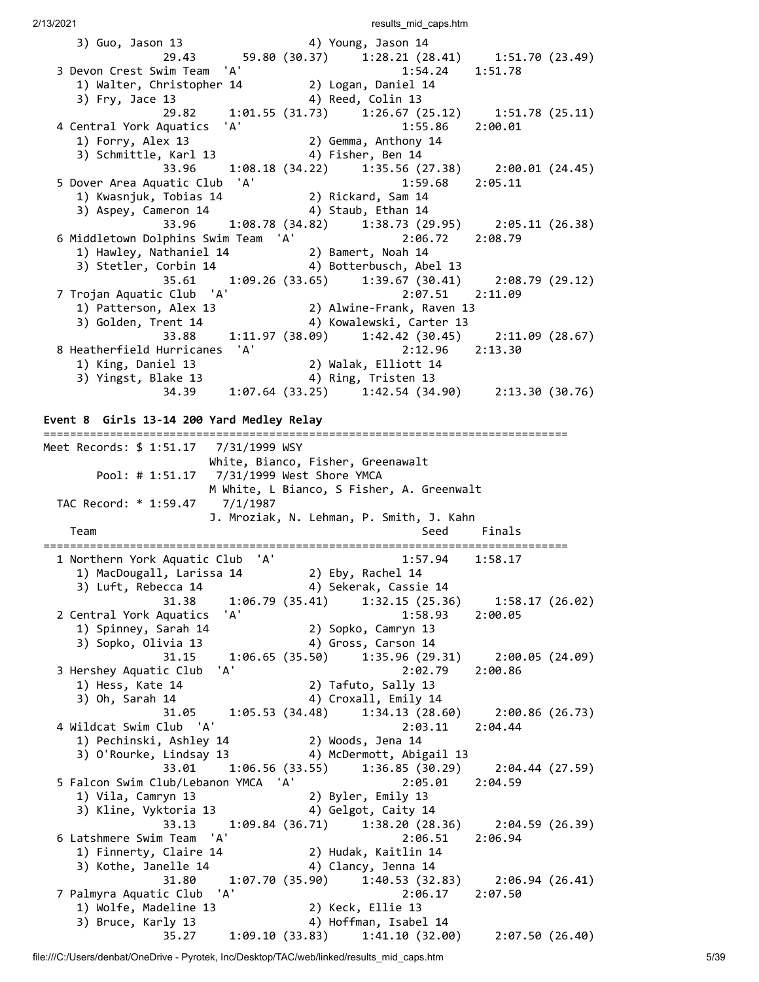| 2/13/2021                                                                                                             | results mid caps.htm                                                         |
|-----------------------------------------------------------------------------------------------------------------------|------------------------------------------------------------------------------|
| 3) Guo, Jason 13<br>29.43                                                                                             | 4) Young, Jason 14                                                           |
| 3 Devon Crest Swim Team 'A'<br>1.34.1 Example 14<br>1) Walter, Christopher 14 (2) Logan, Daniel 14<br>3) Fry, Jace 13 | 1:54.24<br>1:51.78<br>4) Reed, Colin 13                                      |
|                                                                                                                       | 29.82 1:01.55 (31.73) 1:26.67 (25.12) 1:51.78 (25.11)                        |
| 4 Central York Aquatics 'A'                                                                                           | 1:55.86 2:00.01                                                              |
| 1) Forry, Alex 13<br>3) Schmittle, Karl 13                                                                            | 2) Gemma, Anthony 14<br>4) Fisher, Ben 14                                    |
| 33.96                                                                                                                 | $1:08.18$ (34.22) $1:35.56$ (27.38) $2:00.01$ (24.45)                        |
| 5 Dover Area Aquatic Club 'A'<br>1) Kwasnjuk, Tobias 14                                                               | 1:59.68<br>2:05.11<br>2) Rickard, Sam 14                                     |
| 3) Aspey, Cameron 14                                                                                                  | 4) Staub, Ethan 14                                                           |
| 33.96                                                                                                                 | 1:08.78 (34.82) 1:38.73 (29.95) 2:05.11 (26.38)<br>2:06.72 2:08.79           |
| 6 Middletown Dolphins Swim Team 'A'<br>1) Hawley, Nathaniel 14                                                        | 2) Bamert, Noah 14                                                           |
| 3) Stetler, Corbin 14                                                                                                 | 4) Botterbusch, Abel 13                                                      |
| 35.61<br>7 Trojan Aquatic Club 'A'                                                                                    | $1:09.26(33.65)$ $1:39.67(30.41)$<br>2:08.79 (29.12)<br>2:07.51 2:11.09      |
| 1) Patterson, Alex 13                                                                                                 | : 2.07.51<br>Alwine-Frank, Raven 13 (2                                       |
| 3) Golden, Trent 14<br>33.88                                                                                          | 4) Kowalewski, Carter 13<br>$1:11.97(38.09)$ $1:42.42(30.45)$                |
| 8 Heatherfield Hurricanes 'A'                                                                                         | 2:11.09(28.67)<br>2:12.96 2:13.30                                            |
| 1) King, Daniel 13                                                                                                    | 2) Walak, Elliott 14                                                         |
| 3) Yingst, Blake 13<br>34.39                                                                                          | 4) Ring, Tristen 13<br>$1:07.64$ (33.25) $1:42.54$ (34.90) $2:13.30$ (30.76) |
|                                                                                                                       |                                                                              |
| Event 8 Girls 13-14 200 Yard Medley Relay                                                                             |                                                                              |
|                                                                                                                       |                                                                              |
|                                                                                                                       | White, Bianco, Fisher, Greenawalt                                            |
|                                                                                                                       | M White, L Bianco, S Fisher, A. Greenwalt                                    |
| TAC Record: * 1:59.47 7/1/1987                                                                                        |                                                                              |
| Team                                                                                                                  | J. Mroziak, N. Lehman, P. Smith, J. Kahn<br>Seed<br>Finals                   |
|                                                                                                                       |                                                                              |
| 'A'<br>1 Northern York Aquatic Club                                                                                   | 1:57.94<br>1:58.17                                                           |
| 1) MacDougall, Larissa 14<br>3) Luft, Rebecca 14                                                                      | 2) Eby, Rachel 14<br>4) Sekerak, Cassie 14                                   |
| 31.38                                                                                                                 | 1:06.79 (35.41)<br>1:32.15(25.36)<br>1:58.17(26.02)                          |
| 'A'<br>2 Central York Aquatics<br>1) Spinney, Sarah 14                                                                | 1:58.93<br>2:00.05<br>2) Sopko, Camryn 13                                    |
| 3) Sopko, Olivia 13                                                                                                   | 4) Gross, Carson 14                                                          |
| 31.15                                                                                                                 | $1:06.65(35.50)$ $1:35.96(29.31)$<br>2:00.05(24.09)                          |
| 'A'<br>3 Hershey Aquatic Club<br>1) Hess, Kate 14                                                                     | 2:02.79<br>2:00.86<br>2) Tafuto, Sally 13                                    |
| 3) Oh, Sarah 14                                                                                                       | 4) Croxall, Emily 14                                                         |
| 31.05                                                                                                                 | 1:05.53(34.48)<br>1:34.13(28.60)<br>2:00.86(26.73)                           |
| 4 Wildcat Swim Club 'A'<br>1) Pechinski, Ashley 14                                                                    | 2:03.11<br>2:04.44<br>2) Woods, Jena 14                                      |
|                                                                                                                       |                                                                              |

3) O'Rourke, Lindsay 13 (4) McDermott, Abigail 13 33.01 1:06.56 (33.55) 1:36.85 (30.29) 2:04.44 (27.59) 5 Falcon Swim Club/Lebanon YMCA 'A' 2:05.01 2:04.59 1) Vila, Camryn 13 2) Byler, Emily 13 3) Kline, Vyktoria 13 (4) Gelgot, Caity 14 33.13 1:09.84 (36.71) 1:38.20 (28.36) 2:04.59 (26.39) 6 Latshmere Swim Team 'A' 2:06.51 2:06.94 1) Finnerty, Claire 14 2) Hudak, Kaitlin 14 3) Kothe, Janelle 14 (4) Clancy, Jenna 14 31.80 1:07.70 (35.90) 1:40.53 (32.83) 2:06.94 (26.41) 7 Palmyra Aquatic Club 'A' 2:06.17 2:07.50 1) Wolfe, Madeline 13 2) Keck, Ellie 13 3) Bruce, Karly 13 4) Hoffman, Isabel 14 35.27 1:09.10 (33.83) 1:41.10 (32.00) 2:07.50 (26.40)

file:///C:/Users/denbat/OneDrive - Pyrotek, Inc/Desktop/TAC/web/linked/results\_mid\_caps.htm 5/39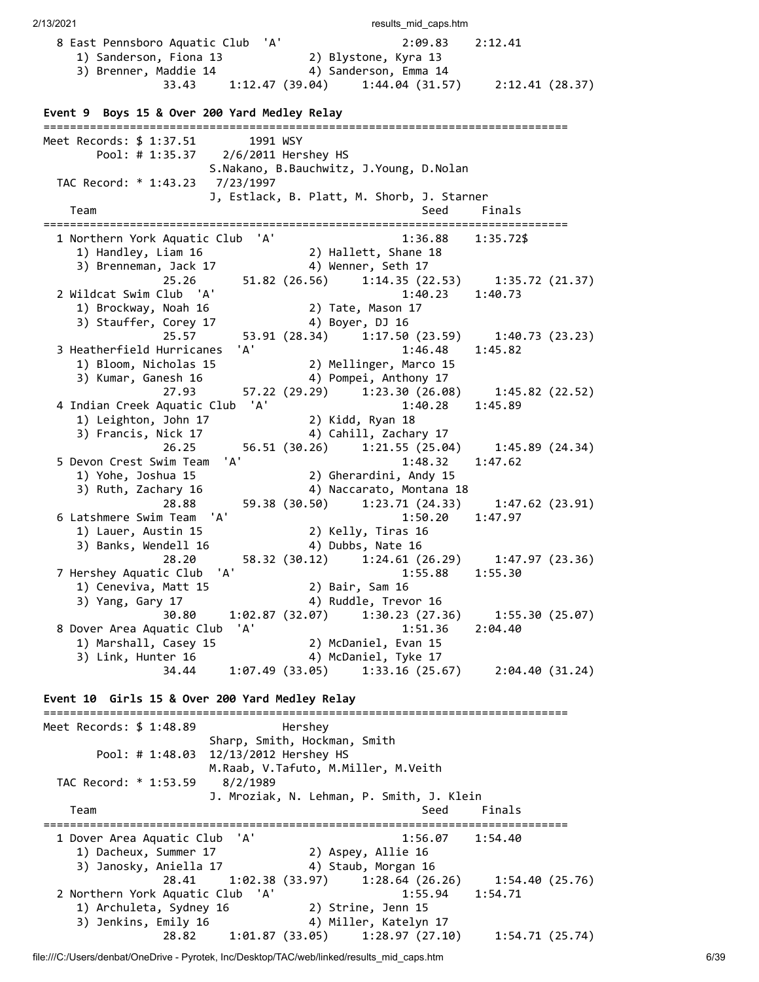2/13/2021 **results** mid caps.htm 8 East Pennsboro Aquatic Club 'A' 2:09.83 2:12.41 1) Sanderson, Fiona 13 2) Blystone, Kyra 13 3) Brenner, Maddie 14  $\hskip1cm \hskip1cm 4)$  Sanderson, Emma 14 33.43 1:12.47 (39.04) 1:44.04 (31.57) 2:12.41 (28.37) **Event 9 Boys 15 & Over 200 Yard Medley Relay** =============================================================================== Meet Records: \$ 1:37.51 1991 WSY Pool: # 1:35.37 2/6/2011 Hershey HS S.Nakano, B.Bauchwitz, J.Young, D.Nolan TAC Record: \* 1:43.23 7/23/1997 J, Estlack, B. Platt, M. Shorb, J. Starner Team Seed Finals =============================================================================== 1 Northern York Aquatic Club 'A' 1:36.88 1:35.72\$ 1) Handley, Liam 16 2) Hallett, Shane 18 3) Brenneman, Jack 17 4) Wenner, Seth 17 25.26 51.82 (26.56) 1:14.35 (22.53) 1:35.72 (21.37) 2 Wildcat Swim Club 'A' 1:40.23 1:40.73 1) Brockway, Noah 16 2) Tate, Mason 17 3) Stauffer, Corey 17 4) Boyer, DJ 16 3) Stauffer, Corey 17 (28.34) Boyer, DJ 16<br>25.57 (23.59) 1:40.73 (23.23) 3 Heatherfield Hurricanes 'A' 1:46.48 1:45.82 1) Bloom, Nicholas 15 2) Mellinger, Marco 15 3) Kumar, Ganesh 16 4) Pompei, Anthony 17 27.93 57.22 (29.29) 1:23.30 (26.08) 1:45.82 (22.52) 4 Indian Creek Aquatic Club 'A' 1:40.28 1:45.89 1) Leighton, John 17 2) Kidd, Ryan 18 3) Francis, Nick 17 4) Cahill, Zachary 17 26.25 56.51 (30.26) 1:21.55 (25.04) 1:45.89 (24.34) 5 Devon Crest Swim Team 'A' 1:48.32 1:47.62<br>1) Yohe, Joshua 15 2) Gherardini, Andy 15<br>3) Ruth Zachary 16 4) Naccarato Montana 18 1) Yohe, Joshua 15 2) Gherardini, Andy 15 3) Ruth, Zachary 16 4) Naccarato, Montana 18 28.88 59.38 (30.50) 1:23.71 (24.33) 1:47.62 (23.91)<br>6 Latshmere Swim Team 'A' 1:50.20 1:47.97 6 Latshmere Swim Team 'A' 1:50.20 1:47.97 1) Lauer, Austin 15 2) Kelly, Tiras 16 3) Banks, Wendell 16 4) Dubbs, Nate 16 28.20 58.32 (30.12) 1:24.61 (26.29) 1:47.97 (23.36) 7 Hershey Aquatic Club 'A' 1:55.88 1:55.30 1) Ceneviva, Matt 15 1) Ceneviva, Matt 15 (2) Bair, Sam 16<br>3) Yang, Gary 17 (4) Ruddle, Trevor 16 30.80 1:02.87 (32.07) 1:30.23 (27.36) 1:55.30 (25.07) 8 Dover Area Aquatic Club 'A' 1:51.36 2:04.40 1) Marshall, Casey 15 2) McDaniel, Evan 15 3) Link, Hunter 16 4) McDaniel, Tyke 17 34.44 1:07.49 (33.05) 1:33.16 (25.67) 2:04.40 (31.24) **Event 10 Girls 15 & Over 200 Yard Medley Relay** =============================================================================== Meet Records: \$ 1:48.89 Hershey Sharp, Smith, Hockman, Smith Pool: # 1:48.03 12/13/2012 Hershey HS M.Raab, V.Tafuto, M.Miller, M.Veith TAC Record: \* 1:53.59 8/2/1989 J. Mroziak, N. Lehman, P. Smith, J. Klein Team Seed Finals =============================================================================== 1 Dover Area Aquatic Club 'A' 1:56.07 1:54.40 1) Dacheux, Summer 17 2) Aspey, Allie 16 3) Janosky, Aniella 17 4) Staub, Morgan 16 28.41 1:02.38 (33.97) 1:28.64 (26.26) 1:54.40 (25.76) 2 Northern York Aquatic Club 'A' 1:55.94 1:54.71 1) Archuleta, Sydney 16 2) Strine, Jenn 15 3) Jenkins, Emily 16 4) Miller, Katelyn 17 28.82 1:01.87 (33.05) 1:28.97 (27.10) 1:54.71 (25.74)

file:///C:/Users/denbat/OneDrive - Pyrotek, Inc/Desktop/TAC/web/linked/results\_mid\_caps.htm 6/39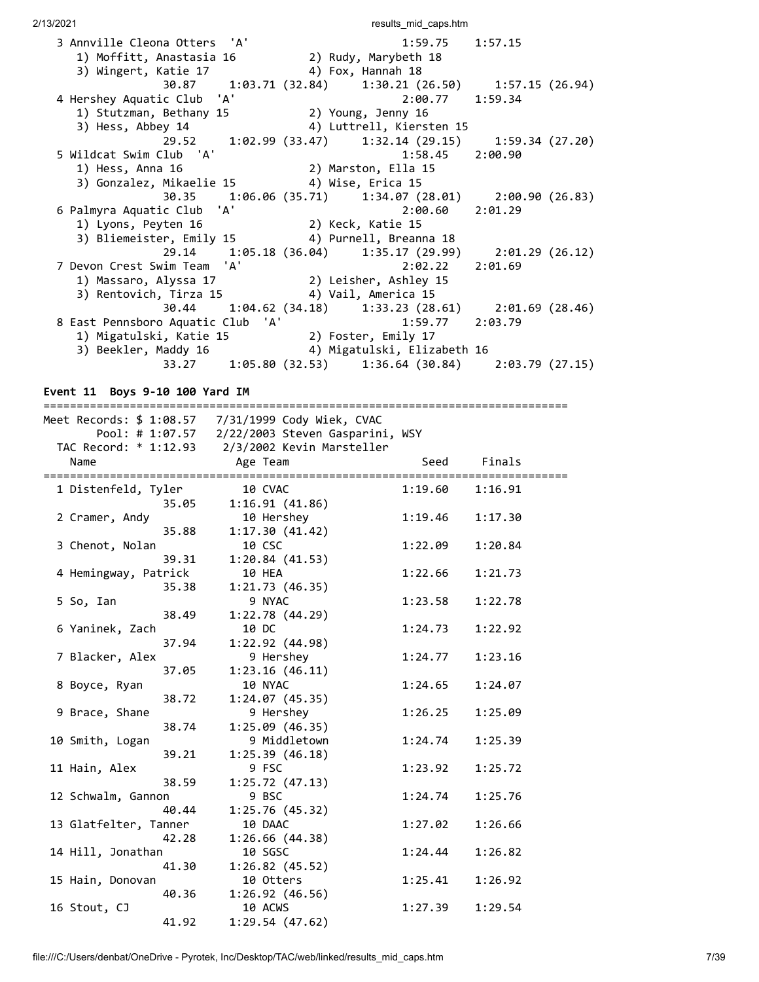| 3 Annville Cleona Otters 'A'                      |  | $1:59.75$ $1:57.15$                                   |  |
|---------------------------------------------------|--|-------------------------------------------------------|--|
| 1) Moffitt, Anastasia 16 (2) Rudy, Marybeth 18    |  |                                                       |  |
| 3) Wingert, Katie 17                              |  | 4) Fox, Hannah 18                                     |  |
|                                                   |  | 30.87 1:03.71 (32.84) 1:30.21 (26.50) 1:57.15 (26.94) |  |
| 4 Hershey Aquatic Club 'A'                        |  | $2:00.77$ 1:59.34                                     |  |
| 1) Stutzman, Bethany 15 (2) Young, Jenny 16       |  |                                                       |  |
| 3) Hess, Abbey 14                                 |  | 4) Luttrell, Kiersten 15                              |  |
|                                                   |  | 29.52 1:02.99 (33.47) 1:32.14 (29.15) 1:59.34 (27.20) |  |
| 5 Wildcat Swim Club 'A'                           |  | $1:58.45$ $2:00.90$                                   |  |
| 1) Hess, Anna 16 (2) Marston, Ella 15             |  |                                                       |  |
| 3) Gonzalez, Mikaelie 15 (4) Wise, Erica 15       |  |                                                       |  |
|                                                   |  | 30.35 1:06.06 (35.71) 1:34.07 (28.01) 2:00.90 (26.83) |  |
| 6 Palmyra Aquatic Club 'A'                        |  |                                                       |  |
|                                                   |  | $2:00.60$ $2:01.29$                                   |  |
| 1) Lyons, Peyten 16 2) Keck, Katie 15             |  |                                                       |  |
| 3) Bliemeister, Emily 15 (4) Purnell, Breanna 18  |  |                                                       |  |
|                                                   |  | 29.14 1:05.18 (36.04) 1:35.17 (29.99) 2:01.29 (26.12) |  |
| 7 Devon Crest Swim Team 'A'                       |  | 2:02.22 2:01.69                                       |  |
|                                                   |  |                                                       |  |
| 3) Rentovich, Tirza 15 (4) Vail, America 15       |  |                                                       |  |
|                                                   |  | 30.44 1:04.62 (34.18) 1:33.23 (28.61) 2:01.69 (28.46) |  |
| 8 East Pennsboro Aquatic Club 'A' 1:59.77 2:03.79 |  |                                                       |  |
| 1) Migatulski, Katie 15 (2) Foster, Emily 17      |  |                                                       |  |
| 3) Beekler, Maddy 16 (4) Migatulski, Elizabeth 16 |  |                                                       |  |

**Event 11 Boys 9-10 100 Yard IM**

|                              | Meet Records: \$ 1:08.57 7/31/1999 Cody Wiek, CVAC |         |         |
|------------------------------|----------------------------------------------------|---------|---------|
|                              | Pool: # 1:07.57 2/22/2003 Steven Gasparini, WSY    |         |         |
|                              | TAC Record: * 1:12.93 2/3/2002 Kevin Marsteller    |         |         |
| Name                         | Age Team                                           | Seed    | Finals  |
| ============================ |                                                    |         |         |
| 1 Distenfeld, Tyler          | 10 CVAC                                            | 1:19.60 | 1:16.91 |
| 35.05                        | 1:16.91(41.86)                                     |         |         |
| 2 Cramer, Andy               | 10 Hershey                                         | 1:19.46 | 1:17.30 |
| 35.88                        | 1:17.30(41.42)                                     |         |         |
| 3 Chenot, Nolan              | 10 CSC                                             | 1:22.09 | 1:20.84 |
| 39.31                        | 1:20.84(41.53)                                     |         |         |
| 4 Hemingway, Patrick         | 10 HEA                                             | 1:22.66 | 1:21.73 |
| 35.38                        | 1:21.73(46.35)                                     |         |         |
| 5 So, Ian                    | 9 NYAC                                             | 1:23.58 | 1:22.78 |
| 38.49                        | 1:22.78(44.29)                                     |         |         |
| 6 Yaninek, Zach              | 10 DC                                              | 1:24.73 | 1:22.92 |
| 37.94                        | 1:22.92 (44.98)                                    |         |         |
| 7 Blacker, Alex              | 9 Hershey                                          | 1:24.77 | 1:23.16 |
| 37.05                        | 1:23.16(46.11)                                     |         |         |
| 8 Boyce, Ryan                | 10 NYAC                                            | 1:24.65 | 1:24.07 |
| 38.72                        | 1:24.07(45.35)                                     |         |         |
| 9 Brace, Shane               | 9 Hershey                                          | 1:26.25 | 1:25.09 |
| 38.74                        | 1:25.09(46.35)                                     |         |         |
| 10 Smith, Logan              | 9 Middletown                                       | 1:24.74 | 1:25.39 |
| 39.21                        | 1:25.39(46.18)                                     |         |         |
| 11 Hain, Alex                | 9 FSC                                              | 1:23.92 | 1:25.72 |
| 38.59                        | 1:25.72(47.13)                                     |         |         |
| 12 Schwalm, Gannon           | 9 BSC                                              | 1:24.74 | 1:25.76 |
| 40.44                        | 1:25.76(45.32)                                     |         |         |
| 13 Glatfelter, Tanner        | 10 DAAC                                            | 1:27.02 | 1:26.66 |
| 42.28                        | 1:26.66(44.38)                                     |         |         |
| 14 Hill, Jonathan            | 10 SGSC                                            | 1:24.44 | 1:26.82 |
| 41.30                        | 1:26.82(45.52)                                     |         |         |
|                              |                                                    |         |         |
| 15 Hain, Donovan<br>40.36    | 10 Otters                                          | 1:25.41 | 1:26.92 |
|                              | 1:26.92(46.56)                                     |         |         |
| 16 Stout, CJ                 | 10 ACWS                                            | 1:27.39 | 1:29.54 |
| 41.92                        | 1:29.54(47.62)                                     |         |         |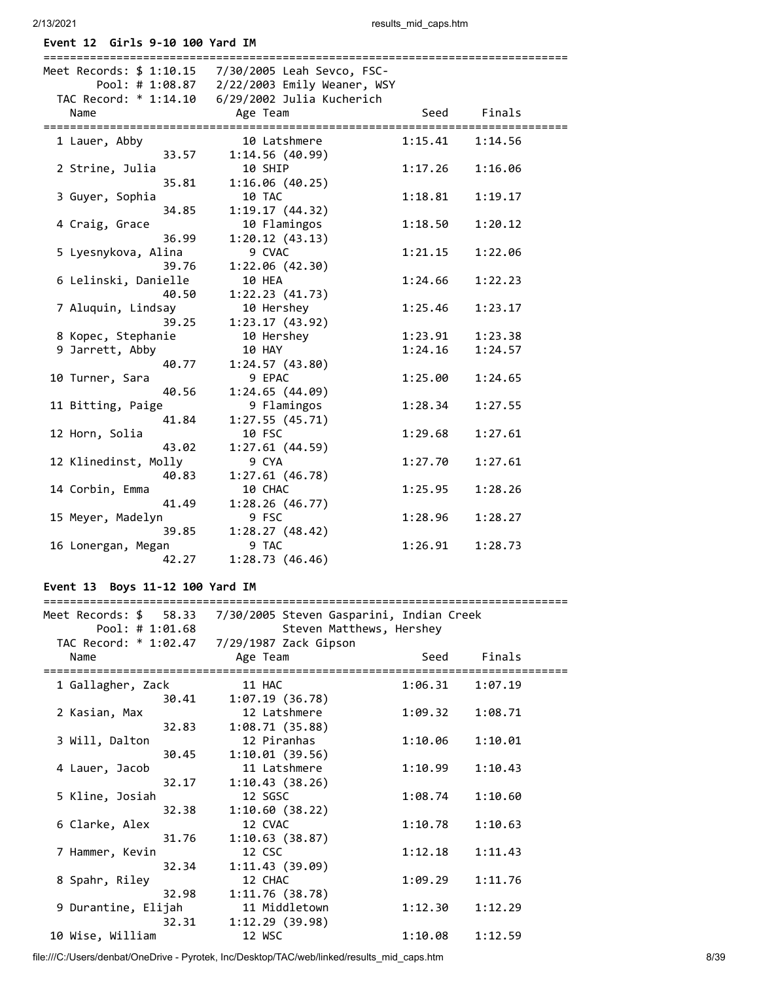**Event 12 Girls 9-10 100 Yard IM**

2/13/2021 results\_mid\_caps.htm

| Meet Records: \$ 1:10.15 | 7/30/2005 Leah Sevco, FSC-<br>Pool: # 1:08.87  2/22/2003 Emily Weaner, WSY |         |         |
|--------------------------|----------------------------------------------------------------------------|---------|---------|
| Name                     | Age Team                                                                   | Seed    | Finals  |
| 1 Lauer, Abby            | 10 Latshmere                                                               | 1:15.41 | 1:14.56 |
| 33.57                    | 1:14.56(40.99)                                                             |         |         |
| 2 Strine, Julia          | 10 SHIP                                                                    | 1:17.26 | 1:16.06 |
| 35.81                    | 1:16.06(40.25)                                                             |         |         |
| 3 Guyer, Sophia          | 10 TAC                                                                     | 1:18.81 | 1:19.17 |
| 34.85                    | 1:19.17(44.32)                                                             |         |         |
| 4 Craig, Grace           | 10 Flamingos                                                               | 1:18.50 | 1:20.12 |
| 36.99                    | 1:20.12(43.13)                                                             |         |         |
| 5 Lyesnykova, Alina      | 9 CVAC                                                                     | 1:21.15 | 1:22.06 |
| 39.76                    | 1:22.06(42.30)                                                             |         |         |
| 6 Lelinski, Danielle     | 10 HEA                                                                     | 1:24.66 | 1:22.23 |
| 40.50                    | 1:22.23(41.73)                                                             |         |         |
| 7 Aluquin, Lindsay       | 10 Hershey                                                                 | 1:25.46 | 1:23.17 |
| 39.25                    | 1:23.17(43.92)                                                             |         |         |
| 8 Kopec, Stephanie       | 10 Hershey                                                                 | 1:23.91 | 1:23.38 |
| 9 Jarrett, Abby          | 10 HAY                                                                     | 1:24.16 | 1:24.57 |
| 40.77                    | 1:24.57(43.80)                                                             |         |         |
| 10 Turner, Sara          | 9 EPAC                                                                     | 1:25.00 | 1:24.65 |
| 40.56                    | 1:24.65(44.09)                                                             |         |         |
| 11 Bitting, Paige        | 9 Flamingos                                                                | 1:28.34 | 1:27.55 |
| 41.84                    | 1:27.55(45.71)                                                             |         |         |
| 12 Horn, Solia           | 10 FSC                                                                     | 1:29.68 | 1:27.61 |
| 43.02                    | 1:27.61(44.59)                                                             |         |         |
| 12 Klinedinst, Molly     | 9 CYA                                                                      | 1:27.70 | 1:27.61 |
| 40.83                    | 1:27.61(46.78)                                                             |         |         |
| 14 Corbin, Emma          | 10 CHAC                                                                    | 1:25.95 | 1:28.26 |
| 41.49                    | 1:28.26(46.77)                                                             |         |         |
| 15 Meyer, Madelyn        | 9 FSC                                                                      | 1:28.96 | 1:28.27 |
| 39.85                    | 1:28.27(48.42)                                                             |         |         |
| 16 Lonergan, Megan       | 9 TAC                                                                      | 1:26.91 | 1:28.73 |
| 42.27                    | 1:28.73(46.46)                                                             |         |         |

# **Event 13 Boys 11-12 100 Yard IM**

| Meet Records: $$58.33$ |       |          | 7/30/2005 Steven Gasparini, Indian Creek |         |         |
|------------------------|-------|----------|------------------------------------------|---------|---------|
| Pool: # 1:01.68        |       |          | Steven Matthews, Hershey                 |         |         |
|                        |       |          |                                          |         |         |
| Name                   |       | Age Team |                                          | Seed    | Finals  |
|                        |       |          |                                          |         |         |
| 1 Gallagher, Zack      |       | 11 HAC   |                                          | 1:06.31 | 1:07.19 |
|                        | 30.41 |          | 1:07.19(36.78)                           |         |         |
| 2 Kasian, Max          |       |          | 12 Latshmere                             | 1:09.32 | 1:08.71 |
|                        | 32.83 |          | 1:08.71(35.88)                           |         |         |
| 3 Will, Dalton         |       |          | 12 Piranhas                              | 1:10.06 | 1:10.01 |
|                        | 30.45 |          | 1:10.01(39.56)                           |         |         |
| 4 Lauer, Jacob         |       |          | 11 Latshmere                             | 1:10.99 | 1:10.43 |
|                        | 32.17 |          | 1:10.43(38.26)                           |         |         |
| 5 Kline, Josiah        |       | 12 SGSC  |                                          | 1:08.74 | 1:10.60 |
|                        | 32.38 |          | 1:10.60(38.22)                           |         |         |
| 6 Clarke, Alex         |       | 12 CVAC  |                                          | 1:10.78 | 1:10.63 |
|                        | 31.76 |          | 1:10.63(38.87)                           |         |         |
| 7 Hammer, Kevin        |       | 12 CSC   |                                          | 1:12.18 | 1:11.43 |
|                        | 32.34 |          | 1:11.43(39.09)                           |         |         |
| 8 Spahr, Riley         |       | 12 CHAC  |                                          | 1:09.29 | 1:11.76 |
|                        | 32.98 |          | 1:11.76(38.78)                           |         |         |
| 9 Durantine, Elijah    |       |          | 11 Middletown                            | 1:12.30 | 1:12.29 |
|                        | 32.31 |          | 1:12.29(39.98)                           |         |         |
| 10 Wise, William       |       | 12 WSC   |                                          | 1:10.08 | 1:12.59 |

file:///C:/Users/denbat/OneDrive - Pyrotek, Inc/Desktop/TAC/web/linked/results\_mid\_caps.htm 8/39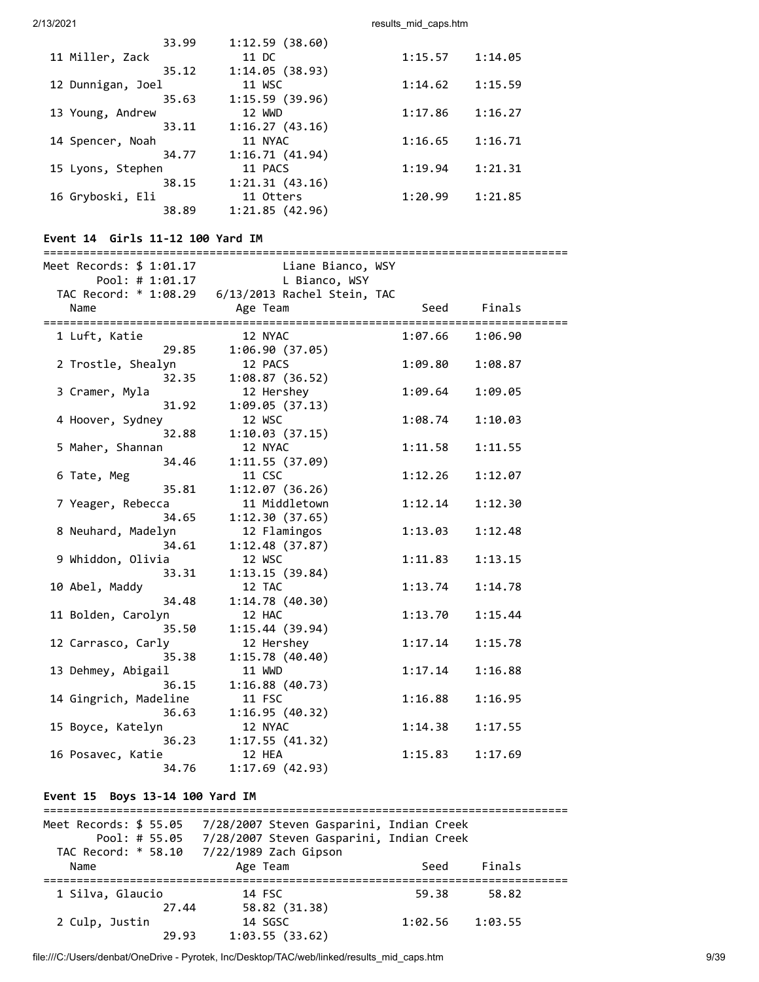|                   | 33.99 | 1:12.59(38.60) |         |         |
|-------------------|-------|----------------|---------|---------|
| 11 Miller, Zack   |       | 11 DC          | 1:15.57 | 1:14.05 |
|                   | 35.12 | 1:14.05(38.93) |         |         |
| 12 Dunnigan, Joel |       | 11 WSC         | 1:14.62 | 1:15.59 |
|                   | 35.63 | 1:15.59(39.96) |         |         |
| 13 Young, Andrew  |       | 12 WWD         | 1:17.86 | 1:16.27 |
|                   | 33.11 | 1:16.27(43.16) |         |         |
| 14 Spencer, Noah  |       | 11 NYAC        | 1:16.65 | 1:16.71 |
|                   | 34.77 | 1:16.71(41.94) |         |         |
| 15 Lyons, Stephen |       | 11 PACS        | 1:19.94 | 1:21.31 |
|                   | 38.15 | 1:21.31(43.16) |         |         |
| 16 Gryboski, Eli  |       | 11 Otters      | 1:20.99 | 1:21.85 |
|                   | 38.89 | 1:21.85(42.96) |         |         |
|                   |       |                |         |         |

| 38.89                                                                      | 1:21.85(42.96)                          |         |                                      |
|----------------------------------------------------------------------------|-----------------------------------------|---------|--------------------------------------|
| Event 14 Girls 11-12 100 Yard IM<br>====================================== |                                         |         | ==================================== |
| Meet Records: \$ 1:01.17<br>Pool: # $1:01.17$                              | Liane Bianco, WSY<br>L Bianco, WSY      |         |                                      |
| TAC Record: * 1:08.29<br>Name                                              | 6/13/2013 Rachel Stein, TAC<br>Age Team | Seed    | Finals                               |
| 1 Luft, Katie<br>29.85                                                     | 12 NYAC<br>1:06.90(37.05)               | 1:07.66 | 1:06.90                              |
| 2 Trostle, Shealyn<br>32.35                                                | 12 PACS<br>1:08.87(36.52)               | 1:09.80 | 1:08.87                              |
| 3 Cramer, Myla<br>31.92                                                    | 12 Hershey<br>1:09.05(37.13)            | 1:09.64 | 1:09.05                              |
| 4 Hoover, Sydney<br>32.88                                                  | 12 WSC<br>1:10.03(37.15)                | 1:08.74 | 1:10.03                              |
| 5 Maher, Shannan<br>34.46                                                  | 12 NYAC<br>1:11.55(37.09)               | 1:11.58 | 1:11.55                              |
| 6 Tate, Meg<br>35.81                                                       | 11 CSC<br>1:12.07(36.26)                | 1:12.26 | 1:12.07                              |
| 7 Yeager, Rebecca<br>34.65                                                 | 11 Middletown<br>1:12.30(37.65)         | 1:12.14 | 1:12.30                              |
| 8 Neuhard, Madelyn<br>34.61                                                | 12 Flamingos<br>1:12.48(37.87)          | 1:13.03 | 1:12.48                              |
| 9 Whiddon, Olivia<br>33.31                                                 | 12 WSC<br>1:13.15(39.84)                | 1:11.83 | 1:13.15                              |
| 10 Abel, Maddy<br>34.48                                                    | 12 TAC<br>1:14.78(40.30)                | 1:13.74 | 1:14.78                              |
| 11 Bolden, Carolyn<br>35.50                                                | 12 HAC<br>1:15.44(39.94)                | 1:13.70 | 1:15.44                              |
| 12 Carrasco, Carly<br>35.38                                                | 12 Hershey<br>1:15.78 (40.40)           | 1:17.14 | 1:15.78                              |

 35.38 1:15.78 (40.40) 13 Dehmey, Abigail 11 WWD 1:17.14 1:16.88

14 Gingrich, Madeline 11 FSC 1:16.88 1:16.95

15 Boyce, Katelyn 12 NYAC 1:14.38 1:17.55

16 Posavec, Katie 12 HEA 1:15.83 1:17.69

36.15 1:16.88 (40.73)

36.63 1:16.95 (40.32)

36.23 1:17.55 (41.32)

34.76 1:17.69 (42.93)

# **Event 15 Boys 13-14 100 Yard IM**

| Meet Records: \$ 55.05<br>Pool: # 55.05<br>TAC Record: * 58.10 | 7/28/2007 Steven Gasparini, Indian Creek<br>7/28/2007 Steven Gasparini, Indian Creek<br>7/22/1989 Zach Gipson |         |         |
|----------------------------------------------------------------|---------------------------------------------------------------------------------------------------------------|---------|---------|
| Name                                                           | Age Team                                                                                                      | Seed    | Finals  |
| 1 Silva, Glaucio                                               | 14 FSC<br>58.82 (31.38)<br>27.44                                                                              | 59.38   | 58.82   |
| 2 Culp, Justin                                                 | 14 SGSC<br>1:03.55(33.62)<br>29.93                                                                            | 1:02.56 | 1:03.55 |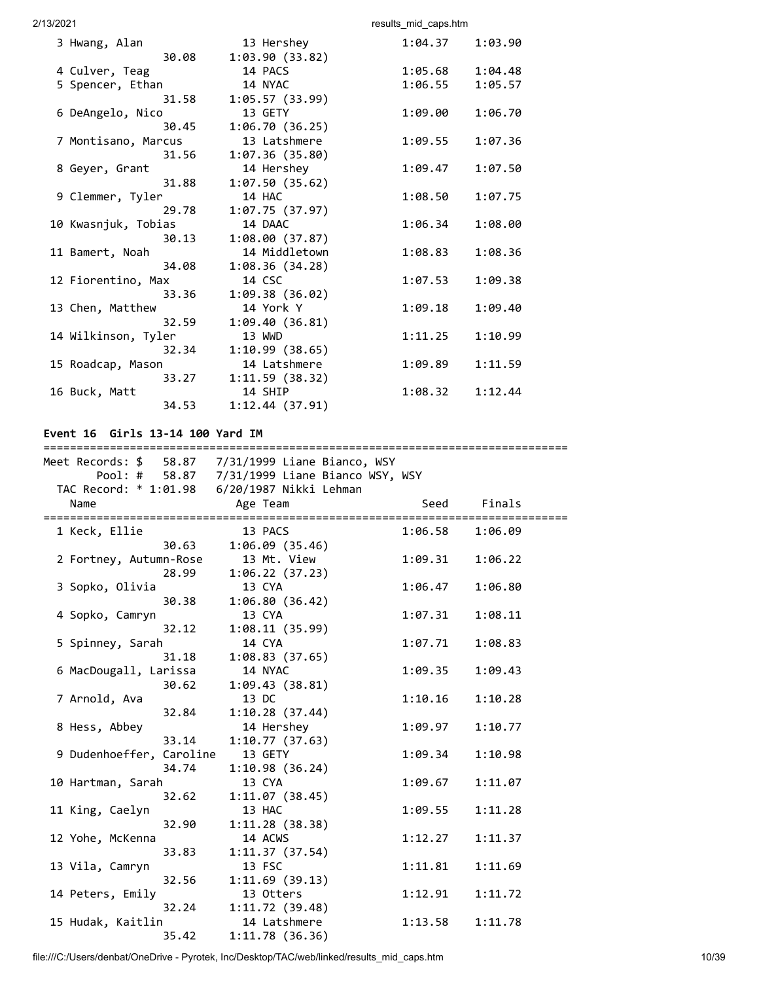|                        | 13 Hershey               | 1:04.37 | 1:03.90 |
|------------------------|--------------------------|---------|---------|
| 3 Hwang, Alan<br>30.08 | 1:03.90(33.82)           |         |         |
|                        | 14 PACS                  |         |         |
| 4 Culver, Teag         |                          | 1:05.68 | 1:04.48 |
| 5 Spencer, Ethan       | 14 NYAC                  | 1:06.55 | 1:05.57 |
| 31.58                  | 1:05.57(33.99)           |         |         |
| 6 DeAngelo, Nico       | 13 GETY                  | 1:09.00 | 1:06.70 |
| 30.45                  | 1:06.70(36.25)           |         |         |
| 7 Montisano, Marcus    | 13 Latshmere             | 1:09.55 | 1:07.36 |
| 31.56                  | 1:07.36(35.80)           |         |         |
| 8 Geyer, Grant         | 14 Hershey               | 1:09.47 | 1:07.50 |
| 31.88                  | 1:07.50(35.62)           |         |         |
| 9 Clemmer, Tyler       | 14 HAC                   | 1:08.50 | 1:07.75 |
| 29.78                  | 1:07.75(37.97)           |         |         |
| 10 Kwasnjuk, Tobias    | 14 DAAC                  | 1:06.34 | 1:08.00 |
| 30.13                  | 1:08.00(37.87)           |         |         |
| 11 Bamert, Noah        | 14 Middletown            | 1:08.83 | 1:08.36 |
| 34.08                  | 1:08.36(34.28)           |         |         |
| 12 Fiorentino, Max     | 14 CSC                   | 1:07.53 | 1:09.38 |
| 33.36                  | 1:09.38(36.02)           |         |         |
| 13 Chen, Matthew       | 14 York Y                | 1:09.18 | 1:09.40 |
| 32.59                  |                          |         |         |
|                        | 1:09.40(36.81)<br>13 WWD | 1:11.25 |         |
| 14 Wilkinson, Tyler    |                          |         | 1:10.99 |
| 32.34                  | 1:10.99(38.65)           |         |         |
| 15 Roadcap, Mason      | 14 Latshmere             | 1:09.89 | 1:11.59 |
| 33.27                  | 1:11.59(38.32)           |         |         |
| 16 Buck, Matt          | 14 SHIP                  | 1:08.32 | 1:12.44 |
| 34.53                  | 1:12.44(37.91)           |         |         |

# **Event 16 Girls 13-14 100 Yard IM**

|                          |       | Meet Records: \$ 58.87 7/31/1999 Liane Bianco, WSY |         |         |
|--------------------------|-------|----------------------------------------------------|---------|---------|
|                          |       | Pool: # 58.87 7/31/1999 Liane Bianco WSY, WSY      |         |         |
|                          |       | TAC Record: * 1:01.98    6/20/1987 Nikki Lehman    |         |         |
| Name                     |       | Age Team                                           | Seed    | Finals  |
|                          |       |                                                    |         |         |
| 1 Keck, Ellie            |       | 13 PACS                                            | 1:06.58 | 1:06.09 |
|                          | 30.63 | 1:06.09(35.46)                                     |         |         |
| 2 Fortney, Autumn-Rose   |       | 13 Mt. View                                        | 1:09.31 | 1:06.22 |
|                          | 28.99 | 1:06.22(37.23)                                     |         |         |
| 3 Sopko, Olivia          |       | 13 CYA                                             | 1:06.47 | 1:06.80 |
|                          | 30.38 | 1:06.80 (36.42)                                    |         |         |
| 4 Sopko, Camryn          |       | 13 CYA                                             | 1:07.31 | 1:08.11 |
|                          | 32.12 | 1:08.11(35.99)                                     |         |         |
| 5 Spinney, Sarah         |       | 14 CYA                                             | 1:07.71 | 1:08.83 |
|                          | 31.18 | 1:08.83(37.65)                                     |         |         |
| 6 MacDougall, Larissa    |       | 14 NYAC                                            | 1:09.35 | 1:09.43 |
|                          | 30.62 | 1:09.43(38.81)                                     |         |         |
| 7 Arnold, Ava            |       | 13 DC                                              | 1:10.16 | 1:10.28 |
|                          | 32.84 | 1:10.28(37.44)                                     |         |         |
| 8 Hess, Abbey            |       | 14 Hershey                                         | 1:09.97 | 1:10.77 |
|                          | 33.14 | 1:10.77(37.63)                                     |         |         |
| 9 Dudenhoeffer, Caroline |       | 13 GETY                                            | 1:09.34 | 1:10.98 |
|                          | 34.74 | 1:10.98(36.24)                                     |         |         |
| 10 Hartman, Sarah        |       | 13 CYA                                             | 1:09.67 | 1:11.07 |
|                          | 32.62 | 1:11.07(38.45)                                     |         |         |
| 11 King, Caelyn          |       | 13 HAC                                             | 1:09.55 | 1:11.28 |
|                          | 32.90 | 1:11.28(38.38)                                     |         |         |
| 12 Yohe, McKenna         |       | 14 ACWS                                            | 1:12.27 | 1:11.37 |
|                          | 33.83 | 1:11.37(37.54)                                     |         |         |
| 13 Vila, Camryn          |       | 13 FSC                                             | 1:11.81 | 1:11.69 |
|                          | 32.56 | 1:11.69(39.13)                                     |         |         |
| 14 Peters, Emily         |       | 13 Otters                                          | 1:12.91 | 1:11.72 |
|                          | 32.24 | 1:11.72(39.48)                                     |         |         |
| 15 Hudak, Kaitlin        |       | 14 Latshmere                                       | 1:13.58 | 1:11.78 |
|                          | 35.42 | 1:11.78 (36.36)                                    |         |         |
|                          |       |                                                    |         |         |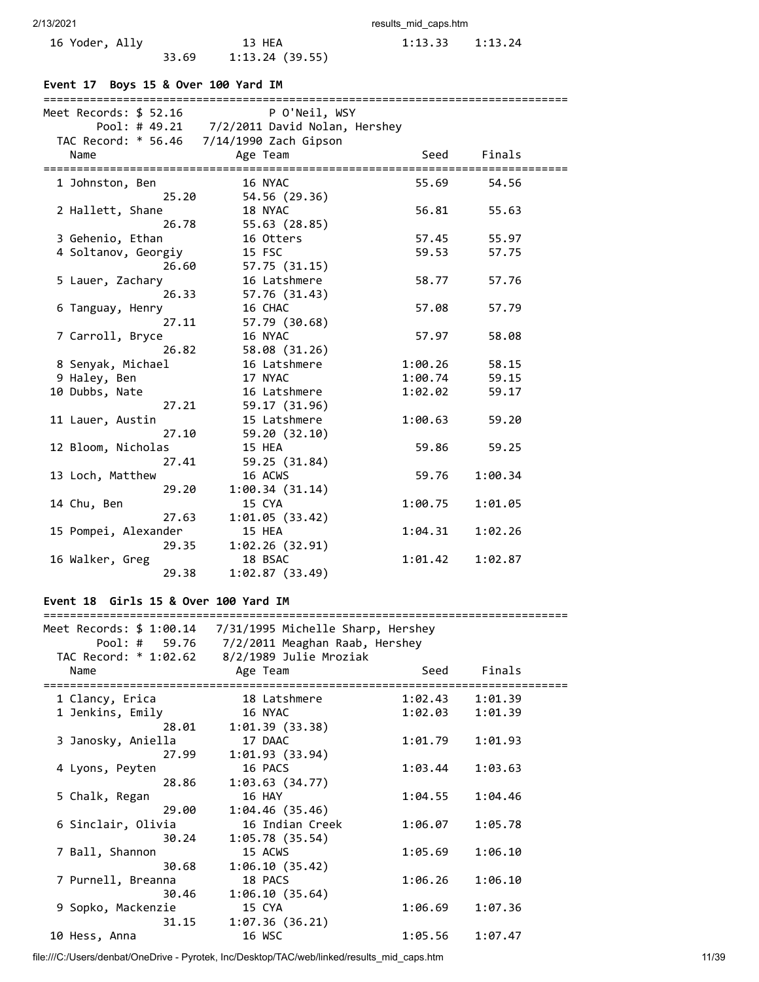33.69 1:13.24 (39.55)

2/13/2021 results\_mid\_caps.htm

16 Yoder, Ally 13 HEA 1:13.33 1:13.24<br>33.69 1:13.24 (39.55)

# **Event 17 Boys 15 & Over 100 Yard IM**

| Meet Records: \$ 52.16               | P O'Neil, WSY                               |                    |                    |
|--------------------------------------|---------------------------------------------|--------------------|--------------------|
|                                      | Pool: # 49.21 7/2/2011 David Nolan, Hershey |                    |                    |
|                                      | TAC Record: * 56.46 7/14/1990 Zach Gipson   |                    |                    |
| Name<br>====================         | Age Team                                    | Seed               | Finals             |
| 1 Johnston, Ben                      | 16 NYAC                                     | 55.69              | 54.56              |
| 25.20                                | 54.56 (29.36)                               |                    |                    |
| 2 Hallett, Shane                     | 18 NYAC                                     | 56.81              | 55.63              |
| 26.78                                | 55.63 (28.85)                               |                    |                    |
| 3 Gehenio, Ethan                     | 16 Otters                                   | 57.45              | 55.97              |
| 4 Soltanov, Georgiy                  | 15 FSC                                      | 59.53              | 57.75              |
| 26.60                                | 57.75 (31.15)                               |                    |                    |
| 5 Lauer, Zachary<br>26.33            | 16 Latshmere<br>57.76 (31.43)               | 58.77              | 57.76              |
| 6 Tanguay, Henry                     | 16 CHAC                                     | 57.08              | 57.79              |
| 27.11                                | 57.79 (30.68)                               |                    |                    |
| 7 Carroll, Bryce                     | 16 NYAC                                     | 57.97              | 58.08              |
| 26.82                                | 58.08 (31.26)                               |                    |                    |
| 8 Senyak, Michael                    | 16 Latshmere                                | 1:00.26            | 58.15              |
| 9 Haley, Ben                         | 17 NYAC                                     | 1:00.74            | 59.15              |
| 10 Dubbs, Nate                       | 16 Latshmere                                | 1:02.02            | 59.17              |
| 27.21                                | 59.17 (31.96)                               |                    |                    |
| 11 Lauer, Austin                     | 15 Latshmere                                | 1:00.63            | 59.20              |
| 27.10                                | 59.20 (32.10)                               |                    |                    |
| 12 Bloom, Nicholas<br>27.41          | 15 HEA<br>59.25 (31.84)                     | 59.86              | 59.25              |
| 13 Loch, Matthew                     | 16 ACWS                                     | 59.76              | 1:00.34            |
| 29.20                                | 1:00.34(31.14)                              |                    |                    |
| 14 Chu, Ben                          | 15 CYA                                      | 1:00.75            | 1:01.05            |
| 27.63                                | 1:01.05(33.42)                              |                    |                    |
| 15 Pompei, Alexander                 | 15 HEA                                      | 1:04.31            | 1:02.26            |
| 29.35                                | 1:02.26(32.91)                              |                    |                    |
| 16 Walker, Greg                      | 18 BSAC                                     | 1:01.42            | 1:02.87            |
| 29.38                                | 1:02.87(33.49)                              |                    |                    |
|                                      |                                             |                    |                    |
| Event 18 Girls 15 & Over 100 Yard IM |                                             |                    |                    |
| Meet Records: \$ 1:00.14             | 7/31/1995 Michelle Sharp, Hershey           |                    |                    |
| Pool: #<br>59.76                     | 7/2/2011 Meaghan Raab, Hershey              |                    |                    |
| TAC Record: * 1:02.62                | 8/2/1989 Julie Mroziak                      |                    |                    |
| Name                                 | Age Team                                    | Seed               | Finals             |
|                                      |                                             |                    |                    |
| 1 Clancy, Erica<br>1 Jenkins, Emily  | 18 Latshmere<br>16 NYAC                     | 1:02.43<br>1:02.03 | 1:01.39<br>1:01.39 |
| 28.01                                | 1:01.39(33.38)                              |                    |                    |
| 3 Janosky, Aniella                   | 17 DAAC                                     | 1:01.79            | 1:01.93            |
| 27.99                                | 1:01.93 (33.94)                             |                    |                    |
| 4 Lyons, Peyten                      | 16 PACS                                     | 1:03.44            | 1:03.63            |
| 28.86                                | 1:03.63(34.77)                              |                    |                    |
| 5 Chalk, Regan                       | 16 HAY                                      | 1:04.55            | 1:04.46            |
| 29.00                                | 1:04.46(35.46)                              |                    |                    |
| 6 Sinclair, Olivia                   | 16 Indian Creek                             | 1:06.07            | 1:05.78            |
| 30.24                                | 1:05.78(35.54)                              |                    |                    |
| 7 Ball, Shannon                      | 15 ACWS                                     | 1:05.69            | 1:06.10            |
| 30.68<br>7 Purnell, Breanna          | 1:06.10(35.42)                              |                    |                    |
| 30.46                                | 18 PACS<br>1:06.10(35.64)                   | 1:06.26            | 1:06.10            |
| 9 Sopko, Mackenzie                   | 15 CYA                                      | 1:06.69            | 1:07.36            |
| 31.15                                | 1:07.36(36.21)                              |                    |                    |

file:///C:/Users/denbat/OneDrive - Pyrotek, Inc/Desktop/TAC/web/linked/results\_mid\_caps.htm 11/39

10 Hess, Anna 16 WSC 1:05.56 1:07.47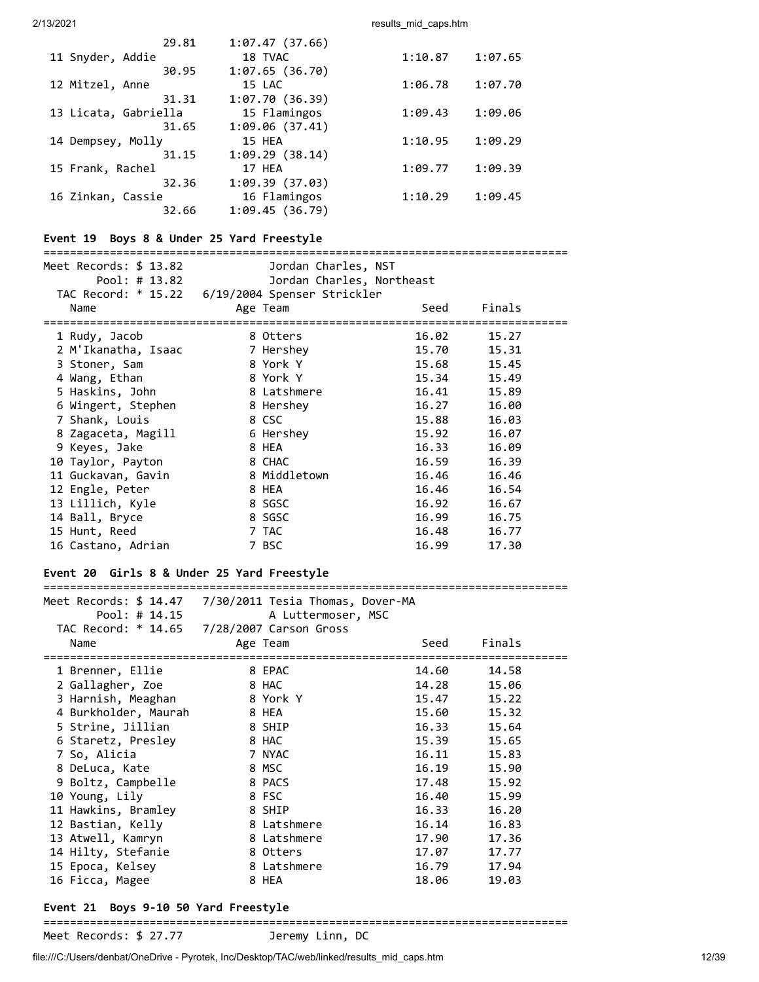|                      | 29.81 | 1:07.47(37.66)  |         |         |
|----------------------|-------|-----------------|---------|---------|
| 11 Snyder, Addie     |       | 18 TVAC         | 1:10.87 | 1:07.65 |
|                      | 30.95 | 1:07.65(36.70)  |         |         |
| 12 Mitzel, Anne      |       | 15 LAC          | 1:06.78 | 1:07.70 |
|                      | 31.31 | 1:07.70(36.39)  |         |         |
| 13 Licata, Gabriella |       | 15 Flamingos    | 1:09.43 | 1:09.06 |
|                      | 31.65 | 1:09.06(37.41)  |         |         |
| 14 Dempsey, Molly    |       | 15 HEA          | 1:10.95 | 1:09.29 |
|                      | 31.15 | 1:09.29(38.14)  |         |         |
| 15 Frank, Rachel     |       | 17 HEA          | 1:09.77 | 1:09.39 |
|                      | 32.36 | 1:09.39 (37.03) |         |         |
| 16 Zinkan, Cassie    |       | 16 Flamingos    | 1:10.29 | 1:09.45 |
|                      | 32.66 | 1:09.45(36.79)  |         |         |
|                      |       |                 |         |         |

## **Event 19 Boys 8 & Under 25 Yard Freestyle**

# ===============================================================================

| Meet Records: \$ 13.82            | Jordan Charles, NST                             |       |        |  |
|-----------------------------------|-------------------------------------------------|-------|--------|--|
| Pool: # $13.82$                   | Jordan Charles, Northeast                       |       |        |  |
|                                   | TAC Record: * 15.22 6/19/2004 Spenser Strickler |       |        |  |
| Name                              | Age Team                                        | Seed  | Finals |  |
| ================================= |                                                 |       |        |  |
| 1 Rudy, Jacob                     | 8 Otters                                        | 16.02 | 15.27  |  |
| 2 M'Ikanatha, Isaac               | 7 Hershey                                       | 15.70 | 15.31  |  |
| 3 Stoner, Sam                     | 8 York Y                                        | 15.68 | 15.45  |  |
| 4 Wang, Ethan                     | 8 York Y                                        | 15.34 | 15.49  |  |
| 5 Haskins, John                   | 8 Latshmere                                     | 16.41 | 15.89  |  |
| 6 Wingert, Stephen                | 8 Hershey                                       | 16.27 | 16.00  |  |
| 7 Shank, Louis                    | 8 CSC                                           | 15.88 | 16.03  |  |
| 8 Zagaceta, Magill                | 6 Hershey                                       | 15.92 | 16.07  |  |
| 9 Keyes, Jake                     | 8 HEA                                           | 16.33 | 16.09  |  |
| 10 Taylor, Payton                 | 8 CHAC                                          | 16.59 | 16.39  |  |
| 11 Guckavan, Gavin                | 8 Middletown                                    | 16.46 | 16.46  |  |
| 12 Engle, Peter                   | 8 HEA                                           | 16.46 | 16.54  |  |
| 13 Lillich, Kyle                  | 8 SGSC                                          | 16.92 | 16.67  |  |
| 14 Ball, Bryce                    | 8 SGSC                                          | 16.99 | 16.75  |  |
| 15 Hunt, Reed                     | 7 TAC                                           | 16.48 | 16.77  |  |
| 16 Castano, Adrian                | 7 BSC                                           | 16.99 | 17.30  |  |

# **Event 20 Girls 8 & Under 25 Yard Freestyle**

| Pool: # 14.15        | A Luttermoser, MSC                         |       |        |
|----------------------|--------------------------------------------|-------|--------|
|                      | TAC Record: * 14.65 7/28/2007 Carson Gross |       |        |
| Name                 | Age Team                                   | Seed  | Finals |
| 1 Brenner, Ellie     | 8 EPAC                                     | 14.60 | 14.58  |
| 2 Gallagher, Zoe     | 8 HAC                                      | 14.28 | 15.06  |
| 3 Harnish, Meaghan   | 8 York Y                                   | 15.47 | 15.22  |
| 4 Burkholder, Maurah | 8 HEA                                      | 15.60 | 15.32  |
| 5 Strine, Jillian    | 8 SHIP                                     | 16.33 | 15.64  |
| 6 Staretz, Presley   | 8 HAC                                      | 15.39 | 15.65  |
| 7 So, Alicia         | 7 NYAC                                     | 16.11 | 15.83  |
| 8 DeLuca, Kate       | 8 MSC                                      | 16.19 | 15.90  |
| 9 Boltz, Campbelle   | 8 PACS                                     | 17.48 | 15.92  |
| 10 Young, Lily       | 8 FSC                                      | 16.40 | 15.99  |
| 11 Hawkins, Bramley  | 8 SHIP                                     | 16.33 | 16.20  |
| 12 Bastian, Kelly    | 8 Latshmere                                | 16.14 | 16.83  |
| 13 Atwell, Kamryn    | 8 Latshmere                                | 17.90 | 17.36  |
| 14 Hilty, Stefanie   | 8 Otters                                   | 17.07 | 17.77  |
| 15 Epoca, Kelsey     | 8 Latshmere                                | 16.79 | 17.94  |
| 16 Ficca, Magee      | 8 HEA                                      | 18.06 | 19.03  |

# **Event 21 Boys 9-10 50 Yard Freestyle**

===============================================================================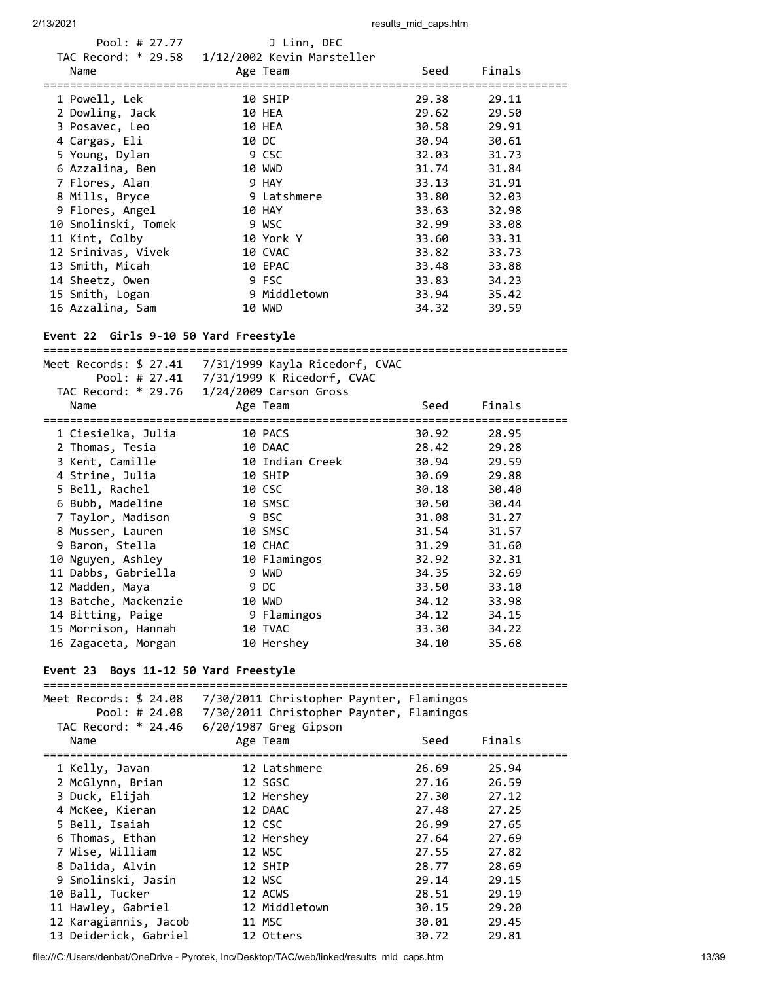| Pool: # 27.77                                  | J Linn, DEC  |       |        |
|------------------------------------------------|--------------|-------|--------|
| TAC Record: * 29.58 1/12/2002 Kevin Marsteller |              |       |        |
| Name                                           | Age Team     | Seed  | Finals |
|                                                |              |       |        |
| 1 Powell, Lek                                  | 10 SHIP      | 29.38 | 29.11  |
| 2 Dowling, Jack                                | 10 HEA       | 29.62 | 29.50  |
| 3 Posavec, Leo                                 | 10 HEA       | 30.58 | 29.91  |
| 4 Cargas, Eli                                  | 10 DC        | 30.94 | 30.61  |
| 5 Young, Dylan                                 | 9 CSC        | 32.03 | 31.73  |
| 6 Azzalina, Ben                                | 10 WWD       | 31.74 | 31.84  |
| 7 Flores, Alan                                 | 9 HAY        | 33.13 | 31.91  |
| 8 Mills, Bryce                                 | 9 Latshmere  | 33.80 | 32.03  |
| 9 Flores, Angel                                | 10 HAY       | 33.63 | 32.98  |
| 10 Smolinski, Tomek                            | 9 WSC        | 32.99 | 33.08  |
| 11 Kint, Colby                                 | 10 York Y    | 33.60 | 33.31  |
| 12 Srinivas, Vivek                             | 10 CVAC      | 33.82 | 33.73  |
| 13 Smith, Micah                                | 10 EPAC      | 33.48 | 33.88  |
| 14 Sheetz, Owen                                | 9 FSC        | 33.83 | 34.23  |
| 15 Smith, Logan                                | 9 Middletown | 33.94 | 35.42  |
| 16 Azzalina, Sam                               | 10 WWD       | 34.32 | 39.59  |
|                                                |              |       |        |

# **Event 22 Girls 9-10 50 Yard Freestyle**

|                      | Meet Records: $$27.41$ $7/31/1999$ Kayla Ricedorf, CVAC |       |        |  |
|----------------------|---------------------------------------------------------|-------|--------|--|
|                      |                                                         |       |        |  |
|                      | TAC Record: * 29.76 1/24/2009 Carson Gross              |       |        |  |
| Name                 | Age Team                                                | Seed  | Finals |  |
| 1 Ciesielka, Julia   | 10 PACS                                                 | 30.92 | 28.95  |  |
| 2 Thomas, Tesia      | 10 DAAC                                                 | 28.42 | 29.28  |  |
| 3 Kent, Camille      | 10 Indian Creek                                         | 30.94 | 29.59  |  |
| 4 Strine, Julia      | 10 SHIP                                                 | 30.69 | 29.88  |  |
| 5 Bell, Rachel       | 10 CSC                                                  | 30.18 | 30.40  |  |
| 6 Bubb, Madeline     | 10 SMSC                                                 | 30.50 | 30.44  |  |
| 7 Taylor, Madison    | 9 BSC                                                   | 31.08 | 31.27  |  |
| 8 Musser, Lauren     | 10 SMSC                                                 | 31.54 | 31.57  |  |
| 9 Baron, Stella      | 10 CHAC                                                 | 31.29 | 31.60  |  |
| 10 Nguyen, Ashley    | 10 Flamingos                                            | 32.92 | 32.31  |  |
| 11 Dabbs, Gabriella  | 9 WWD                                                   | 34.35 | 32.69  |  |
| 12 Madden, Maya      | 9 DC                                                    | 33.50 | 33.10  |  |
| 13 Batche, Mackenzie | 10 WWD                                                  | 34.12 | 33.98  |  |
| 14 Bitting, Paige    | 9 Flamingos                                             | 34.12 | 34.15  |  |
| 15 Morrison, Hannah  | 10 TVAC                                                 | 33.30 | 34.22  |  |
| 16 Zagaceta, Morgan  | 10 Hershey                                              | 34.10 | 35.68  |  |

# **Event 23 Boys 11-12 50 Yard Freestyle**

| Meet Records: \$ 24.08<br>Pool: # 24.08<br>TAC Record: * 24.46 | 7/30/2011 Christopher Paynter, Flamingos<br>7/30/2011 Christopher Paynter, Flamingos<br>$6/20/1987$ Greg Gipson |       |        |
|----------------------------------------------------------------|-----------------------------------------------------------------------------------------------------------------|-------|--------|
| Name                                                           | Age Team                                                                                                        | Seed  | Finals |
| 1 Kelly, Javan                                                 | 12 Latshmere                                                                                                    | 26.69 | 25.94  |
| 2 McGlynn, Brian                                               | 12 SGSC                                                                                                         | 27.16 | 26.59  |
| 3 Duck, Elijah                                                 | 12 Hershey                                                                                                      | 27.30 | 27.12  |
| 4 McKee, Kieran                                                | 12 DAAC                                                                                                         | 27.48 | 27.25  |
| 5 Bell, Isaiah                                                 | 12 CSC                                                                                                          | 26.99 | 27.65  |
| 6 Thomas, Ethan                                                | 12 Hershey                                                                                                      | 27.64 | 27.69  |
| 7 Wise, William                                                | 12 WSC                                                                                                          | 27.55 | 27.82  |
| 8 Dalida, Alvin                                                | 12 SHIP                                                                                                         | 28.77 | 28.69  |
| 9 Smolinski, Jasin                                             | 12 WSC                                                                                                          | 29.14 | 29.15  |
| 10 Ball, Tucker                                                | 12 ACWS                                                                                                         | 28.51 | 29.19  |
| 11 Hawley, Gabriel                                             | 12 Middletown                                                                                                   | 30.15 | 29.20  |
| 12 Karagiannis, Jacob                                          | 11 MSC                                                                                                          | 30.01 | 29.45  |
| 13 Deiderick, Gabriel                                          | 12 Otters                                                                                                       | 30.72 | 29.81  |

file:///C:/Users/denbat/OneDrive - Pyrotek, Inc/Desktop/TAC/web/linked/results\_mid\_caps.htm 13/39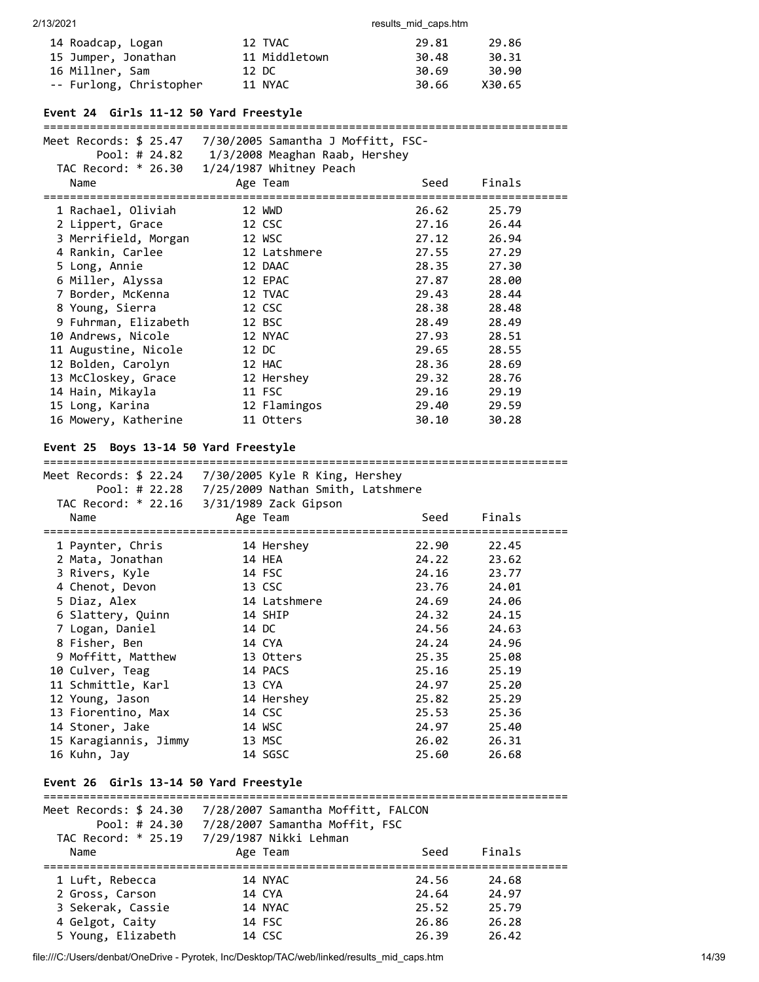| 14 Roadcap, Logan       | 12 TVAC       | 29.81 | 29.86  |
|-------------------------|---------------|-------|--------|
| 15 Jumper, Jonathan     | 11 Middletown | 30.48 | 30.31  |
| 16 Millner, Sam         | 12 DC         | 30.69 | 30.90  |
| -- Furlong, Christopher | 11 NYAC       | 30.66 | X30.65 |

# **Event 24 Girls 11-12 50 Yard Freestyle**

#### ===============================================================================

| Meet Records: \$ 25.47                                  7/30/2005 Samantha J Moffitt, FSC- |                                                         |       |        |  |
|--------------------------------------------------------------------------------------------|---------------------------------------------------------|-------|--------|--|
|                                                                                            | Pool: # 24.82 1/3/2008 Meaghan Raab, Hershey            |       |        |  |
|                                                                                            | TAC Record: * 26.30 1/24/1987 Whitney Peach             |       |        |  |
| Name                                                                                       | Age Team                                                | Seed  | Finals |  |
| 1 Rachael, Oliviah                                                                         | 12 WWD                                                  | 26.62 | 25.79  |  |
| 2 Lippert, Grace                                                                           | 12 CSC                                                  | 27.16 | 26.44  |  |
| 3 Merrifield, Morgan                                                                       | 12 WSC                                                  | 27.12 | 26.94  |  |
| 4 Rankin, Carlee                                                                           | 12 Latshmere                                            | 27.55 | 27.29  |  |
| 5 Long, Annie                                                                              | 12 DAAC                                                 | 28.35 | 27.30  |  |
| 6 Miller, Alyssa                                                                           | 12 EPAC                                                 | 27.87 | 28.00  |  |
| 7 Border, McKenna                                                                          | 12 TVAC                                                 | 29.43 | 28.44  |  |
| 8 Young, Sierra                                                                            | 12 CSC                                                  | 28.38 | 28.48  |  |
| 9 Fuhrman, Elizabeth                                                                       | 12 BSC                                                  | 28.49 | 28.49  |  |
| 10 Andrews, Nicole                                                                         | 12 NYAC                                                 | 27.93 | 28.51  |  |
| 11 Augustine, Nicole                                                                       | 12 DC                                                   | 29.65 | 28.55  |  |
| 12 Bolden, Carolyn                                                                         | 12 HAC                                                  | 28.36 | 28.69  |  |
| 13 McCloskey, Grace                                                                        | 12 Hershey                                              | 29.32 | 28.76  |  |
| 14 Hain, Mikayla                                                                           | 11 FSC                                                  | 29.16 | 29.19  |  |
| 15 Long, Karina                                                                            | 12 Flamingos                                            | 29.40 | 29.59  |  |
| 16 Mowery, Katherine                                                                       | 11 Otters                                               | 30.10 | 30.28  |  |
| Event 25 Boys 13-14 50 Yard Freestyle                                                      |                                                         |       |        |  |
|                                                                                            | Meet Records: $$22.24$ $7/30/2005$ Kyle R King, Hershey |       |        |  |
|                                                                                            |                                                         |       |        |  |

| $1001.$ $\pi$ 22.20 $1/2$ ) 2009 Nathlan Smitth, Latshmere |              |       |                |  |
|------------------------------------------------------------|--------------|-------|----------------|--|
| TAC Record: * 22.16 3/31/1989 Zack Gipson                  |              |       |                |  |
| Name                                                       | Age Team     | Seed  | Finals         |  |
|                                                            |              |       |                |  |
| 1 Paynter, Chris                                           | 14 Hershey   | 22.90 | 22.45          |  |
| 2 Mata, Jonathan                                           | 14 HEA       |       | 24.22<br>23.62 |  |
| 3 Rivers, Kyle                                             | 14 FSC       |       | 24.16<br>23.77 |  |
| 4 Chenot, Devon                                            | 13 CSC       |       | 24.01<br>23.76 |  |
| 5 Diaz, Alex                                               | 14 Latshmere |       | 24.69<br>24.06 |  |
| 6 Slattery, Quinn                                          | 14 SHIP      |       | 24.32<br>24.15 |  |
| 7 Logan, Daniel                                            | 14 DC        |       | 24.56<br>24.63 |  |
| 8 Fisher, Ben                                              | 14 CYA       | 24.24 | 24.96          |  |
| 9 Moffitt, Matthew                                         | 13 Otters    | 25.35 | 25.08          |  |
| 10 Culver, Teag                                            | 14 PACS      | 25.16 | 25.19          |  |
| 11 Schmittle, Karl                                         | 13 CYA       | 24.97 | 25.20          |  |
| 12 Young, Jason                                            | 14 Hershey   | 25.82 | 25.29          |  |
| 13 Fiorentino, Max                                         | 14 CSC       |       | 25.53<br>25.36 |  |
| 14 Stoner, Jake                                            | 14 WSC       |       | 24.97<br>25.40 |  |
| 15 Karagiannis, Jimmy                                      | 13 MSC       |       | 26.02<br>26.31 |  |
| 16 Kuhn, Jay                                               | 14 SGSC      | 25.60 | 26.68          |  |

# **Event 26 Girls 13-14 50 Yard Freestyle**

| Meet Records: \$ 24.30<br>Pool: # $24.30$<br>TAC Record: * 25.19 | 7/28/2007 Samantha Moffitt, FALCON<br>7/28/2007 Samantha Moffit, FSC<br>7/29/1987 Nikki Lehman |       |        |  |
|------------------------------------------------------------------|------------------------------------------------------------------------------------------------|-------|--------|--|
| Name                                                             | Age Team                                                                                       | Seed  | Finals |  |
|                                                                  |                                                                                                |       |        |  |
| 1 Luft, Rebecca                                                  | 14 NYAC                                                                                        | 24.56 | 24.68  |  |
| 2 Gross, Carson                                                  | 14 CYA                                                                                         | 24.64 | 24.97  |  |
| 3 Sekerak, Cassie                                                | 14 NYAC                                                                                        | 25.52 | 25.79  |  |
| 4 Gelgot, Caity                                                  | 14 FSC                                                                                         | 26.86 | 26.28  |  |
| 5 Young, Elizabeth                                               | 14 CSC                                                                                         | 26.39 | 26.42  |  |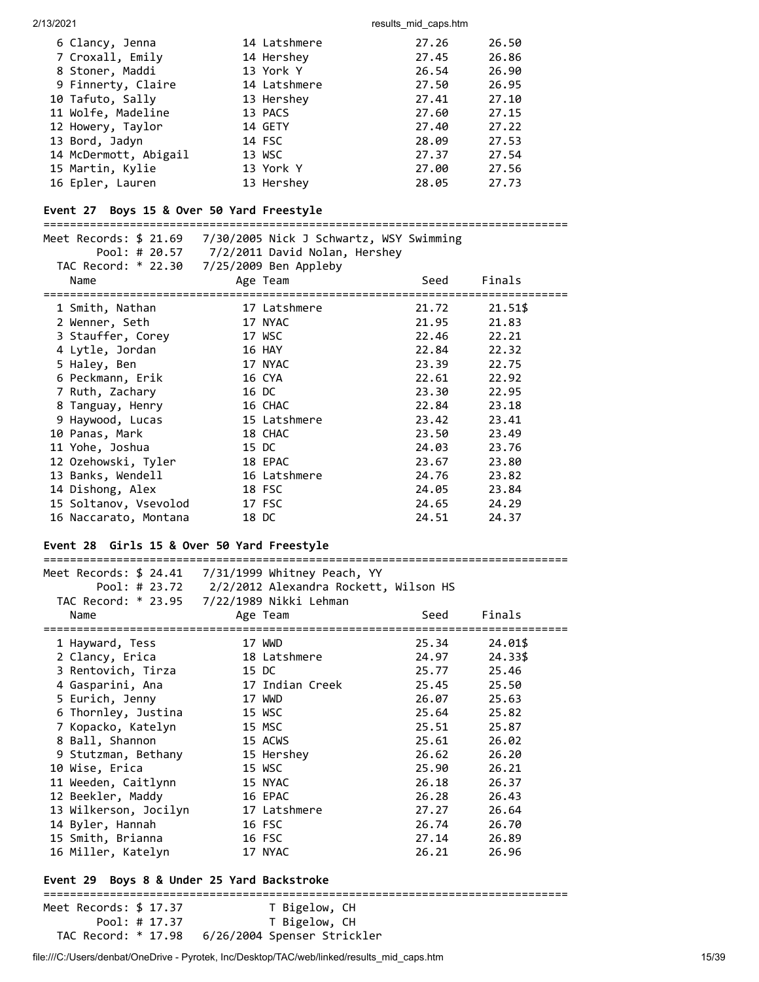| 6 Clancy, Jenna       | 14 Latshmere | 27.26 | 26.50 |
|-----------------------|--------------|-------|-------|
| 7 Croxall, Emily      | 14 Hershey   | 27.45 | 26.86 |
| 8 Stoner, Maddi       | 13 York Y    | 26.54 | 26.90 |
| 9 Finnerty, Claire    | 14 Latshmere | 27.50 | 26.95 |
| 10 Tafuto, Sally      | 13 Hershey   | 27.41 | 27.10 |
| 11 Wolfe, Madeline    | 13 PACS      | 27.60 | 27.15 |
| 12 Howery, Taylor     | 14 GETY      | 27.40 | 27.22 |
| 13 Bord, Jadyn        | 14 FSC       | 28.09 | 27.53 |
| 14 McDermott, Abigail | 13 WSC       | 27.37 | 27.54 |
| 15 Martin, Kylie      | 13 York Y    | 27.00 | 27.56 |
| 16 Epler, Lauren      | 13 Hershey   | 28.05 | 27.73 |

# **Event 27 Boys 15 & Over 50 Yard Freestyle**

| Meet Records: \$ 21.69                                  7/30/2005 Nick J Schwartz, WSY Swimming<br>TAC Record: * 22.30 7/25/2009 Ben Appleby | Pool: # 20.57 7/2/2011 David Nolan, Hershey |                |                |
|----------------------------------------------------------------------------------------------------------------------------------------------|---------------------------------------------|----------------|----------------|
| Name                                                                                                                                         | Age Team                                    | Seed           | Finals         |
| 1 Smith, Nathan                                                                                                                              | 17 Latshmere<br>17 NYAC                     | 21.72          | 21.51\$        |
| 2 Wenner, Seth<br>3 Stauffer, Corey                                                                                                          | 17 WSC                                      | 21.95<br>22.46 | 21.83<br>22.21 |
| 4 Lytle, Jordan                                                                                                                              | 16 HAY                                      | 22.84          | 22.32          |
| 5 Haley, Ben                                                                                                                                 | 17 NYAC                                     | 23.39          | 22.75          |
| 6 Peckmann, Erik                                                                                                                             | 16 CYA                                      | 22.61          | 22.92          |
| 7 Ruth, Zachary                                                                                                                              | 16 DC                                       | 23.30          | 22.95          |
| 8 Tanguay, Henry                                                                                                                             | 16 CHAC                                     | 22.84          | 23.18          |
| 9 Haywood, Lucas                                                                                                                             | 15 Latshmere                                | 23.42          | 23.41          |
| 10 Panas, Mark                                                                                                                               | 18 CHAC                                     | 23.50          | 23.49          |
| 11 Yohe, Joshua                                                                                                                              | 15 DC                                       | 24.03          | 23.76          |
| 12 Ozehowski, Tyler                                                                                                                          | 18 EPAC                                     | 23.67          | 23.80          |
| 13 Banks, Wendell                                                                                                                            | 16 Latshmere                                | 24.76          | 23.82          |
| 14 Dishong, Alex                                                                                                                             | 18 FSC                                      | 24.05          | 23.84          |
| 15 Soltanov, Vsevolod                                                                                                                        | 17 FSC                                      | 24.65          | 24.29          |
| 16 Naccarato, Montana                                                                                                                        | 18 DC                                       | 24.51          | 24.37          |

# **Event 28 Girls 15 & Over 50 Yard Freestyle**

| Meet Records: \$ 24.41   7/31/1999 Whitney Peach, YY |  |                                                     |             |         |  |  |  |
|------------------------------------------------------|--|-----------------------------------------------------|-------------|---------|--|--|--|
|                                                      |  | Pool: # 23.72 2/2/2012 Alexandra Rockett, Wilson HS |             |         |  |  |  |
| TAC Record: * 23.95 7/22/1989 Nikki Lehman           |  |                                                     |             |         |  |  |  |
| Name                                                 |  | Age Team                                            | Seed        | Finals  |  |  |  |
|                                                      |  |                                                     |             |         |  |  |  |
| 1 Hayward, Tess                                      |  | 17 WWD                                              | 25.34       | 24.01\$ |  |  |  |
| 2 Clancy, Erica                                      |  | 18 Latshmere                                        | 24.97       | 24.33\$ |  |  |  |
| 3 Rentovich, Tirza                                   |  | 15 DC                                               | 25.77 25.46 |         |  |  |  |
| 4 Gasparini, Ana                                     |  | 17 Indian Creek                                     | 25.45 25.50 |         |  |  |  |
| 5 Eurich, Jenny                                      |  | 17 WWD                                              | 26.07 25.63 |         |  |  |  |
| 6 Thornley, Justina                                  |  | 15 WSC                                              | 25.64       | 25.82   |  |  |  |
| 7 Kopacko, Katelyn                                   |  | 15 MSC                                              | 25.51       | 25.87   |  |  |  |
| 8 Ball, Shannon                                      |  | 15 ACWS                                             | 25.61       | 26.02   |  |  |  |
| 9 Stutzman, Bethany                                  |  | 15 Hershey                                          | 26.62       | 26.20   |  |  |  |
| 10 Wise, Erica                                       |  | 15 WSC                                              | 25.90       | 26.21   |  |  |  |
| 11 Weeden, Caitlynn                                  |  | 15 NYAC                                             | 26.18       | 26.37   |  |  |  |
| 12 Beekler, Maddy                                    |  | 16 EPAC                                             | 26.28       | 26.43   |  |  |  |
| 13 Wilkerson, Jocilyn                                |  | 17 Latshmere                                        | 27.27       | 26.64   |  |  |  |
| 14 Byler, Hannah                                     |  | 16 FSC                                              | 26.74       | 26.70   |  |  |  |
| 15 Smith, Brianna                                    |  | 16 FSC                                              | 27.14       | 26.89   |  |  |  |
| 16 Miller, Katelyn                                   |  | 17 NYAC                                             | 26.21       | 26.96   |  |  |  |
| Event 29 Boys 8 & Under 25 Yard Backstroke           |  |                                                     |             |         |  |  |  |

Meet Records: \$ 17.37 T Bigelow, CH Pool: # 17.37 T Bigelow, CH TAC Record: \* 17.98 6/26/2004 Spenser Strickler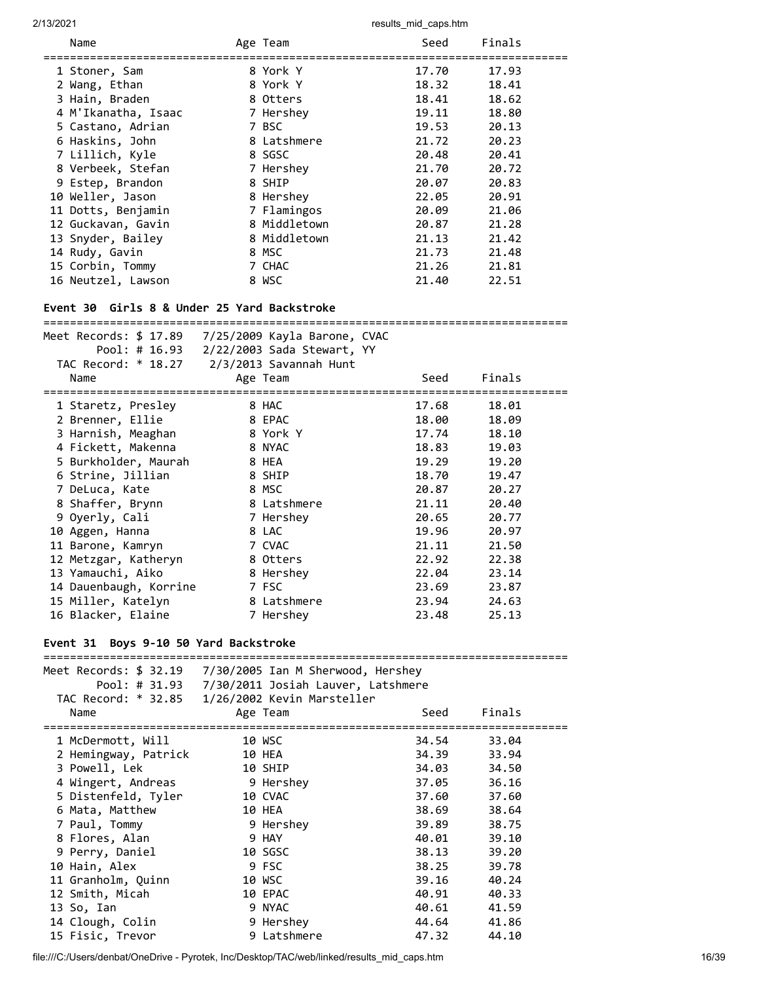|                                                                                                                                                   |                                            | <b>1000110_11110_00po.intill</b> |        |  |  |  |  |  |
|---------------------------------------------------------------------------------------------------------------------------------------------------|--------------------------------------------|----------------------------------|--------|--|--|--|--|--|
| Name                                                                                                                                              | Age Team                                   | Seed                             | Finals |  |  |  |  |  |
| 1 Stoner, Sam                                                                                                                                     | 8 York Y                                   | 17.70                            | 17.93  |  |  |  |  |  |
| 2 Wang, Ethan                                                                                                                                     | 8 York Y                                   | 18.32                            | 18.41  |  |  |  |  |  |
| 3 Hain, Braden                                                                                                                                    | 8 Otters                                   | 18.41                            | 18.62  |  |  |  |  |  |
| 4 M'Ikanatha, Isaac                                                                                                                               | 7 Hershey                                  | 19.11                            | 18.80  |  |  |  |  |  |
| 5 Castano, Adrian                                                                                                                                 | 7 BSC                                      | 19.53                            | 20.13  |  |  |  |  |  |
| 6 Haskins, John                                                                                                                                   | 8 Latshmere                                | 21.72                            | 20.23  |  |  |  |  |  |
| 7 Lillich, Kyle                                                                                                                                   | 8 SGSC                                     | 20.48                            | 20.41  |  |  |  |  |  |
| 8 Verbeek, Stefan                                                                                                                                 | 7 Hershey                                  | 21.70                            | 20.72  |  |  |  |  |  |
| 9 Estep, Brandon                                                                                                                                  | 8 SHIP                                     | 20.07                            | 20.83  |  |  |  |  |  |
| 10 Weller, Jason                                                                                                                                  | 8 Hershey                                  | 22.05                            | 20.91  |  |  |  |  |  |
| 11 Dotts, Benjamin                                                                                                                                | 7 Flamingos                                | 20.09                            | 21.06  |  |  |  |  |  |
| 12 Guckavan, Gavin                                                                                                                                | 8 Middletown                               | 20.87                            | 21.28  |  |  |  |  |  |
| 13 Snyder, Bailey                                                                                                                                 | 8 Middletown                               | 21.13                            | 21.42  |  |  |  |  |  |
| 14 Rudy, Gavin                                                                                                                                    | 8 MSC                                      | 21.73                            | 21.48  |  |  |  |  |  |
| 15 Corbin, Tommy                                                                                                                                  | 7 CHAC                                     | 21.26                            | 21.81  |  |  |  |  |  |
| 16 Neutzel, Lawson                                                                                                                                | 8 WSC                                      | 21.40                            | 22.51  |  |  |  |  |  |
| Event 30 Girls 8 & Under 25 Yard Backstroke<br>Meet Records: \$ 17.89    7/25/2009 Kayla Barone, CVAC<br>Pool: # 16.93 2/22/2003 Sada Stewart, YY |                                            |                                  |        |  |  |  |  |  |
|                                                                                                                                                   | TAC Record: * 18.27 2/3/2013 Savannah Hunt |                                  |        |  |  |  |  |  |
| Name                                                                                                                                              | Age Team                                   | Seed                             | Finals |  |  |  |  |  |
|                                                                                                                                                   |                                            |                                  |        |  |  |  |  |  |
| 1 Staretz, Presley                                                                                                                                | 8 HAC                                      | 17.68                            | 18.01  |  |  |  |  |  |
| 2 Brenner, Ellie                                                                                                                                  | 8 EPAC                                     | 18.00                            | 18.09  |  |  |  |  |  |
| 3 Harnish, Meaghan                                                                                                                                | 8 York Y                                   | 17.74                            | 18.10  |  |  |  |  |  |
| 4 Fickett, Makenna                                                                                                                                | 8 NYAC                                     | 18.83                            | 19.03  |  |  |  |  |  |
| 5 Burkholder, Maurah                                                                                                                              | 8 HEA                                      | 19.29                            | 19.20  |  |  |  |  |  |
| 6 Strine, Jillian                                                                                                                                 | 8 SHIP                                     | 18.70                            | 19.47  |  |  |  |  |  |
| 7 DeLuca, Kate                                                                                                                                    | 8 MSC                                      | 20.87                            | 20.27  |  |  |  |  |  |
| 8 Shaffer, Brynn                                                                                                                                  | 8 Latshmere                                | 21.11                            | 20.40  |  |  |  |  |  |
| 9 Oyerly, Cali                                                                                                                                    | 7 Hershey                                  | 20.65                            | 20.77  |  |  |  |  |  |
| 10 Aggen, Hanna                                                                                                                                   | 8 LAC                                      | 19.96                            | 20.97  |  |  |  |  |  |
| 11 Barone, Kamryn                                                                                                                                 | 7 CVAC                                     | 21.11                            | 21.50  |  |  |  |  |  |
| 12 Metzgar, Katheryn                                                                                                                              | 8 Otters                                   | 22.92                            | 22.38  |  |  |  |  |  |
| 13 Yamauchi, Aiko                                                                                                                                 | 8 Hershey                                  | 22.04                            | 23.14  |  |  |  |  |  |
| 14 Dauenbaugh, Korrine                                                                                                                            | 7 FSC                                      | 23.69                            | 23.87  |  |  |  |  |  |
| 15 Miller, Katelyn                                                                                                                                | 8 Latshmere                                | 23.94                            | 24.63  |  |  |  |  |  |

# **Event 31 Boys 9-10 50 Yard Backstroke**

|                      | Meet Records: \$ 32.19 7/30/2005 Ian M Sherwood, Hershey |                |       |  |  |  |
|----------------------|----------------------------------------------------------|----------------|-------|--|--|--|
|                      |                                                          |                |       |  |  |  |
|                      | TAC Record: * 32.85 1/26/2002 Kevin Marsteller           |                |       |  |  |  |
| Name                 | Age Team                                                 | Finals<br>Seed |       |  |  |  |
|                      |                                                          |                |       |  |  |  |
| 1 McDermott, Will    | 10 WSC                                                   | 34.54          | 33.04 |  |  |  |
| 2 Hemingway, Patrick | 10 HEA                                                   | 34.39          | 33.94 |  |  |  |
| 3 Powell, Lek        | 10 SHIP                                                  | 34.03          | 34.50 |  |  |  |
| 4 Wingert, Andreas   | 9 Hershey                                                | 37.05          | 36.16 |  |  |  |
| 5 Distenfeld, Tyler  | 10 CVAC                                                  | 37.60          | 37.60 |  |  |  |
| 6 Mata, Matthew      | 10 HEA                                                   | 38.69          | 38.64 |  |  |  |
| 7 Paul, Tommy        | 9 Hershey                                                | 39.89          | 38.75 |  |  |  |
| 8 Flores, Alan       | 9 HAY                                                    | 40.01          | 39.10 |  |  |  |
| 9 Perry, Daniel      | 10 SGSC                                                  | 38.13          | 39.20 |  |  |  |
| 10 Hain, Alex        | 9 FSC                                                    | 38.25          | 39.78 |  |  |  |
| 11 Granholm, Quinn   | 10 WSC                                                   | 39.16          | 40.24 |  |  |  |
| 12 Smith, Micah      | 10 EPAC                                                  | 40.91          | 40.33 |  |  |  |
| 13 So, Ian           | 9 NYAC                                                   | 40.61          | 41.59 |  |  |  |
| 14 Clough, Colin     | 9 Hershey                                                | 44.64          | 41.86 |  |  |  |
| 15 Fisic, Trevor     | 9 Latshmere                                              | 47.32          | 44.10 |  |  |  |

16 Blacker, Elaine 7 Hershey 23.48 25.13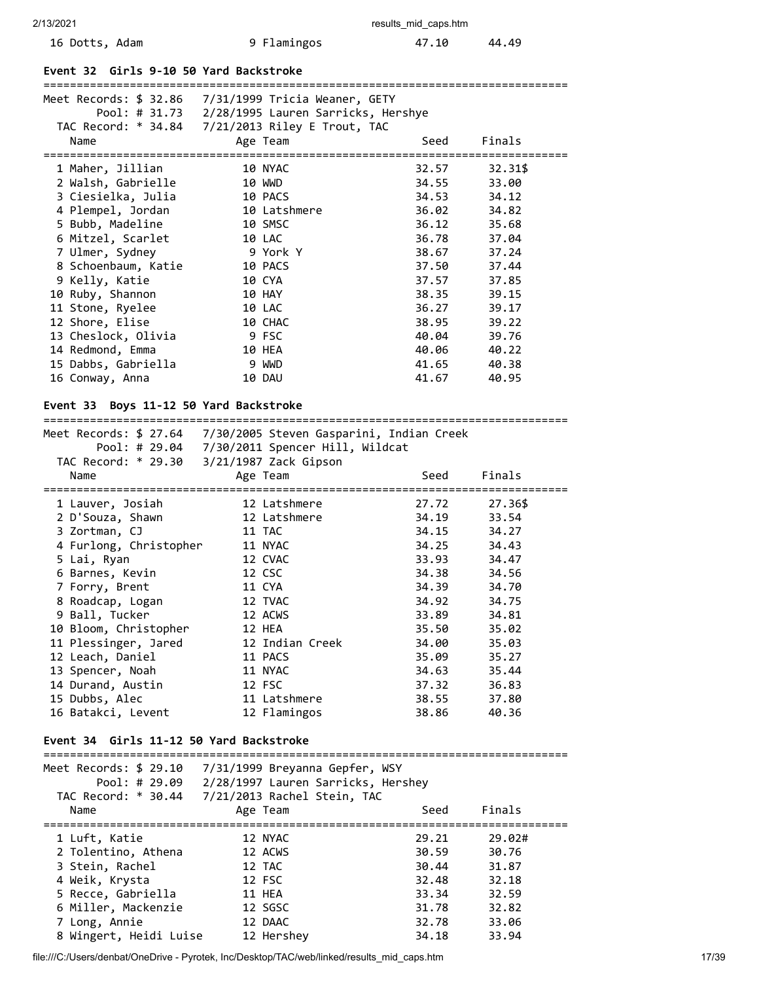| 16 Dotts, Adam | 9 Flamingos | 47.10 | 44.49 |
|----------------|-------------|-------|-------|
|----------------|-------------|-------|-------|

### **Event 32 Girls 9-10 50 Yard Backstroke**

|                                        | Meet Records: \$ 32.86    7/31/1999    Tricia Weaner, GETY                                   |       |         |
|----------------------------------------|----------------------------------------------------------------------------------------------|-------|---------|
|                                        | Pool: # 31.73 2/28/1995 Lauren Sarricks, Hershye                                             |       |         |
|                                        |                                                                                              |       |         |
| Name                                   | Age Team                                                                                     | Seed  | Finals  |
|                                        |                                                                                              |       |         |
| 1 Maher, Jillian                       | <b>10 NYAC</b>                                                                               | 32.57 | 32.31\$ |
| 2 Walsh, Gabrielle                     | 10 WWD                                                                                       | 34.55 | 33.00   |
| 3 Ciesielka, Julia                     | 10 PACS                                                                                      | 34.53 | 34.12   |
| 4 Plempel, Jordan                      | 10 Latshmere                                                                                 | 36.02 | 34.82   |
| 5 Bubb, Madeline                       | <b>10 SMSC</b>                                                                               | 36.12 | 35.68   |
| 6 Mitzel, Scarlet                      | 10 LAC                                                                                       | 36.78 | 37.04   |
| 7 Ulmer, Sydney                        | 9 York Y                                                                                     | 38.67 | 37.24   |
| 8 Schoenbaum, Katie                    | 10 PACS                                                                                      | 37.50 | 37.44   |
| 9 Kelly, Katie                         | 10 CYA                                                                                       | 37.57 | 37.85   |
| 10 Ruby, Shannon                       | 10 HAY                                                                                       | 38.35 | 39.15   |
| 11 Stone, Ryelee                       | 10 LAC                                                                                       | 36.27 | 39.17   |
| 12 Shore, Elise                        | 10 CHAC                                                                                      | 38.95 | 39.22   |
| 13 Cheslock, Olivia                    | 9 FSC                                                                                        | 40.04 | 39.76   |
| 14 Redmond, Emma                       | 10 HEA                                                                                       | 40.06 | 40.22   |
| 15 Dabbs, Gabriella                    | 9 WWD                                                                                        | 41.65 | 40.38   |
| 16 Conway, Anna                        | 10 DAU                                                                                       | 41.67 | 40.95   |
| Event 33 Boys 11-12 50 Yard Backstroke |                                                                                              |       |         |
|                                        | Meet Records: \$ 27.64                              7/30/2005 Steven Gasparini, Indian Creek |       |         |
|                                        | Pool: # 29.04 7/30/2011 Spencer Hill, Wildcat                                                |       |         |

| TAC Record: * 29.30 3/21/1987 Zack Gipson |                 |       |                                |
|-------------------------------------------|-----------------|-------|--------------------------------|
| Name                                      | Age Team        | Seed  | Finals                         |
|                                           |                 |       | ============================== |
| 1 Lauver, Josiah                          | 12 Latshmere    | 27.72 | 27.36\$                        |
| 2 D'Souza, Shawn                          | 12 Latshmere    | 34.19 | 33.54                          |
| 3 Zortman, CJ                             | 11 TAC          | 34.15 | 34.27                          |
| 4 Furlong, Christopher                    | 11 NYAC         | 34.25 | 34.43                          |
| 5 Lai, Ryan                               | 12 CVAC         | 33.93 | 34.47                          |
| 6 Barnes, Kevin                           | 12 CSC          | 34.38 | 34.56                          |
| 7 Forry, Brent                            | 11 CYA          | 34.39 | 34.70                          |
| 8 Roadcap, Logan                          | 12 TVAC         | 34.92 | 34.75                          |
| 9 Ball, Tucker                            | 12 ACWS         | 33.89 | 34.81                          |
| 10 Bloom, Christopher                     | 12 HEA          | 35.50 | 35.02                          |
| 11 Plessinger, Jared                      | 12 Indian Creek | 34.00 | 35.03                          |
| 12 Leach, Daniel                          | 11 PACS         | 35.09 | 35.27                          |
| 13 Spencer, Noah                          | 11 NYAC         | 34.63 | 35.44                          |
| 14 Durand, Austin                         | 12 FSC          | 37.32 | 36.83                          |
| 15 Dubbs, Alec                            | 11 Latshmere    | 38.55 | 37.80                          |
| 16 Batakci, Levent                        | 12 Flamingos    | 38.86 | 40.36                          |

### **Event 34 Girls 11-12 50 Yard Backstroke**

## =============================================================================== Meet Records: \$ 29.10 7/31/1999 Breyanna Gepfer, WSY Pool: # 29.09 2/28/1997 Lauren Sarricks, Hershey TAC Record: \* 30.44 7/21/2013 Rachel Stein, TAC Name **Age Team** Age Team Seed Finals =============================================================================== 1 Luft, Katie 12 NYAC 29.21 29.02# 2 Tolentino, Athena 12 ACWS 30.59 30.76 3 Stein, Rachel 12 TAC 30.44 31.87 4 Weik, Krysta 12 FSC 32.48 32.18 5 Recce, Gabriella 11 HEA 33.34 32.59 6 Miller, Mackenzie 12 SGSC 31.78 32.82 7 Long, Annie 12 DAAC 32.78 33.06 8 Wingert, Heidi Luise 12 Banches 12 2008<br>8 Wingert, Heidi Luise 12 Hershey 34.18 33.94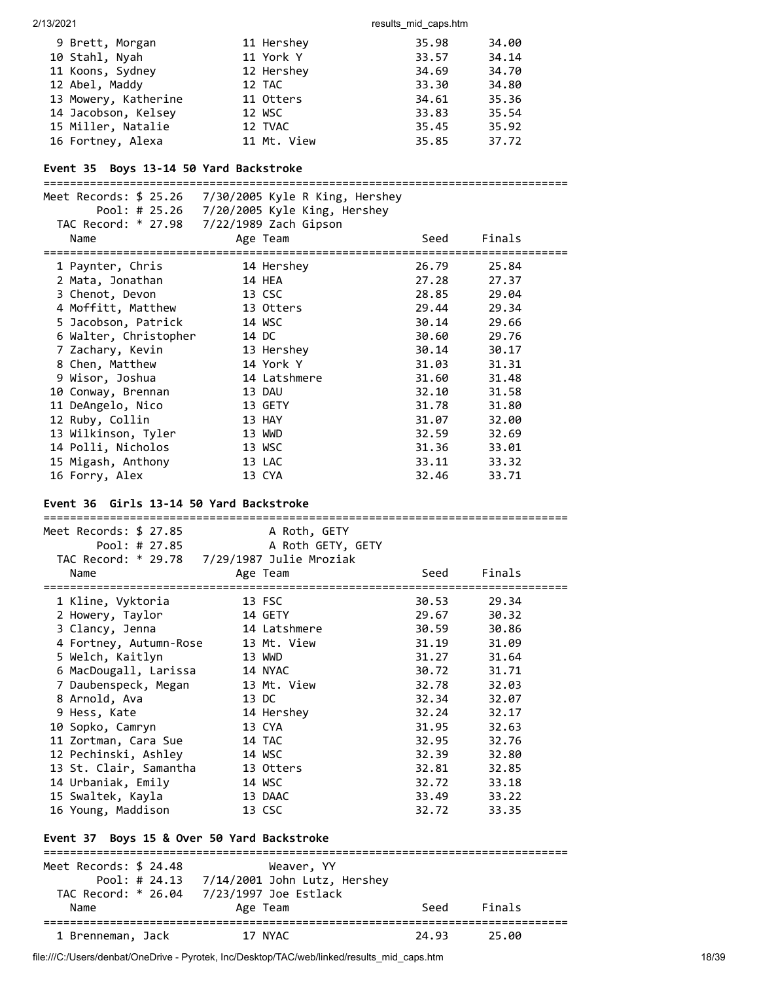| 9 Brett, Morgan      | 11 Hershey  | 35.98 | 34.00 |
|----------------------|-------------|-------|-------|
| 10 Stahl, Nyah       | 11 York Y   | 33.57 | 34.14 |
| 11 Koons, Sydney     | 12 Hershey  | 34.69 | 34.70 |
| 12 Abel, Maddy       | 12 TAC      | 33.30 | 34.80 |
| 13 Mowery, Katherine | 11 Otters   | 34.61 | 35.36 |
| 14 Jacobson, Kelsey  | 12 WSC      | 33.83 | 35.54 |
| 15 Miller, Natalie   | 12 TVAC     | 35.45 | 35.92 |
| 16 Fortney, Alexa    | 11 Mt. View | 35.85 | 37.72 |

# **Event 35 Boys 13-14 50 Yard Backstroke**

|                       | Meet Records: \$ 25.26 7/30/2005 Kyle R King, Hershey |       |        |
|-----------------------|-------------------------------------------------------|-------|--------|
|                       | Pool: # 25.26 7/20/2005 Kyle King, Hershey            |       |        |
|                       | TAC Record: * 27.98 7/22/1989 Zach Gipson             |       |        |
| Name                  | Age Team                                              | Seed  | Finals |
| 1 Paynter, Chris      | 14 Hershey                                            | 26.79 | 25.84  |
| 2 Mata, Jonathan      | 14 HEA                                                | 27.28 | 27.37  |
| 3 Chenot, Devon       | 13 CSC                                                | 28.85 | 29.04  |
| 4 Moffitt, Matthew    | 13 Otters                                             | 29.44 | 29.34  |
| 5 Jacobson, Patrick   | 14 WSC                                                | 30.14 | 29.66  |
| 6 Walter, Christopher | 14 DC                                                 | 30.60 | 29.76  |
| 7 Zachary, Kevin      | 13 Hershey                                            | 30.14 | 30.17  |
| 8 Chen, Matthew       | 14 York Y                                             | 31.03 | 31.31  |
| 9 Wisor, Joshua       | 14 Latshmere                                          | 31.60 | 31.48  |
| 10 Conway, Brennan    | 13 DAU                                                | 32.10 | 31.58  |
| 11 DeAngelo, Nico     | 13 GETY                                               | 31.78 | 31.80  |
| 12 Ruby, Collin       | 13 HAY                                                | 31.07 | 32.00  |
| 13 Wilkinson, Tyler   | 13 WWD                                                | 32.59 | 32.69  |
| 14 Polli, Nicholos    | 13 WSC                                                | 31.36 | 33.01  |
| 15 Migash, Anthony    | 13 LAC                                                | 33.11 | 33.32  |
| 16 Forry, Alex        | 13 CYA                                                | 32.46 | 33.71  |

### **Event 36 Girls 13-14 50 Yard Backstroke**

| Meet Records: \$ 27.85                     | A Roth, GETY                                |          |             |  |
|--------------------------------------------|---------------------------------------------|----------|-------------|--|
| Pool: # 27.85                              | A Roth GETY, GETY                           |          |             |  |
|                                            | TAC Record: * 29.78 7/29/1987 Julie Mroziak |          |             |  |
| Name                                       | Age Team                                    | Seed     | Finals      |  |
|                                            |                                             | ======== |             |  |
| 1 Kline, Vyktoria                          | 13 FSC                                      | 30.53    | 29.34       |  |
| 2 Howery, Taylor                           | 14 GETY                                     | 29.67    | 30.32       |  |
| 3 Clancy, Jenna                            | 14 Latshmere                                | 30.59    | 30.86       |  |
| 4 Fortney, Autumn-Rose                     | 13 Mt. View                                 | 31.19    | 31.09       |  |
| 5 Welch, Kaitlyn                           | 13 WWD                                      | 31.27    | 31.64       |  |
| 6 MacDougall, Larissa                      | 14 NYAC                                     | 30.72    | 31.71       |  |
| 7 Daubenspeck, Megan                       | 13 Mt. View                                 |          | 32.78 32.03 |  |
| 8 Arnold, Ava                              | 13 DC                                       | 32.34    | 32.07       |  |
| 9 Hess, Kate                               | 14 Hershey                                  | 32.24    | 32.17       |  |
| 10 Sopko, Camryn                           | 13 CYA                                      | 31.95    | 32.63       |  |
| 11 Zortman, Cara Sue                       | 14 TAC                                      | 32.95    | 32.76       |  |
| 12 Pechinski, Ashley                       | 14 WSC                                      |          | 32.39 32.80 |  |
| 13 St. Clair, Samantha                     | 13 Otters                                   | 32.81    | 32.85       |  |
| 14 Urbaniak, Emily                         | 14 WSC                                      | 32.72    | 33.18       |  |
| 15 Swaltek, Kayla                          | 13 DAAC                                     |          | 33.49 33.22 |  |
| 16 Young, Maddison                         | 13 CSC                                      | 32.72    | 33.35       |  |
|                                            |                                             |          |             |  |
| Event 37 Boys 15 & Over 50 Yard Backstroke |                                             |          |             |  |
| ===============================            |                                             |          |             |  |
| Meet Records: \$ 24.48                     | Weaver, YY                                  |          |             |  |
|                                            |                                             |          |             |  |
|                                            |                                             |          |             |  |
| Name                                       | Age Team                                    | Seed     | Finals      |  |
| 1 Brenneman, Jack                          | =============<br>17 NYAC                    | 24.93    | 25.00       |  |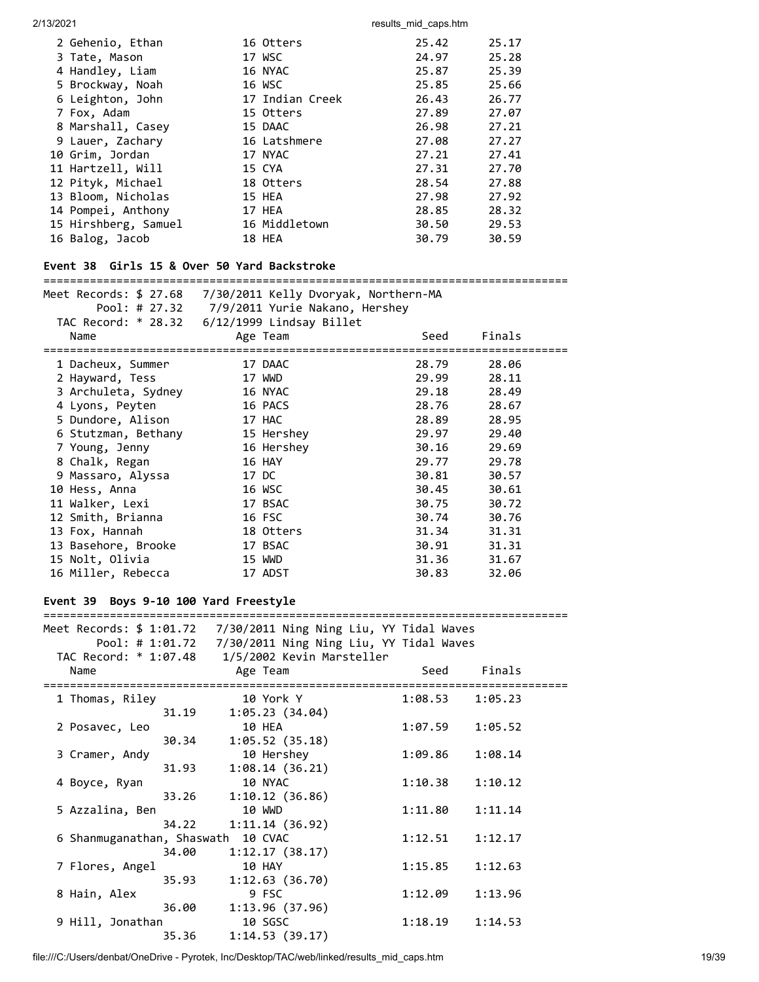| 2 Gehenio, Ethan     | 16 Otters       | 25.42 | 25.17 |
|----------------------|-----------------|-------|-------|
| 3 Tate, Mason        | 17 WSC          | 24.97 | 25.28 |
| 4 Handley, Liam      | 16 NYAC         | 25.87 | 25.39 |
| 5 Brockway, Noah     | 16 WSC          | 25.85 | 25.66 |
| 6 Leighton, John     | 17 Indian Creek | 26.43 | 26.77 |
| 7 Fox, Adam          | 15 Otters       | 27.89 | 27.07 |
| 8 Marshall, Casey    | 15 DAAC         | 26.98 | 27.21 |
| 9 Lauer, Zachary     | 16 Latshmere    | 27.08 | 27.27 |
| 10 Grim, Jordan      | 17 NYAC         | 27.21 | 27.41 |
| 11 Hartzell, Will    | 15 CYA          | 27.31 | 27.70 |
| 12 Pityk, Michael    | 18 Otters       | 28.54 | 27.88 |
| 13 Bloom, Nicholas   | 15 HEA          | 27.98 | 27.92 |
| 14 Pompei, Anthony   | 17 HEA          | 28.85 | 28.32 |
| 15 Hirshberg, Samuel | 16 Middletown   | 30.50 | 29.53 |
| 16 Balog, Jacob      | 18 HEA          | 30.79 | 30.59 |
|                      |                 |       |       |

# **Event 38 Girls 15 & Over 50 Yard Backstroke**

### ===============================================================================

| Meet Records: \$ 27.68           | 7/30/2011 Kelly Dvoryak, Northern-MA               |                                   |        |  |
|----------------------------------|----------------------------------------------------|-----------------------------------|--------|--|
|                                  | Pool: # 27.32 7/9/2011 Yurie Nakano, Hershey       |                                   |        |  |
|                                  | TAC Record: * 28.32    6/12/1999    Lindsay Billet |                                   |        |  |
| Name                             | Age Team                                           | Seed                              | Finals |  |
| ================================ |                                                    | --------------------------------- |        |  |
| 1 Dacheux, Summer                | 17 DAAC                                            | 28.79                             | 28.06  |  |
| 2 Hayward, Tess                  | 17 WWD                                             | 29.99                             | 28.11  |  |
| 3 Archuleta, Sydney              | 16 NYAC                                            | 29.18                             | 28.49  |  |
| 4 Lyons, Peyten                  | 16 PACS                                            | 28.76                             | 28.67  |  |
| 5 Dundore, Alison                | 17 HAC                                             | 28.89                             | 28.95  |  |
| 6 Stutzman, Bethany              | 15 Hershey                                         | 29.97                             | 29.40  |  |
| 7 Young, Jenny                   | 16 Hershey                                         | 30.16                             | 29.69  |  |
| 8 Chalk, Regan                   | 16 HAY                                             | 29.77                             | 29.78  |  |
| 9 Massaro, Alyssa                | 17 DC                                              | 30.81                             | 30.57  |  |
| 10 Hess, Anna                    | 16 WSC                                             | 30.45                             | 30.61  |  |
| 11 Walker, Lexi                  | 17 BSAC                                            | 30.75                             | 30.72  |  |
| 12 Smith, Brianna                | 16 FSC                                             | 30.74                             | 30.76  |  |
| 13 Fox, Hannah                   | 18 Otters                                          | 31.34                             | 31.31  |  |
| 13 Basehore, Brooke              | 17 BSAC                                            | 30.91                             | 31.31  |  |
| 15 Nolt, Olivia                  | 15 WWD                                             | 31.36                             | 31.67  |  |
| 16 Miller, Rebecca               | 17 ADST                                            | 30.83                             | 32.06  |  |
|                                  |                                                    |                                   |        |  |

# **Event 39 Boys 9-10 100 Yard Freestyle**

| Meet Records: \$ 1:01.72    7/30/2011 Ning Ning Liu, YY Tidal Waves |       |                                                                        |  |         |         |
|---------------------------------------------------------------------|-------|------------------------------------------------------------------------|--|---------|---------|
|                                                                     |       | Pool: # 1:01.72                7/30/2011 Ning Ning Liu, YY Tidal Waves |  |         |         |
| TAC Record: * 1:07.48 1/5/2002 Kevin Marsteller                     |       |                                                                        |  |         |         |
| Name                                                                |       | Age Team                                                               |  | Seed    | Finals  |
|                                                                     |       |                                                                        |  |         |         |
| 1 Thomas, Riley                                                     |       | 10 York Y                                                              |  | 1:08.53 | 1:05.23 |
|                                                                     | 31.19 | 1:05.23(34.04)                                                         |  |         |         |
| 2 Posavec, Leo                                                      |       | 10 HEA                                                                 |  | 1:07.59 | 1:05.52 |
|                                                                     | 30.34 | 1:05.52(35.18)                                                         |  |         |         |
| 3 Cramer, Andy                                                      |       | 10 Hershey                                                             |  | 1:09.86 | 1:08.14 |
|                                                                     | 31.93 | 1:08.14(36.21)                                                         |  |         |         |
| 4 Boyce, Ryan                                                       |       | 10 NYAC                                                                |  | 1:10.38 | 1:10.12 |
|                                                                     | 33.26 | 1:10.12(36.86)                                                         |  |         |         |
| 5 Azzalina, Ben                                                     |       | <b>10 WWD</b>                                                          |  | 1:11.80 | 1:11.14 |
|                                                                     | 34.22 | 1:11.14(36.92)                                                         |  |         |         |
| 6 Shanmuganathan, Shaswath 10 CVAC                                  |       |                                                                        |  | 1:12.51 | 1:12.17 |
|                                                                     | 34.00 | 1:12.17(38.17)                                                         |  |         |         |
| 7 Flores, Angel                                                     |       | 10 HAY                                                                 |  | 1:15.85 | 1:12.63 |
|                                                                     | 35.93 | 1:12.63(36.70)                                                         |  |         |         |
| 8 Hain, Alex                                                        |       | 9 FSC                                                                  |  | 1:12.09 | 1:13.96 |
|                                                                     | 36.00 | 1:13.96(37.96)                                                         |  |         |         |
| 9 Hill, Jonathan                                                    |       | 10 SGSC                                                                |  | 1:18.19 | 1:14.53 |
|                                                                     | 35.36 | 1:14.53(39.17)                                                         |  |         |         |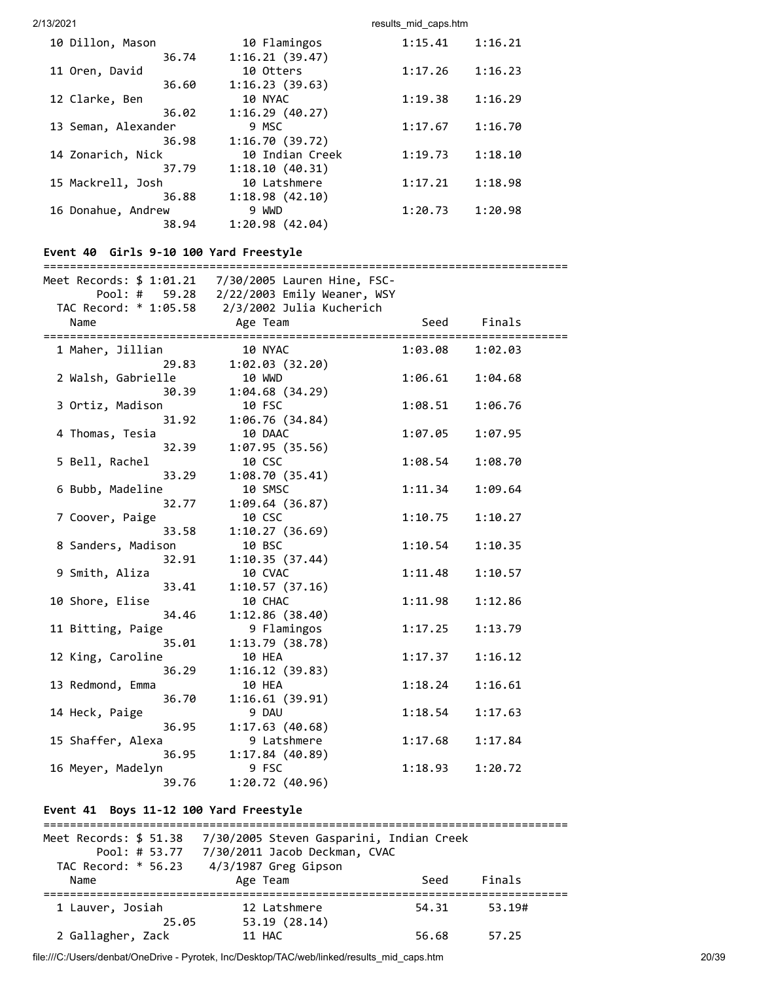| 10 Dillon, Mason    |       | 10 Flamingos    | 1:15.41 | 1:16.21 |
|---------------------|-------|-----------------|---------|---------|
|                     | 36.74 | 1:16.21(39.47)  |         |         |
| 11 Oren, David      |       | 10 Otters       | 1:17.26 | 1:16.23 |
|                     | 36.60 | 1:16.23(39.63)  |         |         |
| 12 Clarke, Ben      |       | 10 NYAC         | 1:19.38 | 1:16.29 |
|                     | 36.02 | 1:16.29(40.27)  |         |         |
| 13 Seman, Alexander |       | 9 MSC           | 1:17.67 | 1:16.70 |
|                     | 36.98 | 1:16.70(39.72)  |         |         |
| 14 Zonarich, Nick   |       | 10 Indian Creek | 1:19.73 | 1:18.10 |
|                     | 37.79 | 1:18.10(40.31)  |         |         |
| 15 Mackrell, Josh   |       | 10 Latshmere    | 1:17.21 | 1:18.98 |
|                     | 36.88 | 1:18.98(42.10)  |         |         |
| 16 Donahue, Andrew  |       | 9 WWD           | 1:20.73 | 1:20.98 |
|                     | 38.94 | 1:20.98(42.04)  |         |         |
|                     |       |                 |         |         |

## **Event 40 Girls 9-10 100 Yard Freestyle**

#### ===============================================================================

| Pool: # 59.28                                | 2/22/2003 Emily Weaner, WSY |         |                    |           |
|----------------------------------------------|-----------------------------|---------|--------------------|-----------|
| TAC Record: * 1:05.58                        | 2/3/2002 Julia Kucherich    |         |                    |           |
| Name<br>==================================== | Age Team                    | Seed    | Finals<br>:======= | :======== |
| 1 Maher, Jillian                             | 10 NYAC                     | 1:03.08 | 1:02.03            |           |
| 29.83                                        | 1:02.03(32.20)              |         |                    |           |
| 2 Walsh, Gabrielle                           | <b>10 WWD</b>               | 1:06.61 | 1:04.68            |           |
| 30.39                                        | 1:04.68(34.29)              |         |                    |           |
| 3 Ortiz, Madison                             | 10 FSC                      | 1:08.51 | 1:06.76            |           |
| 31.92                                        | 1:06.76(34.84)              |         |                    |           |
| 4 Thomas, Tesia                              | 10 DAAC                     | 1:07.05 | 1:07.95            |           |
| 32.39                                        | 1:07.95(35.56)              |         |                    |           |
| 5 Bell, Rachel                               | 10 CSC                      | 1:08.54 | 1:08.70            |           |
| 33.29                                        | 1:08.70(35.41)              |         |                    |           |
| 6 Bubb, Madeline                             | 10 SMSC                     | 1:11.34 | 1:09.64            |           |
| 32.77                                        | 1:09.64(36.87)              |         |                    |           |
| 7 Coover, Paige                              | 10 CSC                      | 1:10.75 | 1:10.27            |           |
| 33.58                                        | 1:10.27(36.69)              |         |                    |           |
| 8 Sanders, Madison                           | 10 BSC                      | 1:10.54 | 1:10.35            |           |
| 32.91                                        | 1:10.35(37.44)              |         |                    |           |
| 9 Smith, Aliza                               | 10 CVAC                     | 1:11.48 | 1:10.57            |           |
| 33.41                                        | 1:10.57(37.16)              |         |                    |           |
| 10 Shore, Elise                              | 10 CHAC                     | 1:11.98 | 1:12.86            |           |
| 34.46                                        | 1:12.86 (38.40)             |         |                    |           |
| 11 Bitting, Paige                            | 9 Flamingos                 | 1:17.25 | 1:13.79            |           |
| 35.01                                        | 1:13.79(38.78)              |         |                    |           |
| 12 King, Caroline                            | 10 HEA                      | 1:17.37 | 1:16.12            |           |
| 36.29                                        | 1:16.12(39.83)              |         |                    |           |
| 13 Redmond, Emma                             | 10 HEA                      | 1:18.24 | 1:16.61            |           |
| 36.70                                        | 1:16.61(39.91)              |         |                    |           |
| 14 Heck, Paige                               | 9 DAU                       | 1:18.54 | 1:17.63            |           |
| 36.95                                        | 1:17.63(40.68)              |         |                    |           |
| 15 Shaffer, Alexa                            | 9 Latshmere                 | 1:17.68 | 1:17.84            |           |
| 36.95                                        | 1:17.84(40.89)              |         |                    |           |
| 16 Meyer, Madelyn                            | 9 FSC                       | 1:18.93 | 1:20.72            |           |
| 39.76                                        | 1:20.72(40.96)              |         |                    |           |

# **Event 41 Boys 11-12 100 Yard Freestyle**

| Meet Records: \$ 51.38<br>Pool: # $53.77$<br>TAC Record: * 56.23<br>Name | 7/30/2005 Steven Gasparini, Indian Creek<br>7/30/2011 Jacob Deckman, CVAC<br>4/3/1987 Greg Gipson<br>Age Team | Seed           | Finals          |
|--------------------------------------------------------------------------|---------------------------------------------------------------------------------------------------------------|----------------|-----------------|
| 1 Lauver, Josiah<br>25.05<br>2 Gallagher, Zack                           | 12 Latshmere<br>53.19 (28.14)<br>11 HAC                                                                       | 54.31<br>56.68 | 53.19#<br>57.25 |

file:///C:/Users/denbat/OneDrive - Pyrotek, Inc/Desktop/TAC/web/linked/results\_mid\_caps.htm 20/39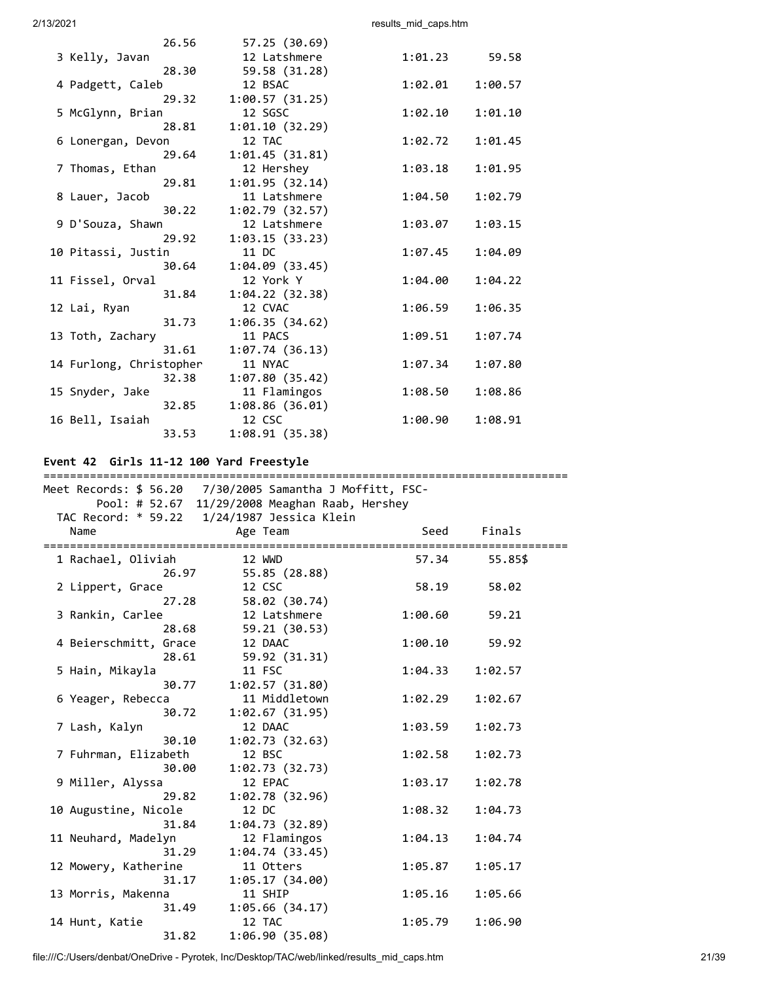|                         | 26.56 | 57.25 (30.69)  |         |         |
|-------------------------|-------|----------------|---------|---------|
| 3 Kelly, Javan          |       | 12 Latshmere   | 1:01.23 | 59.58   |
|                         | 28.30 | 59.58 (31.28)  |         |         |
| 4 Padgett, Caleb        |       | 12 BSAC        | 1:02.01 | 1:00.57 |
|                         | 29.32 | 1:00.57(31.25) |         |         |
| 5 McGlynn, Brian        |       | 12 SGSC        | 1:02.10 | 1:01.10 |
|                         | 28.81 | 1:01.10(32.29) |         |         |
| 6 Lonergan, Devon       |       | 12 TAC         | 1:02.72 | 1:01.45 |
|                         | 29.64 | 1:01.45(31.81) |         |         |
| 7 Thomas, Ethan         |       | 12 Hershey     | 1:03.18 | 1:01.95 |
|                         | 29.81 | 1:01.95(32.14) |         |         |
| 8 Lauer, Jacob          |       | 11 Latshmere   | 1:04.50 | 1:02.79 |
|                         | 30.22 | 1:02.79(32.57) |         |         |
| 9 D'Souza, Shawn        |       | 12 Latshmere   | 1:03.07 | 1:03.15 |
|                         | 29.92 | 1:03.15(33.23) |         |         |
| 10 Pitassi, Justin      |       | 11 DC          | 1:07.45 | 1:04.09 |
|                         | 30.64 | 1:04.09(33.45) |         |         |
| 11 Fissel, Orval        |       | 12 York Y      | 1:04.00 | 1:04.22 |
|                         | 31.84 | 1:04.22(32.38) |         |         |
| 12 Lai, Ryan            |       | 12 CVAC        | 1:06.59 | 1:06.35 |
|                         | 31.73 | 1:06.35(34.62) |         |         |
| 13 Toth, Zachary        |       | 11 PACS        | 1:09.51 | 1:07.74 |
|                         | 31.61 | 1:07.74(36.13) |         |         |
| 14 Furlong, Christopher |       | 11 NYAC        | 1:07.34 | 1:07.80 |
|                         | 32.38 | 1:07.80(35.42) |         |         |
| 15 Snyder, Jake         |       | 11 Flamingos   | 1:08.50 | 1:08.86 |
|                         | 32.85 | 1:08.86(36.01) |         |         |
| 16 Bell, Isaiah         |       | 12 CSC         | 1:00.90 | 1:08.91 |
|                         | 33.53 | 1:08.91(35.38) |         |         |
|                         |       |                |         |         |

# **Event 42 Girls 11-12 100 Yard Freestyle**

| Meet Records: \$ 56.20 7/30/2005 Samantha J Moffitt, FSC- |                                                |         |         |  |  |
|-----------------------------------------------------------|------------------------------------------------|---------|---------|--|--|
|                                                           | Pool: # 52.67 11/29/2008 Meaghan Raab, Hershey |         |         |  |  |
|                                                           | TAC Record: * 59.22 1/24/1987 Jessica Klein    |         |         |  |  |
| Name                                                      | Age Team                                       | Seed    | Finals  |  |  |
|                                                           |                                                |         |         |  |  |
| 1 Rachael, Oliviah                                        | 12 WWD                                         | 57.34   | 55.85\$ |  |  |
| 26.97                                                     | 55.85 (28.88)                                  |         |         |  |  |
| 2 Lippert, Grace                                          | 12 CSC                                         | 58.19   | 58.02   |  |  |
| 27.28                                                     | 58.02 (30.74)                                  |         |         |  |  |
| 3 Rankin, Carlee                                          | 12 Latshmere                                   | 1:00.60 | 59.21   |  |  |
| 28.68                                                     | 59.21 (30.53)                                  |         |         |  |  |
| 4 Beierschmitt, Grace                                     | 12 DAAC                                        | 1:00.10 | 59.92   |  |  |
| 28.61                                                     | 59.92 (31.31)                                  |         |         |  |  |
| 5 Hain, Mikayla                                           | 11 FSC                                         | 1:04.33 | 1:02.57 |  |  |
| 30.77                                                     | 1:02.57(31.80)                                 |         |         |  |  |
| 6 Yeager, Rebecca                                         | 11 Middletown                                  | 1:02.29 | 1:02.67 |  |  |
| 30.72                                                     | 1:02.67(31.95)                                 |         |         |  |  |
| 7 Lash, Kalyn                                             | 12 DAAC                                        | 1:03.59 | 1:02.73 |  |  |
| 30.10                                                     | 1:02.73(32.63)                                 |         |         |  |  |
| 7 Fuhrman, Elizabeth                                      | 12 BSC                                         | 1:02.58 | 1:02.73 |  |  |
| 30.00                                                     | 1:02.73(32.73)                                 |         |         |  |  |
| 9 Miller, Alyssa                                          | 12 EPAC                                        | 1:03.17 | 1:02.78 |  |  |
| 29.82                                                     | 1:02.78(32.96)                                 |         |         |  |  |
| 10 Augustine, Nicole                                      | 12 DC                                          | 1:08.32 | 1:04.73 |  |  |
| 31.84                                                     | 1:04.73(32.89)                                 |         |         |  |  |
| 11 Neuhard, Madelyn                                       | 12 Flamingos                                   | 1:04.13 | 1:04.74 |  |  |
| 31.29                                                     | 1:04.74(33.45)                                 |         |         |  |  |
| 12 Mowery, Katherine                                      | 11 Otters                                      | 1:05.87 | 1:05.17 |  |  |
| 31.17                                                     | 1:05.17(34.00)                                 |         |         |  |  |
| 13 Morris, Makenna                                        | 11 SHIP                                        | 1:05.16 | 1:05.66 |  |  |
| 31.49                                                     | 1:05.66(34.17)                                 |         |         |  |  |
| 14 Hunt, Katie                                            | 12 TAC                                         | 1:05.79 | 1:06.90 |  |  |
| 31.82                                                     | 1:06.90(35.08)                                 |         |         |  |  |
|                                                           |                                                |         |         |  |  |

file:///C:/Users/denbat/OneDrive - Pyrotek, Inc/Desktop/TAC/web/linked/results\_mid\_caps.htm 21/39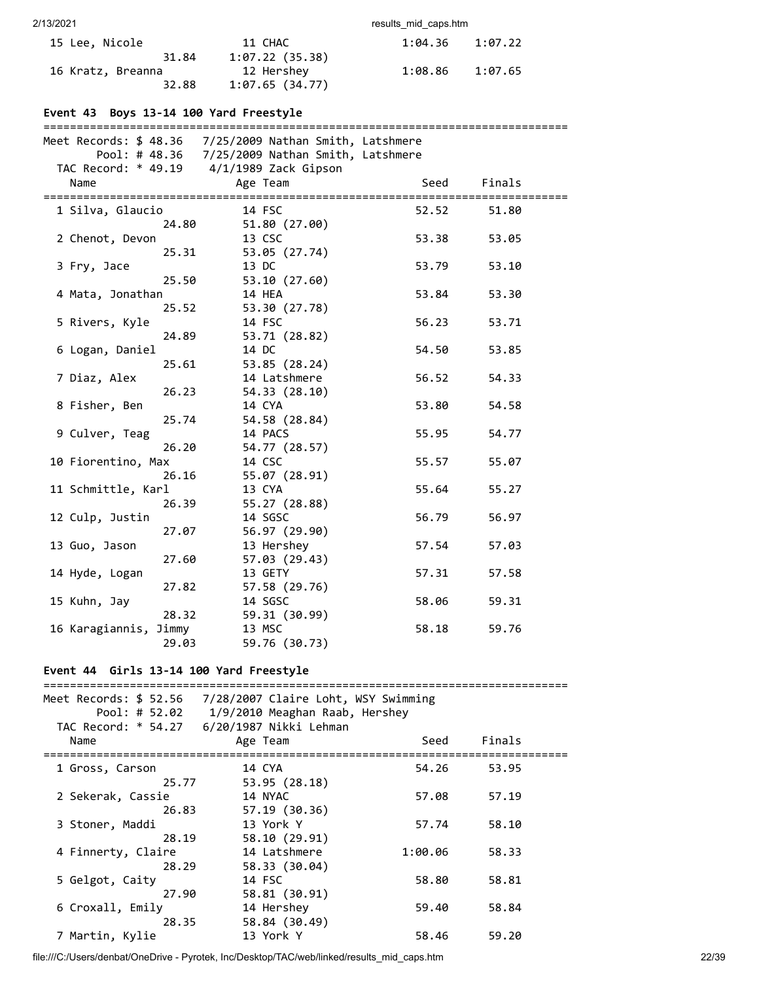| 15 Lee. Nicole    | 11 CHAC        | 1:04.36 | 1:07.22 |
|-------------------|----------------|---------|---------|
| 31.84             | 1:07.22(35.38) |         |         |
| 16 Kratz, Breanna | 12 Hershey     | 1:08.86 | 1:07.65 |
| 32.88             | 1:07.65(34.77) |         |         |

# **Event 43 Boys 13-14 100 Yard Freestyle**

|                       |       | Meet Records: \$ 48.36 7/25/2009 Nathan Smith, Latshmere |       |        |
|-----------------------|-------|----------------------------------------------------------|-------|--------|
|                       |       | Pool: # 48.36  7/25/2009 Nathan Smith, Latshmere         |       |        |
|                       |       | TAC Record: * 49.19  4/1/1989 Zack Gipson                |       |        |
| Name                  |       | Age Team                                                 | Seed  | Finals |
|                       |       |                                                          |       |        |
| 1 Silva, Glaucio      |       | 14 FSC                                                   | 52.52 | 51.80  |
|                       | 24.80 | 51.80 (27.00)                                            |       |        |
| 2 Chenot, Devon       |       | 13 CSC                                                   | 53.38 | 53.05  |
|                       | 25.31 | 53.05 (27.74)                                            |       |        |
| 3 Fry, Jace           |       | 13 DC                                                    | 53.79 | 53.10  |
|                       | 25.50 | 53.10 (27.60)                                            |       |        |
| 4 Mata, Jonathan      |       | 14 HEA                                                   | 53.84 | 53.30  |
|                       | 25.52 | 53.30 (27.78)                                            |       |        |
| 5 Rivers, Kyle        |       | 14 FSC                                                   | 56.23 | 53.71  |
|                       | 24.89 | 53.71 (28.82)                                            |       |        |
| 6 Logan, Daniel       |       | 14 DC                                                    | 54.50 | 53.85  |
|                       | 25.61 | 53.85 (28.24)                                            |       |        |
| 7 Diaz, Alex          |       | 14 Latshmere                                             | 56.52 | 54.33  |
|                       | 26.23 | 54.33 (28.10)                                            |       |        |
| 8 Fisher, Ben         |       | 14 CYA                                                   | 53.80 | 54.58  |
|                       | 25.74 | 54.58 (28.84)                                            |       |        |
| 9 Culver, Teag        |       | 14 PACS                                                  | 55.95 | 54.77  |
|                       | 26.20 | 54.77 (28.57)                                            |       |        |
| 10 Fiorentino, Max    |       | 14 CSC                                                   | 55.57 | 55.07  |
|                       | 26.16 | 55.07 (28.91)                                            |       |        |
| 11 Schmittle, Karl    |       | 13 CYA                                                   | 55.64 | 55.27  |
|                       | 26.39 | 55.27 (28.88)                                            |       |        |
| 12 Culp, Justin       |       | 14 SGSC                                                  | 56.79 | 56.97  |
|                       | 27.07 | 56.97 (29.90)                                            |       |        |
| 13 Guo, Jason         |       | 13 Hershey                                               | 57.54 | 57.03  |
|                       | 27.60 | 57.03 (29.43)                                            |       |        |
| 14 Hyde, Logan        |       | 13 GETY                                                  | 57.31 | 57.58  |
|                       | 27.82 | 57.58 (29.76)                                            |       |        |
| 15 Kuhn, Jay          |       | 14 SGSC                                                  | 58.06 | 59.31  |
|                       | 28.32 | 59.31 (30.99)                                            |       |        |
| 16 Karagiannis, Jimmy |       | 13 MSC                                                   | 58.18 | 59.76  |
|                       | 29.03 | 59.76 (30.73)                                            |       |        |
|                       |       |                                                          |       |        |

# **Event 44 Girls 13-14 100 Yard Freestyle**

| Meet Records: \$ 52.56<br>Pool: # $52.02$<br>TAC Record: * 54.27 | 7/28/2007 Claire Loht, WSY Swimming<br>1/9/2010 Meaghan Raab, Hershey<br>6/20/1987 Nikki Lehman |         |        |  |
|------------------------------------------------------------------|-------------------------------------------------------------------------------------------------|---------|--------|--|
| Name                                                             | Age Team                                                                                        | Seed    | Finals |  |
| 1 Gross, Carson<br>25.77                                         | 14 CYA                                                                                          | 54.26   | 53.95  |  |
| 2 Sekerak, Cassie                                                | 53.95 (28.18)<br>14 NYAC                                                                        | 57.08   | 57.19  |  |
| 26.83<br>3 Stoner, Maddi                                         | 57.19(30.36)<br>13 York Y                                                                       | 57.74   | 58.10  |  |
| 28.19<br>4 Finnerty, Claire                                      | 58.10 (29.91)<br>14 Latshmere                                                                   | 1:00.06 | 58.33  |  |
| 28.29<br>5 Gelgot, Caity                                         | 58.33 (30.04)<br>14 FSC                                                                         | 58.80   | 58.81  |  |
| 27.90                                                            | 58.81 (30.91)                                                                                   |         |        |  |
| 6 Croxall, Emily<br>28.35                                        | 14 Hershey<br>58.84 (30.49)                                                                     | 59.40   | 58.84  |  |
| 7 Martin, Kylie                                                  | 13 York Y                                                                                       | 58.46   | 59.20  |  |

file:///C:/Users/denbat/OneDrive - Pyrotek, Inc/Desktop/TAC/web/linked/results\_mid\_caps.htm 22/39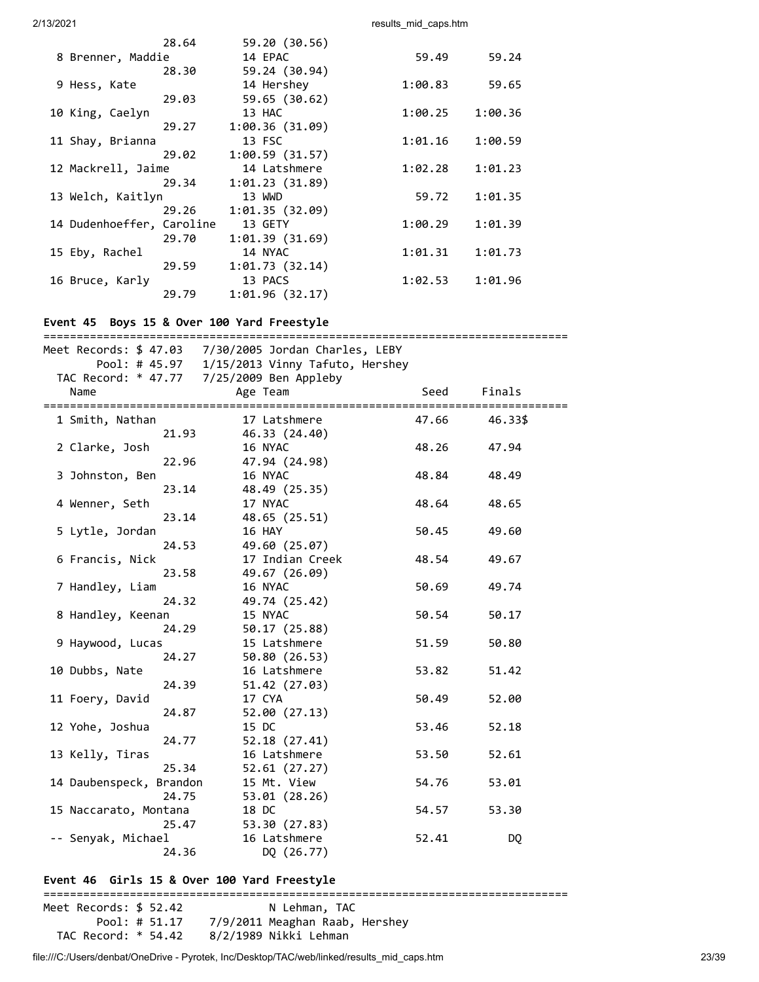|                           | 28.64 | 59.20 (30.56)  |         |         |
|---------------------------|-------|----------------|---------|---------|
| 8 Brenner, Maddie         |       | 14 EPAC        | 59.49   | 59.24   |
|                           | 28.30 | 59.24 (30.94)  |         |         |
| 9 Hess, Kate              |       | 14 Hershey     | 1:00.83 | 59.65   |
|                           | 29.03 | 59.65 (30.62)  |         |         |
| 10 King, Caelyn           |       | 13 HAC         | 1:00.25 | 1:00.36 |
|                           | 29.27 | 1:00.36(31.09) |         |         |
| 11 Shay, Brianna          |       | 13 FSC         | 1:01.16 | 1:00.59 |
|                           | 29.02 | 1:00.59(31.57) |         |         |
| 12 Mackrell, Jaime        |       | 14 Latshmere   | 1:02.28 | 1:01.23 |
|                           | 29.34 | 1:01.23(31.89) |         |         |
| 13 Welch, Kaitlyn         |       | 13 WWD         | 59.72   | 1:01.35 |
|                           | 29.26 | 1:01.35(32.09) |         |         |
| 14 Dudenhoeffer, Caroline |       | 13 GETY        | 1:00.29 | 1:01.39 |
|                           | 29.70 | 1:01.39(31.69) |         |         |
| 15 Eby, Rachel            |       | 14 NYAC        | 1:01.31 | 1:01.73 |
|                           | 29.59 | 1:01.73(32.14) |         |         |
| 16 Bruce, Karly           |       | 13 PACS        | 1:02.53 | 1:01.96 |
|                           | 29.79 | 1:01.96(32.17) |         |         |

## **Event 45 Boys 15 & Over 100 Yard Freestyle**

|                         | Meet Records: \$ 47.03 7/30/2005 Jordan Charles, LEBY |       |           |
|-------------------------|-------------------------------------------------------|-------|-----------|
|                         | Pool: # 45.97  1/15/2013 Vinny Tafuto, Hershey        |       |           |
|                         | TAC Record: * 47.77 7/25/2009 Ben Appleby             |       |           |
| Name                    | Age Team                                              | Seed  | Finals    |
|                         |                                                       |       |           |
| 1 Smith, Nathan         | 17 Latshmere                                          | 47.66 | 46.33\$   |
| 21.93                   | 46.33 (24.40)                                         |       |           |
| 2 Clarke, Josh          | 16 NYAC                                               | 48.26 | 47.94     |
| 22.96                   | 47.94 (24.98)                                         |       |           |
| 3 Johnston, Ben         | 16 NYAC                                               | 48.84 | 48.49     |
| 23.14                   | 48.49 (25.35)                                         |       |           |
| 4 Wenner, Seth          | 17 NYAC                                               | 48.64 | 48.65     |
| 23.14                   | 48.65 (25.51)                                         |       |           |
| 5 Lytle, Jordan         | 16 HAY                                                | 50.45 | 49.60     |
| 24.53                   | 49.60 (25.07)                                         |       |           |
| 6 Francis, Nick         | 17 Indian Creek                                       | 48.54 | 49.67     |
| 23.58                   | 49.67 (26.09)                                         |       |           |
| 7 Handley, Liam         | 16 NYAC                                               | 50.69 | 49.74     |
| 24.32                   | 49.74 (25.42)                                         |       |           |
| 8 Handley, Keenan       | 15 NYAC                                               | 50.54 | 50.17     |
| 24.29                   | 50.17 (25.88)                                         |       |           |
| 9 Haywood, Lucas        | 15 Latshmere                                          | 51.59 | 50.80     |
| 24.27                   | 50.80 (26.53)                                         |       |           |
| 10 Dubbs, Nate          | 16 Latshmere                                          | 53.82 | 51.42     |
| 24.39                   | 51.42 (27.03)                                         |       |           |
| 11 Foery, David         | 17 CYA                                                | 50.49 | 52.00     |
| 24.87                   | 52.00 (27.13)                                         |       |           |
| 12 Yohe, Joshua         | 15 DC                                                 | 53.46 | 52.18     |
| 24.77                   | 52.18 (27.41)                                         |       |           |
| 13 Kelly, Tiras         | 16 Latshmere                                          | 53.50 | 52.61     |
| 25.34                   | 52.61(27.27)                                          |       |           |
| 14 Daubenspeck, Brandon | 15 Mt. View                                           | 54.76 | 53.01     |
| 24.75                   | 53.01 (28.26)                                         |       |           |
| 15 Naccarato, Montana   | 18 DC                                                 | 54.57 | 53.30     |
| 25.47                   | 53.30 (27.83)                                         |       |           |
| -- Senyak, Michael      | 16 Latshmere                                          | 52.41 | <b>DQ</b> |
| 24.36                   | DQ (26.77)                                            |       |           |
|                         |                                                       |       |           |

### **Event 46 Girls 15 & Over 100 Yard Freestyle**

=============================================================================== Meet Records: \$ 52.42 N Lehman, TAC Pool: # 51.17 7/9/2011 Meaghan Raab, Hershey TAC Record: \* 54.42 8/2/1989 Nikki Lehman

file:///C:/Users/denbat/OneDrive - Pyrotek, Inc/Desktop/TAC/web/linked/results\_mid\_caps.htm 23/39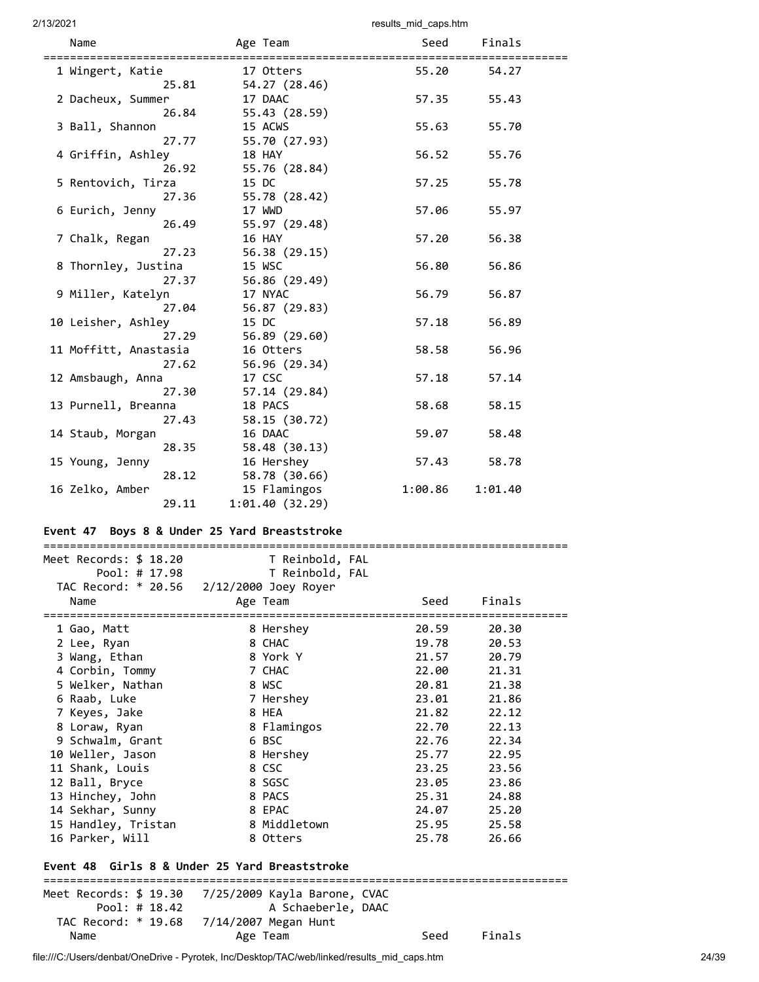| Name<br>--------------------- | Age Team                      | Seed    | Finals  |  |
|-------------------------------|-------------------------------|---------|---------|--|
| 1 Wingert, Katie              | 17 Otters                     | 55.20   | 54.27   |  |
| 25.81<br>2 Dacheux, Summer    | 54.27 (28.46)<br>17 DAAC      | 57.35   | 55.43   |  |
| 26.84                         | 55.43 (28.59)                 |         |         |  |
| 3 Ball, Shannon<br>27.77      | 15 ACWS<br>55.70 (27.93)      | 55.63   | 55.70   |  |
| 4 Griffin, Ashley             | 18 HAY                        | 56.52   | 55.76   |  |
| 26.92<br>5 Rentovich, Tirza   | 55.76 (28.84)<br>15 DC        | 57.25   | 55.78   |  |
| 27.36<br>6 Eurich, Jenny      | 55.78 (28.42)<br>17 WWD       | 57.06   | 55.97   |  |
| 26.49                         | 55.97 (29.48)                 |         |         |  |
| 7 Chalk, Regan<br>27.23       | 16 HAY<br>56.38 (29.15)       | 57.20   | 56.38   |  |
| 8 Thornley, Justina           | 15 WSC                        | 56.80   | 56.86   |  |
| 27.37<br>9 Miller, Katelyn    | 56.86 (29.49)<br>17 NYAC      | 56.79   | 56.87   |  |
| 27.04                         | 56.87 (29.83)                 |         |         |  |
| 10 Leisher, Ashley<br>27.29   | 15 DC<br>56.89 (29.60)        | 57.18   | 56.89   |  |
| 11 Moffitt, Anastasia         | 16 Otters                     | 58.58   | 56.96   |  |
| 27.62<br>12 Amsbaugh, Anna    | 56.96 (29.34)<br>17 CSC       | 57.18   | 57.14   |  |
| 27.30<br>13 Purnell, Breanna  | 57.14 (29.84)<br>18 PACS      | 58.68   | 58.15   |  |
| 27.43                         | 58.15 (30.72)                 |         |         |  |
| 14 Staub, Morgan<br>28.35     | 16 DAAC<br>58.48 (30.13)      | 59.07   | 58.48   |  |
| 15 Young, Jenny               | 16 Hershey                    | 57.43   | 58.78   |  |
| 28.12<br>16 Zelko, Amber      | 58.78 (30.66)<br>15 Flamingos | 1:00.86 | 1:01.40 |  |
| 29.11                         | 1:01.40(32.29)                |         |         |  |

# **Event 47 Boys 8 & Under 25 Yard Breaststroke**

| Meet Records: \$ 18.20                     | T Reinbold, FAL                          |                      |        |
|--------------------------------------------|------------------------------------------|----------------------|--------|
| Pool: # 17.98                              | T Reinbold, FAL                          |                      |        |
|                                            | TAC Record: * 20.56 2/12/2000 Joey Royer |                      |        |
| Name                                       | Age Team                                 | Seed                 | Finals |
| ===========================<br>1 Gao, Matt | 8 Hershey                                | -----------<br>20.59 | 20.30  |
| 2 Lee, Ryan                                | 8 CHAC                                   | 19.78                | 20.53  |
| 3 Wang, Ethan                              | 8 York Y                                 | 21.57                | 20.79  |
| 4 Corbin, Tommy                            | 7 CHAC                                   | 22.00                | 21.31  |
| 5 Welker, Nathan                           | 8 WSC                                    | 20.81                | 21.38  |
| 6 Raab, Luke                               | 7 Hershey                                | 23.01                | 21.86  |
| 7 Keyes, Jake                              | 8 HEA                                    | 21.82                | 22.12  |
| 8 Loraw, Ryan                              | 8 Flamingos                              | 22.70                | 22.13  |
| 9 Schwalm, Grant                           | 6 BSC                                    | 22.76                | 22.34  |
| 10 Weller, Jason                           | 8 Hershey                                | 25.77                | 22.95  |
| 11 Shank, Louis                            | 8 CSC                                    | 23.25                | 23.56  |
| 12 Ball, Bryce                             | 8 SGSC                                   | 23.05                | 23.86  |
| 13 Hinchey, John                           | 8 PACS                                   | 25.31                | 24.88  |
| 14 Sekhar, Sunny                           | 8 EPAC                                   | 24.07                | 25.20  |
| 15 Handley, Tristan                        | 8 Middletown                             | 25.95                | 25.58  |
| 16 Parker, Will                            | 8 Otters                                 | 25.78                | 26.66  |

# **Event 48 Girls 8 & Under 25 Yard Breaststroke**

|      |                 | Meet Records: \$ 19.30 7/25/2009 Kayla Barone, CVAC |      |        |  |
|------|-----------------|-----------------------------------------------------|------|--------|--|
|      | Pool: # $18.42$ | A Schaeberle, DAAC                                  |      |        |  |
|      |                 | TAC Record: * 19.68 7/14/2007 Megan Hunt            |      |        |  |
| Name |                 | Age Team                                            | Seed | Finals |  |

file:///C:/Users/denbat/OneDrive - Pyrotek, Inc/Desktop/TAC/web/linked/results\_mid\_caps.htm 24/39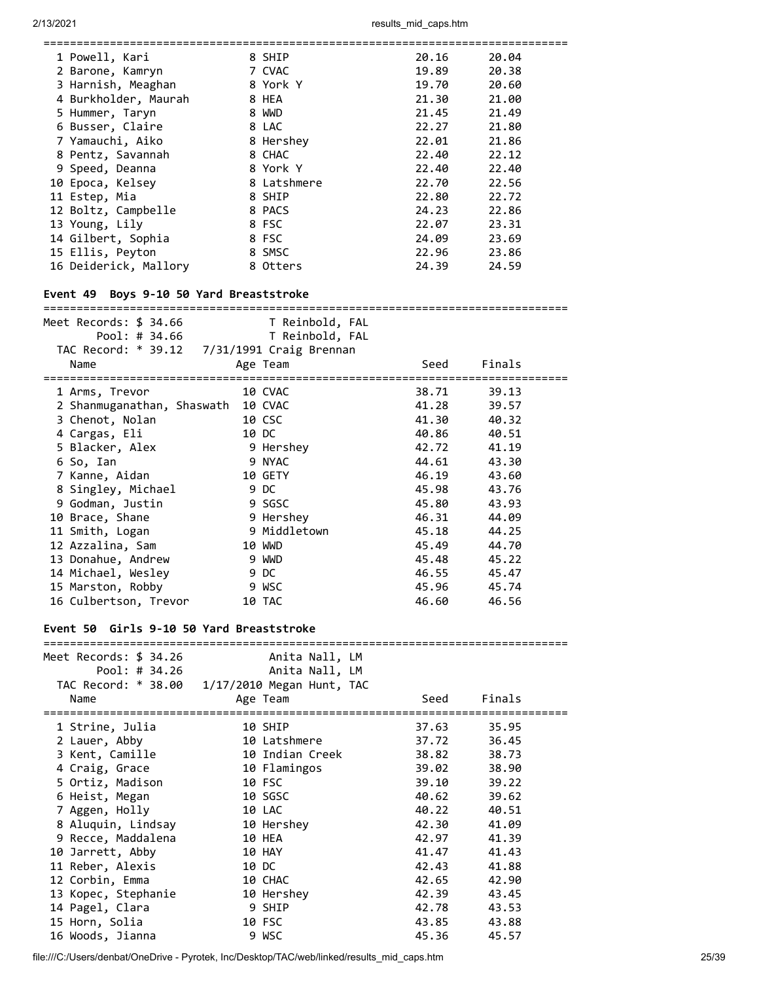| ==========================                                                      |                           | ============ | ============== |  |
|---------------------------------------------------------------------------------|---------------------------|--------------|----------------|--|
| 1 Powell, Kari                                                                  | 8 SHIP                    | 20.16        | 20.04          |  |
| 2 Barone, Kamryn                                                                | 7 CVAC                    | 19.89        | 20.38          |  |
| 3 Harnish, Meaghan                                                              | 8 York Y                  | 19.70        | 20.60          |  |
| 4 Burkholder, Maurah                                                            | 8 HEA                     | 21.30        | 21.00          |  |
| 5 Hummer, Taryn                                                                 | 8 WWD                     | 21.45        | 21.49          |  |
| 6 Busser, Claire                                                                | 8 LAC                     | 22.27        | 21.80          |  |
| 7 Yamauchi, Aiko                                                                | 8 Hershey                 | 22.01        | 21.86          |  |
| 8 Pentz, Savannah                                                               | 8 CHAC                    | 22.40        | 22.12          |  |
| 9 Speed, Deanna                                                                 | 8 York Y                  | 22.40        | 22.40          |  |
| 10 Epoca, Kelsey                                                                | 8 Latshmere               | 22.70        | 22.56          |  |
| 11 Estep, Mia                                                                   | 8 SHIP                    | 22.80        | 22.72          |  |
| 12 Boltz, Campbelle                                                             | 8 PACS                    | 24.23        | 22.86          |  |
| 13 Young, Lily                                                                  | 8 FSC                     | 22.07        | 23.31          |  |
|                                                                                 |                           |              |                |  |
| 14 Gilbert, Sophia                                                              | 8 FSC                     | 24.09        | 23.69          |  |
| 15 Ellis, Peyton                                                                | 8 SMSC                    | 22.96        | 23.86          |  |
| 16 Deiderick, Mallory                                                           | 8 Otters                  | 24.39        | 24.59          |  |
| Event 49 Boys 9-10 50 Yard Breaststroke<br>==================================== |                           |              |                |  |
| Meet Records: \$ 34.66                                                          | T Reinbold, FAL           |              |                |  |
| Pool: # 34.66                                                                   | T Reinbold, FAL           |              |                |  |
| TAC Record: * 39.12 7/31/1991 Craig Brennan                                     |                           |              |                |  |
| Name                                                                            | Age Team                  | Seed         | Finals         |  |
|                                                                                 |                           |              |                |  |
| 1 Arms, Trevor                                                                  | 10 CVAC                   | 38.71        | 39.13          |  |
| 2 Shanmuganathan, Shaswath 10 CVAC                                              |                           | 41.28        | 39.57          |  |
| 3 Chenot, Nolan                                                                 | 10 CSC                    | 41.30        | 40.32          |  |
| 4 Cargas, Eli                                                                   | 10 DC                     | 40.86        | 40.51          |  |
| 5 Blacker, Alex                                                                 | 9 Hershey                 | 42.72        | 41.19          |  |
| 6 So, Ian                                                                       | 9 NYAC                    | 44.61        | 43.30          |  |
| 7 Kanne, Aidan                                                                  | 10 GETY                   | 46.19        | 43.60          |  |
| 8 Singley, Michael                                                              | 9 DC                      | 45.98        | 43.76          |  |
| 9 Godman, Justin                                                                | 9 SGSC                    | 45.80        | 43.93          |  |
| 10 Brace, Shane                                                                 | 9 Hershey                 | 46.31        | 44.09          |  |
| 11 Smith, Logan                                                                 | 9 Middletown              | 45.18        | 44.25          |  |
| 12 Azzalina, Sam                                                                | 10 WWD                    | 45.49        | 44.70          |  |
| 13 Donahue, Andrew                                                              | 9 WWD                     | 45.48        | 45.22          |  |
| 14 Michael, Wesley                                                              | 9 DC                      | 46.55        | 45.47          |  |
| 15 Marston, Robby                                                               | 9 WSC                     | 45.96        | 45.74          |  |
| 16 Culbertson, Trevor                                                           | 10 TAC                    | 46.60        | 46.56          |  |
|                                                                                 |                           |              |                |  |
| Event 50 Girls 9-10 50 Yard Breaststroke                                        |                           |              |                |  |
| Meet Records: \$ 34.26                                                          | Anita Nall, LM            |              |                |  |
| Pool: # 34.26                                                                   | Anita Nall, LM            |              |                |  |
| TAC Record: * 38.00                                                             | 1/17/2010 Megan Hunt, TAC |              |                |  |
| Name                                                                            | Age Team                  | Seed         | Finals         |  |
|                                                                                 |                           |              |                |  |
| 1 Strine, Julia                                                                 | 10 SHIP                   | 37.63        | 35.95          |  |
| 2 Lauer, Abby                                                                   | 10 Latshmere              | 37.72        | 36.45          |  |
| 3 Kent, Camille                                                                 | 10 Indian Creek           | 38.82        | 38.73          |  |
| 4 Craig, Grace                                                                  | 10 Flamingos              | 39.02        | 38.90          |  |
| 5 Ortiz, Madison                                                                | 10 FSC                    | 39.10        | 39.22          |  |
| 6 Heist, Megan                                                                  | 10 SGSC                   | 40.62        | 39.62          |  |
| 7 Aggen, Holly                                                                  | 10 LAC                    | 40.22        | 40.51          |  |
| 8 Aluquin, Lindsay                                                              | 10 Hershey                | 42.30        | 41.09          |  |
|                                                                                 |                           |              |                |  |
| 9 Recce, Maddalena                                                              | 10 HEA                    | 42.97        | 41.39          |  |
| 10 Jarrett, Abby                                                                | 10 HAY                    | 41.47        | 41.43          |  |
| 11 Reber, Alexis                                                                | 10 DC                     | 42.43        | 41.88          |  |
| 12 Corbin, Emma                                                                 | 10 CHAC                   | 42.65        | 42.90          |  |
| 13 Kopec, Stephanie                                                             | 10 Hershey                | 42.39        | 43.45          |  |
| 14 Pagel, Clara                                                                 | 9 SHIP                    | 42.78        | 43.53          |  |
| 15 Horn, Solia                                                                  | 10 FSC                    | 43.85        | 43.88          |  |
| 16 Woods, Jianna                                                                | 9 WSC                     | 45.36        | 45.57          |  |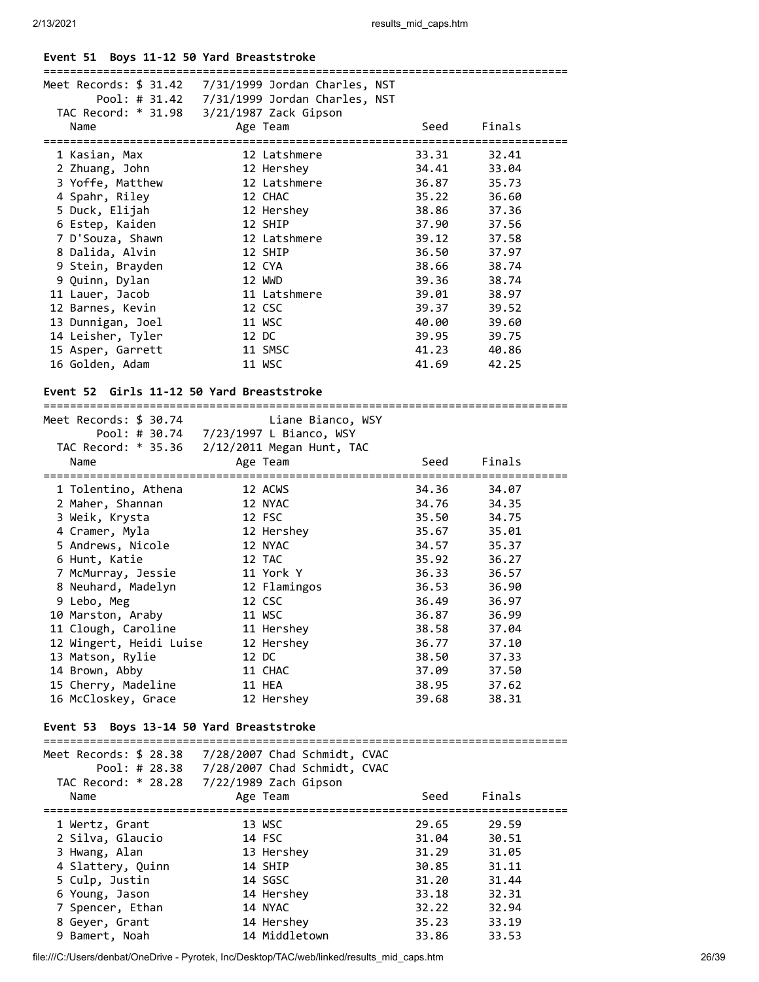# **Event 51 Boys 11-12 50 Yard Breaststroke**

|                   | Meet Records: $$31.42$ $7/31/1999$ Jordan Charles, NST |       |        |
|-------------------|--------------------------------------------------------|-------|--------|
|                   |                                                        |       |        |
|                   | TAC Record: * 31.98 3/21/1987 Zack Gipson              |       |        |
| Name              | Age Team                                               | Seed  | Finals |
| 1 Kasian, Max     | 12 Latshmere                                           | 33.31 | 32.41  |
| 2 Zhuang, John    | 12 Hershey                                             | 34.41 | 33.04  |
| 3 Yoffe, Matthew  | 12 Latshmere                                           | 36.87 | 35.73  |
| 4 Spahr, Riley    | 12 CHAC                                                | 35.22 | 36.60  |
| 5 Duck, Elijah    | 12 Hershey                                             | 38.86 | 37.36  |
| 6 Estep, Kaiden   | 12 SHIP                                                | 37.90 | 37.56  |
| 7 D'Souza, Shawn  | 12 Latshmere                                           | 39.12 | 37.58  |
| 8 Dalida, Alvin   | 12 SHIP                                                | 36.50 | 37.97  |
| 9 Stein, Brayden  | 12 CYA                                                 | 38.66 | 38.74  |
| 9 Quinn, Dylan    | 12 WWD                                                 | 39.36 | 38.74  |
| 11 Lauer, Jacob   | 11 Latshmere                                           | 39.01 | 38.97  |
| 12 Barnes, Kevin  | 12 CSC                                                 | 39.37 | 39.52  |
| 13 Dunnigan, Joel | 11 WSC                                                 | 40.00 | 39.60  |
| 14 Leisher, Tyler | 12 DC                                                  | 39.95 | 39.75  |
| 15 Asper, Garrett | 11 SMSC                                                | 41.23 | 40.86  |
| 16 Golden, Adam   | 11 WSC                                                 | 41.69 | 42.25  |

# **Event 52 Girls 11-12 50 Yard Breaststroke**

| Meet Records: \$ 30.74  | Liane Bianco, WSY                             |       |        |
|-------------------------|-----------------------------------------------|-------|--------|
|                         | TAC Record: * 35.36 2/12/2011 Megan Hunt, TAC |       |        |
| Name                    | Age Team                                      | Seed  | Finals |
| 1 Tolentino, Athena     | 12 ACWS                                       | 34.36 | 34.07  |
| 2 Maher, Shannan        | 12 NYAC                                       | 34.76 | 34.35  |
| 3 Weik, Krysta          | 12 FSC                                        | 35.50 | 34.75  |
| 4 Cramer, Myla          | 12 Hershey                                    | 35.67 | 35.01  |
| 5 Andrews, Nicole       | 12 NYAC                                       | 34.57 | 35.37  |
| 6 Hunt, Katie           | 12 TAC                                        | 35.92 | 36.27  |
| 7 McMurray, Jessie      | 11 York Y                                     | 36.33 | 36.57  |
| 8 Neuhard, Madelyn      | 12 Flamingos                                  | 36.53 | 36.90  |
| 9 Lebo, Meg             | 12 CSC                                        | 36.49 | 36.97  |
| 10 Marston, Araby       | 11 WSC                                        | 36.87 | 36.99  |
| 11 Clough, Caroline     | 11 Hershey                                    | 38.58 | 37.04  |
| 12 Wingert, Heidi Luise | 12 Hershey                                    | 36.77 | 37.10  |
| 13 Matson, Rylie        | 12 DC                                         | 38.50 | 37.33  |
| 14 Brown, Abby          | 11 CHAC                                       | 37.09 | 37.50  |
| 15 Cherry, Madeline     | 11 HEA                                        | 38.95 | 37.62  |
| 16 McCloskey, Grace     | 12 Hershey                                    | 39.68 | 38.31  |

## **Event 53 Boys 13-14 50 Yard Breaststroke**

| Meet Records: \$ 28.38<br>Pool: # $28.38$<br>TAC Record: * 28.28 | 7/28/2007 Chad Schmidt, CVAC<br>7/28/2007 Chad Schmidt, CVAC<br>7/22/1989 Zach Gipson |       |        |  |
|------------------------------------------------------------------|---------------------------------------------------------------------------------------|-------|--------|--|
| Name                                                             | Age Team                                                                              | Seed  | Finals |  |
|                                                                  |                                                                                       |       |        |  |
| 1 Wertz, Grant                                                   | 13 WSC                                                                                | 29.65 | 29.59  |  |
| 2 Silva, Glaucio                                                 | 14 FSC                                                                                | 31.04 | 30.51  |  |
| 3 Hwang, Alan                                                    | 13 Hershey                                                                            | 31.29 | 31.05  |  |
| 4 Slattery, Quinn                                                | 14 SHIP                                                                               | 30.85 | 31.11  |  |
| 5 Culp, Justin                                                   | 14 SGSC                                                                               | 31.20 | 31.44  |  |
| 6 Young, Jason                                                   | 14 Hershey                                                                            | 33.18 | 32.31  |  |
| 7 Spencer, Ethan                                                 | 14 NYAC                                                                               | 32.22 | 32.94  |  |
| 8 Geyer, Grant                                                   | 14 Hershey                                                                            | 35.23 | 33.19  |  |
| 9 Bamert, Noah                                                   | 14 Middletown                                                                         | 33.86 | 33.53  |  |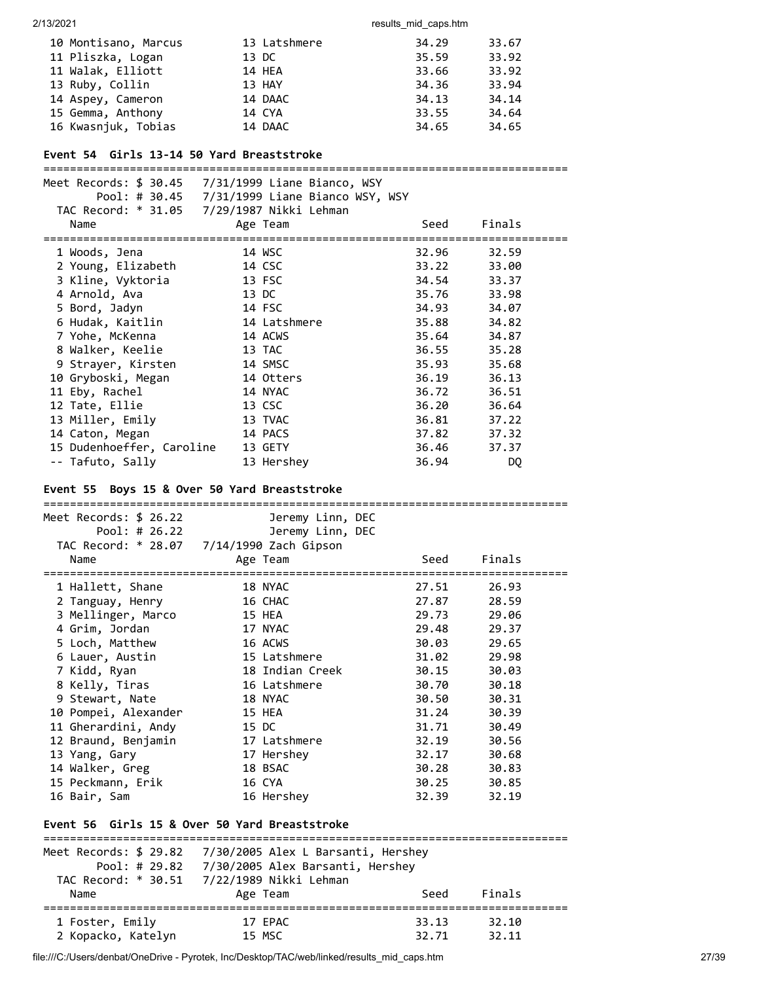| 10 Montisano, Marcus | 13 Latshmere | 34.29 | 33.67 |
|----------------------|--------------|-------|-------|
| 11 Pliszka, Logan    | 13 DC        | 35.59 | 33.92 |
| 11 Walak, Elliott    | 14 HEA       | 33.66 | 33.92 |
| 13 Ruby, Collin      | 13 HAY       | 34.36 | 33.94 |
| 14 Aspey, Cameron    | 14 DAAC      | 34.13 | 34.14 |
| 15 Gemma, Anthony    | 14 CYA       | 33.55 | 34.64 |
| 16 Kwasnjuk, Tobias  | 14 DAAC      | 34.65 | 34.65 |

#### **Event 54 Girls 13-14 50 Yard Breaststroke**

===============================================================================

| Meet Records: $$30.45$ $7/31/1999$ Liane Bianco, WSY |              |       |        |
|------------------------------------------------------|--------------|-------|--------|
|                                                      |              |       |        |
| TAC Record: * 31.05 7/29/1987 Nikki Lehman           |              |       |        |
| Name                                                 | Age Team     | Seed  | Finals |
|                                                      |              |       |        |
| 1 Woods, Jena                                        | 14 WSC       | 32.96 | 32.59  |
| 2 Young, Elizabeth                                   | 14 CSC       | 33.22 | 33.00  |
| 3 Kline, Vyktoria                                    | 13 FSC       | 34.54 | 33.37  |
| 4 Arnold, Ava                                        | 13 DC        | 35.76 | 33.98  |
| 5 Bord, Jadyn                                        | 14 FSC       | 34.93 | 34.07  |
| 6 Hudak, Kaitlin                                     | 14 Latshmere | 35.88 | 34.82  |
| 7 Yohe, McKenna                                      | 14 ACWS      | 35.64 | 34.87  |
| 8 Walker, Keelie                                     | 13 TAC       | 36.55 | 35.28  |
| 9 Strayer, Kirsten                                   | 14 SMSC      | 35.93 | 35.68  |
| 10 Gryboski, Megan                                   | 14 Otters    | 36.19 | 36.13  |
| 11 Eby, Rachel                                       | 14 NYAC      | 36.72 | 36.51  |
| 12 Tate, Ellie                                       | 13 CSC       | 36.20 | 36.64  |
| 13 Miller, Emily                                     | 13 TVAC      | 36.81 | 37.22  |
| 14 Caton, Megan                                      | 14 PACS      | 37.82 | 37.32  |
| 15 Dudenhoeffer, Caroline                            | 13 GETY      | 36.46 | 37.37  |
| -- Tafuto, Sally                                     | 13 Hershey   | 36.94 | DQ     |

### **Event 55 Boys 15 & Over 50 Yard Breaststroke**

=============================================================================== Meet Records: \$ 26.22 Jeremy Linn, DEC Pool: # 26.22 Jeremy Linn, DEC TAC Record: \* 28.07 7/14/1990 Zach Gipson Name Age Team Seed Finals =============================================================================== 1 Hallett, Shane 18 NYAC 27.51 26.93 2 Tanguay, Henry 16 CHAC 27.87 28.59 3 Mellinger, Marco 15 HEA 29.73 29.06 4 Grim, Jordan 17 NYAC 29.48 29.37 5 Loch, Matthew 16 ACWS 30.03 29.65 6 Lauer, Austin 15 Latshmere 31.02 29.98 7 Kidd, Ryan 18 Indian Creek 30.15 30.03 8 Kelly, Tiras 16 Latshmere 30.70 30.18 9 Stewart, Nate 18 NYAC 30.50 30.31 10 Pompei, Alexander 15 HEA 31.24 30.39 11 Gherardini, Andy 15 DC 31.71 30.49 12 Braund, Benjamin 17 Latshmere 32.19 30.56 13 Yang, Gary 17 Hershey 32.17 30.68 14 Walker, Greg 18 BSAC 30.28 30.83 15 Peckmann, Erik 16 CYA 30.25 30.85 16 Bair, Sam 16 Hershey 32.39 32.19 **Event 56 Girls 15 & Over 50 Yard Breaststroke**

| Meet Records: \$ 29.82<br>Pool: $# 29.82$ | 7/30/2005 Alex L Barsanti, Hershey<br>7/30/2005 Alex Barsanti, Hershey |       |        |  |  |  |  |  |  |  |
|-------------------------------------------|------------------------------------------------------------------------|-------|--------|--|--|--|--|--|--|--|
| TAC Record: * 30.51                       | 7/22/1989 Nikki Lehman                                                 |       |        |  |  |  |  |  |  |  |
| Name                                      | Age Team                                                               | Seed  | Finals |  |  |  |  |  |  |  |
| 1 Foster, Emily                           | 17 EPAC                                                                | 33.13 | 32.10  |  |  |  |  |  |  |  |
| 2 Kopacko, Katelyn                        | 15 MSC                                                                 | 32.71 | 32.11  |  |  |  |  |  |  |  |

file:///C:/Users/denbat/OneDrive - Pyrotek, Inc/Desktop/TAC/web/linked/results\_mid\_caps.htm 27/39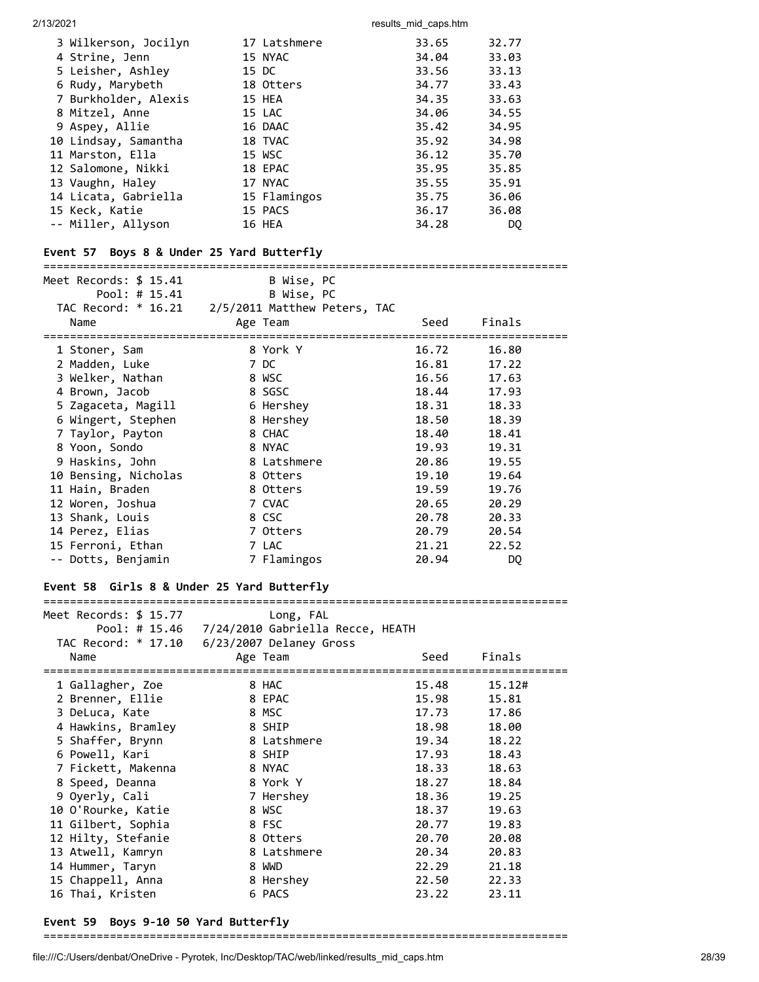| 3 Wilkerson, Jocilyn | 17 Latshmere | 33.65 | 32.77 |
|----------------------|--------------|-------|-------|
| 4 Strine, Jenn       | 15 NYAC      | 34.04 | 33.03 |
| 5 Leisher, Ashley    | 15 DC        | 33.56 | 33.13 |
| 6 Rudy, Marybeth     | 18 Otters    | 34.77 | 33.43 |
| 7 Burkholder, Alexis | 15 HEA       | 34.35 | 33.63 |
| 8 Mitzel, Anne       | 15 LAC       | 34.06 | 34.55 |
| 9 Aspey, Allie       | 16 DAAC      | 35.42 | 34.95 |
| 10 Lindsay, Samantha | 18 TVAC      | 35.92 | 34.98 |
| 11 Marston, Ella     | 15 WSC       | 36.12 | 35.70 |
| 12 Salomone, Nikki   | 18 EPAC      | 35.95 | 35.85 |
| 13 Vaughn, Haley     | 17 NYAC      | 35.55 | 35.91 |
| 14 Licata, Gabriella | 15 Flamingos | 35.75 | 36.06 |
| 15 Keck, Katie       | 15 PACS      | 36.17 | 36.08 |
| -- Miller, Allyson   | 16 HEA       | 34.28 | DO.   |

### **Event 57 Boys 8 & Under 25 Yard Butterfly**

#### ===============================================================================

| Meet Records: \$ 15.41<br>Pool: # 15.41              | B Wise, PC<br>B Wise, PC |       |           |  |
|------------------------------------------------------|--------------------------|-------|-----------|--|
| TAC Record: $*$ 16.21 $2/5/2011$ Matthew Peters, TAC |                          |       |           |  |
| Name                                                 | Age Team                 | Seed  | Finals    |  |
| ===============================<br>1 Stoner, Sam     | 8 York Y                 | 16.72 | 16.80     |  |
| 2 Madden, Luke                                       | 7 DC                     | 16.81 | 17.22     |  |
| 3 Welker, Nathan                                     | 8 WSC                    | 16.56 | 17.63     |  |
| 4 Brown, Jacob                                       | 8 SGSC                   | 18.44 | 17.93     |  |
| 5 Zagaceta, Magill                                   | 6 Hershey                | 18.31 | 18.33     |  |
| 6 Wingert, Stephen                                   | 8 Hershey                | 18.50 | 18.39     |  |
| 7 Taylor, Payton                                     | 8 CHAC                   | 18.40 | 18.41     |  |
| 8 Yoon, Sondo                                        | 8 NYAC                   | 19.93 | 19.31     |  |
| 9 Haskins, John                                      | 8 Latshmere              | 20.86 | 19.55     |  |
| 10 Bensing, Nicholas                                 | 8 Otters                 | 19.10 | 19.64     |  |
| 11 Hain, Braden                                      | 8 Otters                 | 19.59 | 19.76     |  |
| 12 Woren, Joshua                                     | 7 CVAC                   | 20.65 | 20.29     |  |
| 13 Shank, Louis                                      | 8 CSC                    | 20.78 | 20.33     |  |
| 14 Perez, Elias                                      | 7 Otters                 | 20.79 | 20.54     |  |
| 15 Ferroni, Ethan                                    | 7 LAC                    | 21.21 | 22.52     |  |
| -- Dotts, Benjamin                                   | 7 Flamingos              | 20.94 | <b>DQ</b> |  |

## **Event 58 Girls 8 & Under 25 Yard Butterfly**

=============================================================================== Meet Records: \$ 15.77 Long, FAL Pool: # 15.46 7/24/2010 Gabriella Recce, HEATH TAC Record: \* 17.10 6/23/2007 Delaney Gross Name **Age Team** Age Team Seed Finals =============================================================================== 1 Gallagher, Zoe 8 HAC 15.48 15.12# 2 Brenner, Ellie 8 EPAC 15.98 15.81 3 DeLuca, Kate 8 MSC 17.73 17.86 4 Hawkins, Bramley 8 SHIP 18.98 18.00 5 Shaffer, Brynn 8 Latshmere 19.34 18.22 6 Powell, Kari 8 SHIP 17.93 18.43 7 Fickett, Makenna 8 NYAC 18.33 18.63 8 Speed, Deanna 8 York Y 18.27 18.84 9 Oyerly, Karl (18.33 18.63 18.39 18.63 18.39 18.63 18.39 18.63 18.36 19.25 18.36 19.25 18.36 19.25 18.37 19.63 19.25 18.37 19.83 10 O'Rourke, Katie 8 WSC 18.37 19.63 11 Gilbert, Sophia 8 FSC 20.77 19.83 12 Hilty, Stefanie 8 Otters 20.70 20.08 13 Atwell, Kamryn 8 Latshmere 20.34 20.83 14 Hummer, Taryn 8 WWD 22.29 21.18 15 Chappell, Anna 8 Hershey 22.50 22.33 16 Thai, Kristen 6 PACS 23.22 23.11

### **Event 59 Boys 9-10 50 Yard Butterfly**

===============================================================================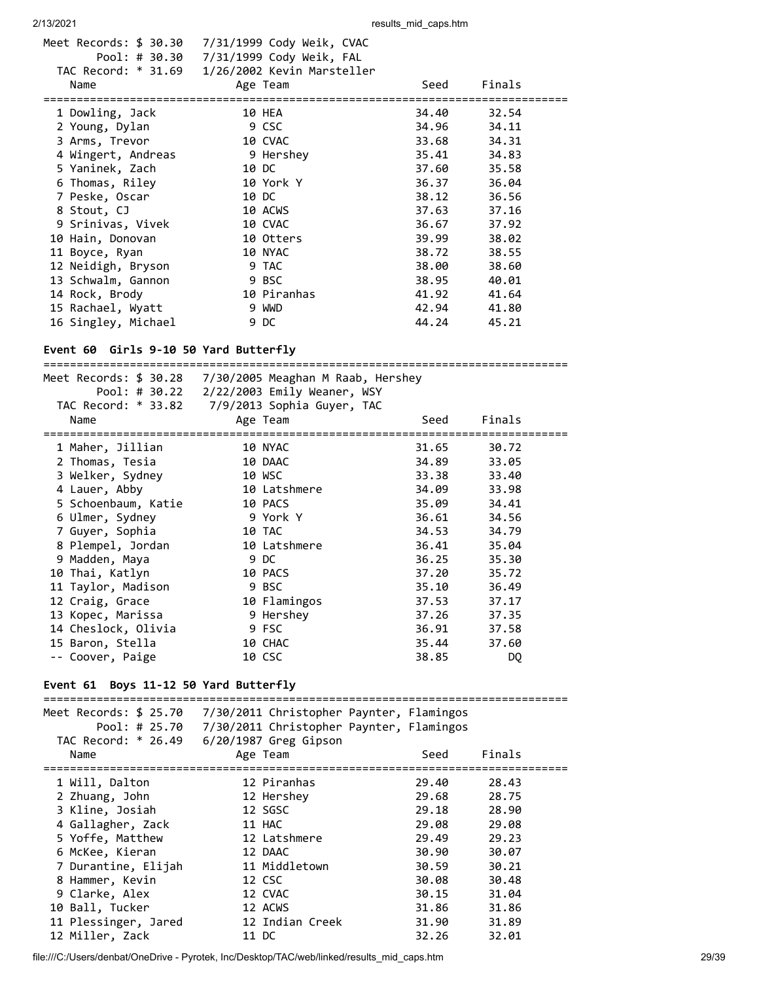| Meet Records: \$ 30.30<br>7/31/1999 Cody Weik, CVAC |                                                                      |        |                                                                                                                                              |
|-----------------------------------------------------|----------------------------------------------------------------------|--------|----------------------------------------------------------------------------------------------------------------------------------------------|
|                                                     |                                                                      |        |                                                                                                                                              |
|                                                     |                                                                      |        |                                                                                                                                              |
| Age Team                                            | Seed                                                                 | Finals |                                                                                                                                              |
|                                                     |                                                                      |        |                                                                                                                                              |
| 10 HEA                                              |                                                                      | 32.54  |                                                                                                                                              |
| 9 CSC                                               |                                                                      | 34.11  |                                                                                                                                              |
| 10 CVAC                                             |                                                                      | 34.31  |                                                                                                                                              |
| 9 Hershey                                           |                                                                      | 34.83  |                                                                                                                                              |
| 10 DC                                               |                                                                      | 35.58  |                                                                                                                                              |
| 10 York Y                                           |                                                                      | 36.04  |                                                                                                                                              |
| 10 DC                                               |                                                                      | 36.56  |                                                                                                                                              |
| 10 ACWS                                             |                                                                      | 37.16  |                                                                                                                                              |
| 10 CVAC                                             |                                                                      | 37.92  |                                                                                                                                              |
| 10 Otters                                           |                                                                      | 38.02  |                                                                                                                                              |
| 10 NYAC                                             |                                                                      | 38.55  |                                                                                                                                              |
| 9 TAC                                               |                                                                      | 38.60  |                                                                                                                                              |
| 9 BSC                                               |                                                                      | 40.01  |                                                                                                                                              |
| 10 Piranhas                                         |                                                                      | 41.64  |                                                                                                                                              |
| 9 WWD                                               |                                                                      | 41.80  |                                                                                                                                              |
| 9 DC                                                |                                                                      | 45.21  |                                                                                                                                              |
|                                                     | TAC Record: * 31.69 1/26/2002 Kevin Marsteller<br>4 Wingert, Andreas |        | 34.40<br>34.96<br>33.68<br>35.41<br>37.60<br>36.37<br>38.12<br>37.63<br>36.67<br>39.99<br>38.72<br>38.00<br>38.95<br>41.92<br>42.94<br>44.24 |

# **Event 60 Girls 9-10 50 Yard Butterfly**

| Meet Records: \$ 30.28<br>Pool: # 30.22<br>Name | 7/30/2005 Meaghan M Raab, Hershey<br>2/22/2003 Emily Weaner, WSY<br>TAC Record: * 33.82 7/9/2013 Sophia Guyer, TAC<br>Age Team | Seed  | Finals         |
|-------------------------------------------------|--------------------------------------------------------------------------------------------------------------------------------|-------|----------------|
| 1 Maher, Jillian                                | 10 NYAC                                                                                                                        | 31.65 | 30.72          |
| 2 Thomas, Tesia                                 | 10 DAAC                                                                                                                        | 34.89 | 33.05          |
| 3 Welker, Sydney                                | 10 WSC                                                                                                                         | 33.38 | 33.40          |
| 4 Lauer, Abby                                   | 10 Latshmere                                                                                                                   | 34.09 | 33.98          |
| 5 Schoenbaum, Katie                             | 10 PACS                                                                                                                        | 35.09 | 34.41          |
| 6 Ulmer, Sydney                                 | 9 York Y                                                                                                                       | 36.61 | 34.56          |
| 7 Guyer, Sophia                                 | 10 TAC                                                                                                                         | 34.53 | 34.79          |
| 8 Plempel, Jordan                               | 10 Latshmere                                                                                                                   | 36.41 | 35.04          |
| 9 Madden, Maya                                  | 9 DC                                                                                                                           | 36.25 | 35.30          |
| 10 Thai, Katlyn                                 | 10 PACS                                                                                                                        | 37.20 | 35.72          |
| 11 Taylor, Madison                              | 9 BSC                                                                                                                          | 35.10 | 36.49          |
| 12 Craig, Grace                                 | 10 Flamingos                                                                                                                   | 37.53 | 37.17          |
| 13 Kopec, Marissa                               | 9 Hershey                                                                                                                      | 37.26 | 37.35          |
| 14 Cheslock, Olivia                             | 9 FSC                                                                                                                          | 36.91 | 37.58          |
| 15 Baron, Stella                                | 10 CHAC                                                                                                                        | 35.44 | 37.60          |
| -- Coover, Paige                                | 10 CSC                                                                                                                         | 38.85 | D <sub>0</sub> |

# **Event 61 Boys 11-12 50 Yard Butterfly**

| Meet Records: \$ 25.70<br>Pool: # 25.70<br>TAC Record: * 26.49 | 7/30/2011 Christopher Paynter, Flamingos<br>7/30/2011 Christopher Paynter, Flamingos |       |        |
|----------------------------------------------------------------|--------------------------------------------------------------------------------------|-------|--------|
|                                                                | 6/20/1987 Greg Gipson                                                                | Seed  | Finals |
| Name                                                           | Age Team                                                                             |       |        |
| 1 Will, Dalton                                                 | --------<br>12 Piranhas                                                              | 29.40 | 28.43  |
| 2 Zhuang, John                                                 | 12 Hershey                                                                           | 29.68 | 28.75  |
| 3 Kline, Josiah                                                | 12 SGSC                                                                              | 29.18 | 28.90  |
| 4 Gallagher, Zack                                              | 11 HAC                                                                               | 29.08 | 29.08  |
| 5 Yoffe, Matthew                                               | 12 Latshmere                                                                         | 29.49 | 29.23  |
| 6 McKee, Kieran                                                | 12 DAAC                                                                              | 30.90 | 30.07  |
| 7 Durantine, Elijah                                            | 11 Middletown                                                                        | 30.59 | 30.21  |
| 8 Hammer, Kevin                                                | 12 CSC                                                                               | 30.08 | 30.48  |
| 9 Clarke, Alex                                                 | 12 CVAC                                                                              | 30.15 | 31.04  |
| 10 Ball, Tucker                                                | 12 ACWS                                                                              | 31.86 | 31.86  |
| 11 Plessinger, Jared                                           | 12 Indian Creek                                                                      | 31.90 | 31.89  |
| 12 Miller, Zack                                                | 11 DC                                                                                | 32.26 | 32.01  |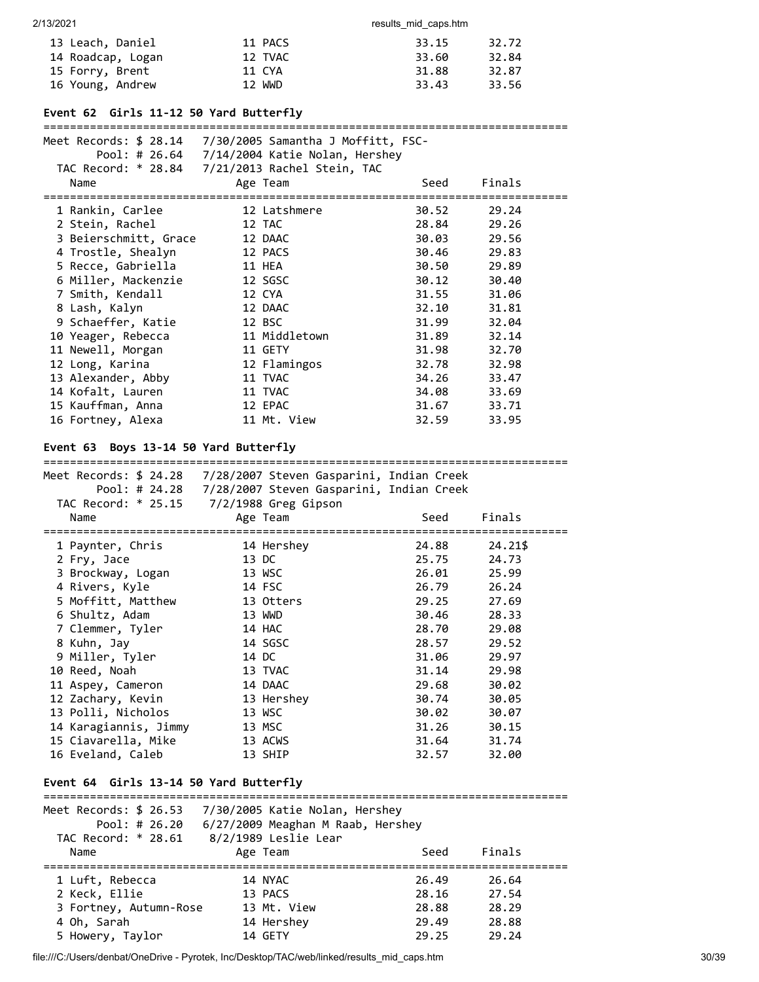| 13 Leach, Daniel  | 11 PACS | 33.15 | 32.72 |
|-------------------|---------|-------|-------|
| 14 Roadcap, Logan | 12 TVAC | 33.60 | 32.84 |
| 15 Forry, Brent   | 11 CYA  | 31.88 | 32.87 |
| 16 Young, Andrew  | 12 WWD  | 33.43 | 33.56 |

# **Event 62 Girls 11-12 50 Yard Butterfly**

#### ===============================================================================

|                                          | Meet Records: \$ 28.14 7/30/2005 Samantha J Moffitt, FSC-          |       |         |
|------------------------------------------|--------------------------------------------------------------------|-------|---------|
|                                          | Pool: # 26.64 7/14/2004 Katie Nolan, Hershey                       |       |         |
|                                          | TAC Record: * 28.84 7/21/2013 Rachel Stein, TAC                    |       |         |
| Name                                     | Age Team                                                           | Seed  | Finals  |
| 1 Rankin, Carlee                         | 12 Latshmere                                                       | 30.52 | 29.24   |
| 2 Stein, Rachel                          | 12 TAC                                                             | 28.84 | 29.26   |
| 3 Beierschmitt, Grace                    | 12 DAAC                                                            | 30.03 | 29.56   |
| 4 Trostle, Shealyn                       | 12 PACS                                                            | 30.46 | 29.83   |
| 5 Recce, Gabriella                       | 11 HEA                                                             | 30.50 | 29.89   |
| 6 Miller, Mackenzie                      | 12 SGSC                                                            | 30.12 | 30.40   |
| 7 Smith, Kendall                         | 12 CYA                                                             | 31.55 | 31.06   |
| 8 Lash, Kalyn                            | 12 DAAC                                                            | 32.10 | 31.81   |
| 9 Schaeffer, Katie                       | 12 BSC                                                             | 31.99 | 32.04   |
| 10 Yeager, Rebecca                       | 11 Middletown                                                      | 31.89 | 32.14   |
| 11 Newell, Morgan                        | 11 GETY                                                            | 31.98 | 32.70   |
| 12 Long, Karina                          | 12 Flamingos                                                       | 32.78 | 32.98   |
| 13 Alexander, Abby                       | 11 TVAC                                                            | 34.26 | 33.47   |
| 14 Kofalt, Lauren                        | 11 TVAC                                                            | 34.08 | 33.69   |
| 15 Kauffman, Anna                        | 12 EPAC                                                            | 31.67 | 33.71   |
| 16 Fortney, Alexa                        | 11 Mt. View                                                        | 32.59 | 33.95   |
|                                          |                                                                    |       |         |
| Event 63                                 | Boys 13-14 50 Yard Butterfly                                       |       |         |
|                                          |                                                                    |       |         |
|                                          | Meet Records: \$ 24.28    7/28/2007 Steven Gasparini, Indian Creek |       |         |
|                                          | Pool: # 24.28 7/28/2007 Steven Gasparini, Indian Creek             |       |         |
|                                          | TAC Record: * 25.15 7/2/1988 Greg Gipson                           |       |         |
| Name                                     | Age Team                                                           | Seed  | Finals  |
|                                          |                                                                    |       |         |
| 1 Paynter, Chris                         | 14 Hershey                                                         | 24.88 | 24.21\$ |
| 2 Fry, Jace                              | 13 DC                                                              | 25.75 | 24.73   |
| 3 Brockway, Logan                        | 13 WSC                                                             | 26.01 | 25.99   |
| 4 Rivers, Kyle                           | 14 FSC                                                             | 26.79 | 26.24   |
| 5 Moffitt, Matthew                       | 13 Otters                                                          | 29.25 | 27.69   |
| 6 Shultz, Adam                           |                                                                    |       |         |
| 7 Clemmer, Tyler                         | 13 WWD                                                             | 30.46 | 28.33   |
|                                          | 14 HAC                                                             | 28.70 | 29.08   |
| 8 Kuhn, Jay                              | 14 SGSC                                                            | 28.57 | 29.52   |
| 9 Miller, Tyler                          | 14 DC                                                              | 31.06 | 29.97   |
| 10 Reed, Noah                            | 13 TVAC                                                            | 31.14 | 29.98   |
| 11 Aspey, Cameron                        | 14 DAAC                                                            | 29.68 | 30.02   |
| 12 Zachary, Kevin                        | 13 Hershey                                                         | 30.74 | 30.05   |
| 13 Polli, Nicholos                       | 13 WSC                                                             | 30.02 | 30.07   |
| 14 Karagiannis, Jimmy                    | 13 MSC                                                             | 31.26 | 30.15   |
| 15 Ciavarella, Mike<br>16 Eveland, Caleb | 13 ACWS                                                            | 31.64 | 31.74   |

# **Event 64 Girls 13-14 50 Yard Butterfly**

| Meet Records: $$26.53$<br>Pool: # $26.20$<br>TAC Record: * 28.61 | 7/30/2005 Katie Nolan, Hershey<br>6/27/2009 Meaghan M Raab, Hershey<br>8/2/1989 Leslie Lear |       |        |  |
|------------------------------------------------------------------|---------------------------------------------------------------------------------------------|-------|--------|--|
| Name                                                             | Age Team                                                                                    | Seed  | Finals |  |
|                                                                  |                                                                                             |       |        |  |
| 1 Luft, Rebecca                                                  | 14 NYAC                                                                                     | 26.49 | 26.64  |  |
| 2 Keck, Ellie                                                    | 13 PACS                                                                                     | 28.16 | 27.54  |  |
| 3 Fortney, Autumn-Rose                                           | 13 Mt. View                                                                                 | 28.88 | 28.29  |  |
| 4 Oh, Sarah                                                      | 14 Hershey                                                                                  | 29.49 | 28.88  |  |
| 5 Howery, Taylor                                                 | 14 GETY                                                                                     | 29.25 | 29.24  |  |
|                                                                  |                                                                                             |       |        |  |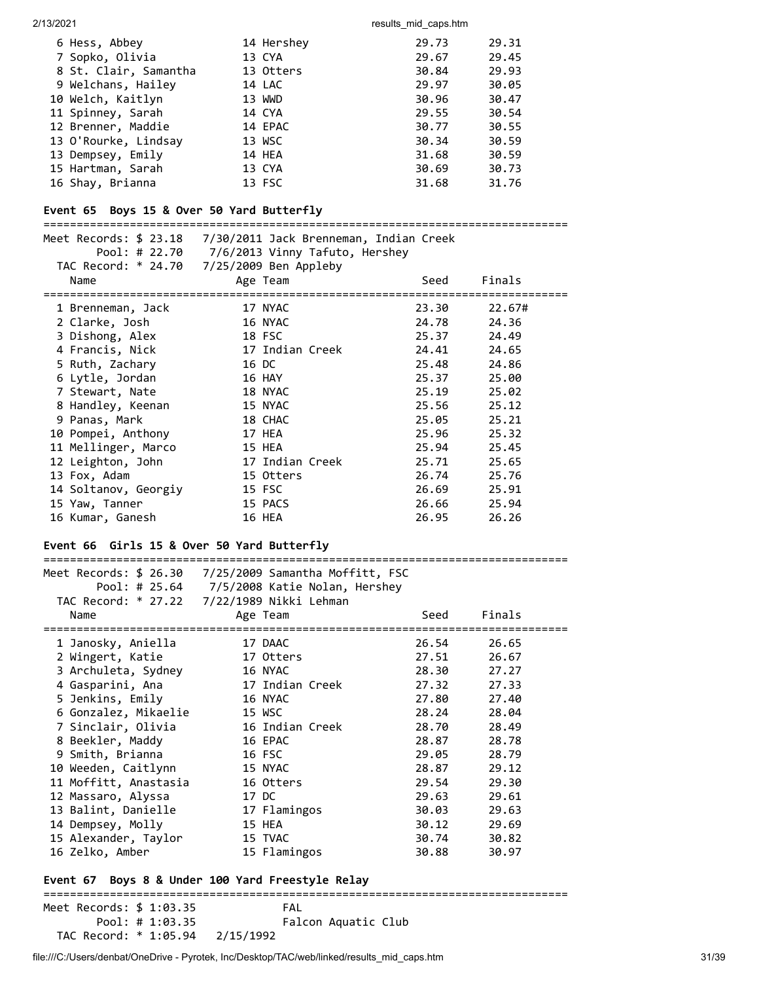| 6 Hess, Abbey         | 14 Hershey | 29.73 | 29.31 |
|-----------------------|------------|-------|-------|
| 7 Sopko, Olivia       | 13 CYA     | 29.67 | 29.45 |
| 8 St. Clair, Samantha | 13 Otters  | 30.84 | 29.93 |
| 9 Welchans, Hailey    | 14 LAC     | 29.97 | 30.05 |
| 10 Welch, Kaitlyn     | 13 WWD     | 30.96 | 30.47 |
| 11 Spinney, Sarah     | 14 CYA     | 29.55 | 30.54 |
| 12 Brenner, Maddie    | 14 EPAC    | 30.77 | 30.55 |
| 13 O'Rourke, Lindsay  | 13 WSC     | 30.34 | 30.59 |
| 13 Dempsey, Emily     | 14 HEA     | 31.68 | 30.59 |
| 15 Hartman, Sarah     | 13 CYA     | 30.69 | 30.73 |
| 16 Shay, Brianna      | 13 FSC     | 31.68 | 31.76 |

# **Event 65 Boys 15 & Over 50 Yard Butterfly**

| Name                 | Meet Records: \$ 23.18    7/30/2011    Jack Brenneman, Indian Creek<br>Pool: # 22.70 7/6/2013 Vinny Tafuto, Hershey<br>TAC Record: * 24.70 7/25/2009 Ben Appleby<br>Age Team | Seed  | Finals |
|----------------------|------------------------------------------------------------------------------------------------------------------------------------------------------------------------------|-------|--------|
|                      |                                                                                                                                                                              |       |        |
| 1 Brenneman, Jack    | 17 NYAC                                                                                                                                                                      | 23.30 | 22.67# |
| 2 Clarke, Josh       | 16 NYAC                                                                                                                                                                      | 24.78 | 24.36  |
| 3 Dishong, Alex      | 18 FSC                                                                                                                                                                       | 25.37 | 24.49  |
| 4 Francis, Nick      | 17 Indian Creek                                                                                                                                                              | 24.41 | 24.65  |
| 5 Ruth, Zachary      | 16 DC                                                                                                                                                                        | 25.48 | 24.86  |
| 6 Lytle, Jordan      | 16 HAY                                                                                                                                                                       | 25.37 | 25.00  |
| 7 Stewart, Nate      | 18 NYAC                                                                                                                                                                      | 25.19 | 25.02  |
| 8 Handley, Keenan    | 15 NYAC                                                                                                                                                                      | 25.56 | 25.12  |
| 9 Panas, Mark        | 18 CHAC                                                                                                                                                                      | 25.05 | 25.21  |
| 10 Pompei, Anthony   | 17 HEA                                                                                                                                                                       | 25.96 | 25.32  |
| 11 Mellinger, Marco  | 15 HEA                                                                                                                                                                       | 25.94 | 25.45  |
| 12 Leighton, John    | 17 Indian Creek                                                                                                                                                              | 25.71 | 25.65  |
| 13 Fox, Adam         | 15 Otters                                                                                                                                                                    | 26.74 | 25.76  |
| 14 Soltanov, Georgiy | 15 FSC                                                                                                                                                                       | 26.69 | 25.91  |
| 15 Yaw, Tanner       | 15 PACS                                                                                                                                                                      | 26.66 | 25.94  |
| 16 Kumar, Ganesh     | 16 HEA                                                                                                                                                                       | 26.95 | 26.26  |

# **Event 66 Girls 15 & Over 50 Yard Butterfly**

|                       | Pool: # 25.64 7/5/2008 Katie Nolan, Hershey |       |        |
|-----------------------|---------------------------------------------|-------|--------|
|                       | TAC Record: * 27.22 7/22/1989 Nikki Lehman  |       |        |
| Name                  | Age Team                                    | Seed  | Finals |
|                       |                                             |       |        |
| 1 Janosky, Aniella    | 17 DAAC                                     | 26.54 | 26.65  |
| 2 Wingert, Katie      | 17 Otters                                   | 27.51 | 26.67  |
| 3 Archuleta, Sydney   | 16 NYAC                                     | 28.30 | 27.27  |
| 4 Gasparini, Ana      | 17 Indian Creek                             | 27.32 | 27.33  |
| 5 Jenkins, Emily      | 16 NYAC                                     | 27.80 | 27.40  |
| 6 Gonzalez, Mikaelie  | 15 WSC                                      | 28.24 | 28.04  |
| 7 Sinclair, Olivia    | 16 Indian Creek                             | 28.70 | 28.49  |
| 8 Beekler, Maddy      | 16 EPAC                                     | 28.87 | 28.78  |
| 9 Smith, Brianna      | 16 FSC                                      | 29.05 | 28.79  |
| 10 Weeden, Caitlynn   | 15 NYAC                                     | 28.87 | 29.12  |
| 11 Moffitt, Anastasia | 16 Otters                                   | 29.54 | 29.30  |
| 12 Massaro, Alyssa    | 17 DC                                       | 29.63 | 29.61  |
| 13 Balint, Danielle   | 17 Flamingos                                | 30.03 | 29.63  |
| 14 Dempsey, Molly     | 15 HEA                                      | 30.12 | 29.69  |
| 15 Alexander, Taylor  | 15 TVAC                                     | 30.74 | 30.82  |
| 16 Zelko, Amber       | 15 Flamingos                                | 30.88 | 30.97  |
|                       |                                             |       |        |

# **Event 67 Boys 8 & Under 100 Yard Freestyle Relay**

===============================================================================

Meet Records: \$ 1:03.35 FAL Pool: # 1:03.35 Falcon Aquatic Club TAC Record: \* 1:05.94 2/15/1992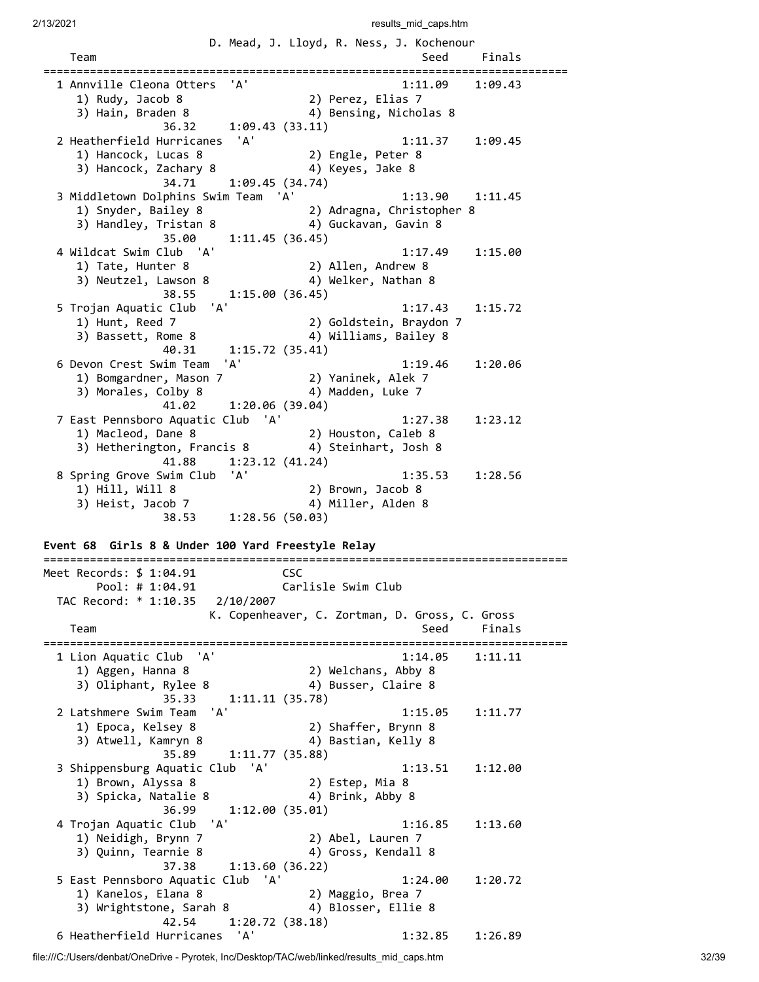| 2/13/2021                                                                                                                          | results mid caps.htm                                                                       |
|------------------------------------------------------------------------------------------------------------------------------------|--------------------------------------------------------------------------------------------|
| Team                                                                                                                               | D. Mead, J. Lloyd, R. Ness, J. Kochenour<br>Seed<br>Finals<br>. ========================== |
| 'A'<br>1 Annville Cleona Otters<br>1) Rudy, Jacob 8<br>3) Hain, Braden 8<br>36.32                                                  | 1:11.09<br>1:09.43<br>2) Perez, Elias 7<br>4) Bensing, Nicholas 8<br>1:09.43(33.11)        |
| 2 Heatherfield Hurricanes 'A'<br>1) Hancock, Lucas 8<br>3) Hancock, Zachary 8<br>34.71                                             | 1:11.37<br>1:09.45<br>2) Engle, Peter 8<br>4) Keyes, Jake 8<br>1:09.45(34.74)              |
| 3 Middletown Dolphins Swim Team 'A'<br>1) Snyder, Bailey 8<br>3) Handley, Tristan 8<br>35.00                                       | 1:13.90<br>1:11.45<br>2) Adragna, Christopher 8<br>4) Guckavan, Gavin 8<br>1:11.45(36.45)  |
| 4 Wildcat Swim Club 'A'<br>1) Tate, Hunter 8<br>3) Neutzel, Lawson 8<br>38.55                                                      | 1:17.49<br>1:15.00<br>2) Allen, Andrew 8<br>4) Welker, Nathan 8<br>1:15.00(36.45)          |
| 'A'<br>5 Trojan Aquatic Club<br>1) Hunt, Reed 7<br>3) Bassett, Rome 8<br>40.31                                                     | 1:17.43<br>1:15.72<br>2) Goldstein, Braydon 7<br>4) Williams, Bailey 8<br>1:15.72 (35.41)  |
| 'A'<br>6 Devon Crest Swim Team<br>1) Bomgardner, Mason 7<br>3) Morales, Colby 8<br>41.02                                           | 1:19.46<br>1:20.06<br>2) Yaninek, Alek 7<br>4) Madden, Luke 7<br>1:20.06 (39.04)           |
| 7 East Pennsboro Aquatic Club 'A'<br>1) Macleod, Dane 8<br>3) Hetherington, Francis 8<br>41.88                                     | 1:27.38<br>1:23.12<br>2) Houston, Caleb 8<br>4) Steinhart, Josh 8<br>1:23.12(41.24)        |
| 8 Spring Grove Swim Club 'A'<br>1) Hill, Will 8<br>3) Heist, Jacob 7<br>38.53<br>Event 68 Girls 8 & Under 100 Yard Freestyle Relay | 1:35.53<br>1:28.56<br>2) Brown, Jacob 8<br>4) Miller, Alden 8<br>1:28.56(50.03)            |
| Meet Records: \$ 1:04.91                                                                                                           | csc                                                                                        |
| Pool: # 1:04.91<br>TAC Record: * 1:10.35<br>2/10/2007                                                                              | Carlisle Swim Club<br>K. Copenheaver, C. Zortman, D. Gross, C. Gross                       |
| Team                                                                                                                               | Seed<br>Finals                                                                             |
| 1 Lion Aquatic Club 'A'<br>1) Aggen, Hanna 8<br>3) Oliphant, Rylee 8<br>35.33                                                      | 1:14.05<br>1:11.11<br>2) Welchans, Abby 8<br>4) Busser, Claire 8<br>1:11.11(35.78)         |
| 2 Latshmere Swim Team<br>'A'<br>1) Epoca, Kelsey 8<br>3) Atwell, Kamryn 8<br>35.89                                                 | 1:15.05<br>1:11.77<br>2) Shaffer, Brynn 8<br>4) Bastian, Kelly 8<br>1:11.77(35.88)         |
| 3 Shippensburg Aquatic Club 'A'<br>1) Brown, Alyssa 8<br>3) Spicka, Natalie 8<br>36.99                                             | 1:13.51<br>1:12.00<br>2) Estep, Mia 8<br>4) Brink, Abby 8<br>1:12.00 (35.01)               |
| 4 Trojan Aquatic Club<br>'A'<br>1) Neidigh, Brynn 7<br>3) Quinn, Tearnie 8<br>37.38                                                | 1:16.85<br>1:13.60<br>2) Abel, Lauren 7<br>4) Gross, Kendall 8<br>1:13.60(36.22)           |
| 5 East Pennsboro Aquatic Club 'A'<br>1) Kanelos, Elana 8<br>3) Wrightstone, Sarah 8<br>42.54                                       | 1:24.00<br>1:20.72<br>2) Maggio, Brea 7<br>4) Blosser, Ellie 8<br>1:20.72(38.18)           |
| 6 Heatherfield Hurricanes<br>'A'                                                                                                   | 1:32.85<br>1:26.89                                                                         |

file:///C:/Users/denbat/OneDrive - Pyrotek, Inc/Desktop/TAC/web/linked/results\_mid\_caps.htm 32/39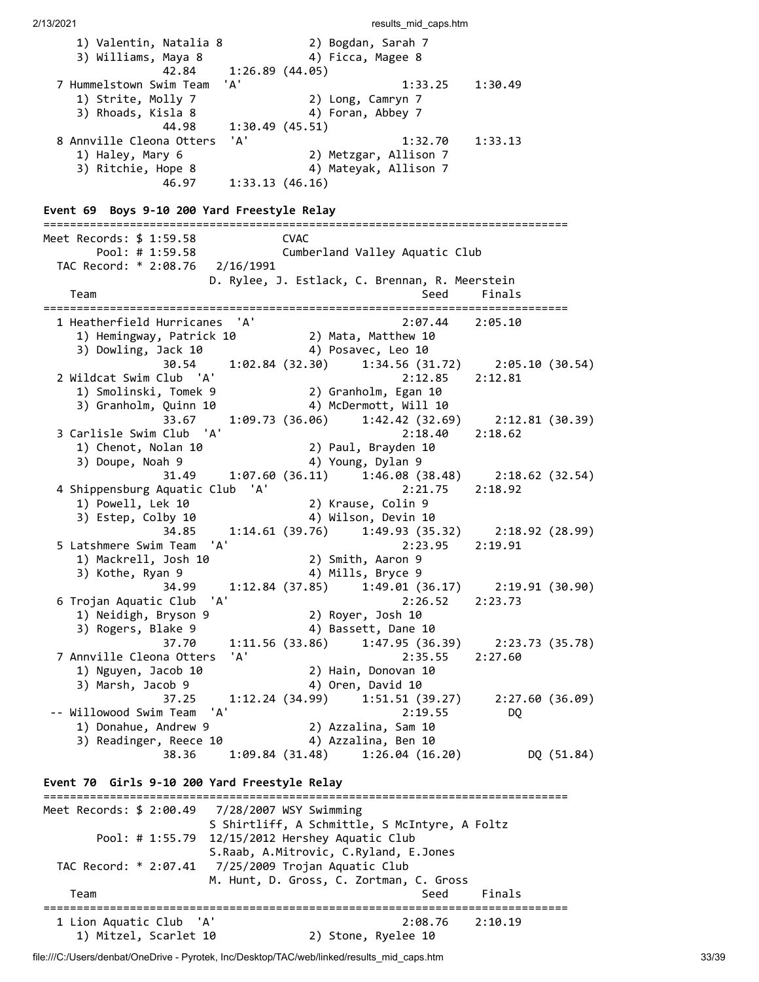1) Valentin, Natalia 8 2) Bogdan, Sarah 7 3) Williams, Maya 8  $\hskip1cm$  4) Ficca, Magee 8 3) Williams, Maya 8  $42.84$  1:26.89 (44.05) 7 Hummelstown Swim Team 'A' 1:33.25 1:30.49 1) Strite, Molly 7 2) Long, Camryn 7 3) Rhoads, Kisla 8 4) Foran, Abbey 7 44.98 1:30.49 (45.51) 8 Annville Cleona Otters 'A' 1:32.70 1:33.13 1) Haley, Mary 6 2) Metzgar, Allison 7 3) Ritchie, Hope 8 4) Mateyak, Allison 7 46.97 1:33.13 (46.16) **Event 69 Boys 9-10 200 Yard Freestyle Relay** =============================================================================== Meet Records: \$ 1:59.58 CVAC Pool: # 1:59.58 Cumberland Valley Aquatic Club TAC Record: \* 2:08.76 2/16/1991 D. Rylee, J. Estlack, C. Brennan, R. Meerstein Team Seed Finals =============================================================================== 1 Heatherfield Hurricanes 'A' 2:07.44 2:05.10 1) Hemingway, Patrick 10 2) Mata, Matthew 10 3) Dowling, Jack 10 4) Posavec, Leo 10 30.54 1:02.84 (32.30) 1:34.56 (31.72) 2:05.10 (30.54) 2 Wildcat Swim Club 'A' 2:12.85 2:12.81 1) Smolinski, Tomek 9 2) Granholm, Egan 10 3) Granholm, Quinn 10 4) McDermott, Will 10 33.67 1:09.73 (36.06) 1:42.42 (32.69) 2:12.81 (30.39) 3 Carlisle Swim Club 'A' 2:18.40 2:18.62 1) Chenot, Nolan 10 2) Paul, Brayden 10 3) Doupe, Noah 9 12 12 13 13 13 14 13 13 14 13 14 14 15 16 17 18 19 19 19 19 19 1 31.49 1:07.60 (36.11) 1:46.08 (38.48) 2:18.62 (32.54)<br>Aquatic Club 'A' 2:21.75 2:18.92 4 Shippensburg Aquatic Club 'A' 2:21.75 2:18.92 1) Powell, Lek 10 2) Krause, Colin 9 3) Estep, Colby 10 4) Wilson, Devin 10 34.85 1:14.61 (39.76) 1:49.93 (35.32) 2:18.92 (28.99) 5 Latshmere Swim Team 'A' 2:23.95 2:19.91 1) Mackrell, Josh 10 2) Smith, Aaron 9 3) Kothe, Ryan 9 4) Mills, Bryce 9 3) Kothe, Ryan 9 (34.99 1:12.84 (37.85) 1:49.01 (36.17) 2:19.91 (30.90)<br>
Fojan Aquatic Club 'A' (37.85) 1:49.01 (36.17) 2:23.73 6 Trojan Aquatic Club 'A' 2:26.52 2:23.73 1) Neidigh, Bryson 9 2) Royer, Josh 10 3) Rogers, Blake 9 4) Bassett, Dane 10 37.70 1:11.56 (33.86) 1:47.95 (36.39) 2:23.73 (35.78) 7 Annville Cleona Otters 'A' 2:35.55 2:27.60 1) Nguyen, Jacob 10 2) Hain, Donovan 10<br>3) Marsh, Jacob 9 4) Oren, David 10 3) Marsh, Jacob 9 4) Oren, David 10 37.25 1:12.24 (34.99) 1:51.51 (39.27) 2:27.60 (36.09) -- Willowood Swim Team 'A' 2:19.55 DQ 1) Donahue, Andrew 9 2) Azzalina, Sam 10 3) Readinger, Reece 10 4) Azzalina, Ben 10 38.36 1:09.84 (31.48) 1:26.04 (16.20) DQ (51.84) **Event 70 Girls 9-10 200 Yard Freestyle Relay** =============================================================================== Meet Records: \$ 2:00.49 7/28/2007 WSY Swimming S Shirtliff, A Schmittle, S McIntyre, A Foltz Pool: # 1:55.79 12/15/2012 Hershey Aquatic Club S.Raab, A.Mitrovic, C.Ryland, E.Jones TAC Record: \* 2:07.41 7/25/2009 Trojan Aquatic Club M. Hunt, D. Gross, C. Zortman, C. Gross Team Seed Finals =============================================================================== 1 Lion Aquatic Club 'A' 2:08.76 2:10.19 1) Mitzel, Scarlet 10 2) Stone, Ryelee 10

file:///C:/Users/denbat/OneDrive - Pyrotek, Inc/Desktop/TAC/web/linked/results\_mid\_caps.htm 33/39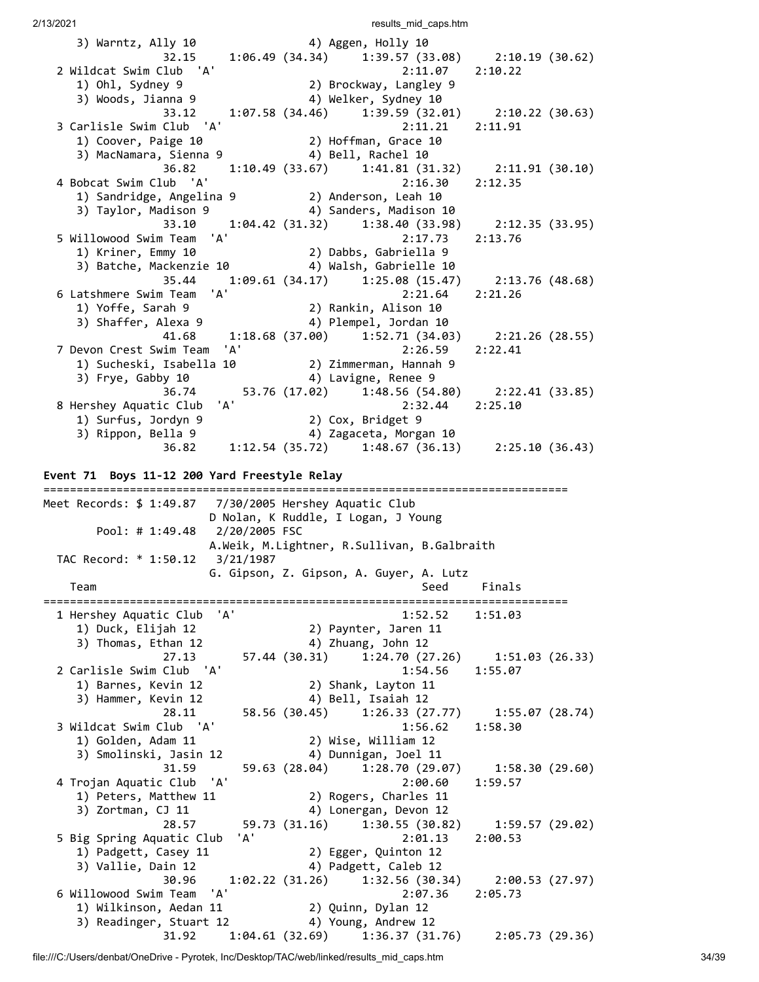| $32.15$ 1:06.49 (34.34) 1:39.57 (33.08) 2:10.19 (30.62)<br>2 Wildcat Swim Club 'A'<br>2:11.07<br>2:10.22<br>1) Ohl, Sydney 9<br>3) Woods, Jianna 9<br>2) Brockway, Langley 9<br>4) Welker, Sydney 10<br>33.12 1:07.58 (34.46) 1:39.59 (32.01) 2:10.22 (30.63)<br>3 Carlisle Swim Club 'A'<br>2:11.21<br>2:11.91<br>2.11.23<br>1) Coover, Paige 10<br>3) MacNamara, Sienna 9<br>4) Bell, Rachel 10<br>$1:10.49$ (33.67) $1:41.81$ (31.32) $2:11.91$ (30.10)<br>36.82<br>4 Bobcat Swim Club 'A'<br>2:16.30<br>2:12.35<br>1) Sandridge, Angelina 9 (2) Anderson, Leah 10<br>3) Tavlor, Madison 9 (2) Anders, Madison 10<br>33.10 1:04.42 (31.32) 1:38.40 (33.98) 2:12.35 (33.95)<br>5 Willowood Swim Team 'A'<br>2:17.73<br>2:13.76<br>1) Kriner, Emmy 10<br>$3)$ Batche, Mackenzie 10 $4)$ Walsh, Gabrielle 10<br>$1:09.61(34.17)$ $1:25.08(15.47)$ $2:13.76(48.68)$<br>35.44<br>6 Latshmere Swim Team 'A'<br>atshmere Swim Team 'A' (1993)<br>19 1 1) Yoffe, Sarah 9 (2) Rankin, Alison<br>3) Shaffer, Alexa 9 (4) Plempel, Jordan 10<br>2:21.64<br>2:21.26<br>4) Plempel, Jordan 10<br>41.68   1:18.68   (37.00)   1:52.71   (34.03)   2:21.26   (28.55)<br>'A'<br>7 Devon Crest Swim Team<br>2:22.41<br>2:26.59<br>1) Sucheski, Isabella 10 (2) Zimmerman, Hannah 9<br>3) Frye, Gabby 10 (4) Lavigne, Renee 9<br>36.74 53.76 (17.02) 1:48.56 (54.80) 2:22.41 (33.85)<br>ic Club 'A' 2:32.44 2:25.10<br>8 Hershey Aquatic Club<br>2:32.44 2:25.10<br>1) Surfus, Jordyn 9 (2) Cox, Bridget 9<br>3) Rippon, Bella 9 (4) Zagaceta. Mors:<br>4) Zagaceta, Morgan 10<br>36.82 1:12.54 (35.72) 1:48.67 (36.13) 2:25.10 (36.43)<br>Event 71 Boys 11-12 200 Yard Freestyle Relay<br>Meet Records: \$ 1:49.87                      7/30/2005 Hershey Aquatic Club<br>D Nolan, K Ruddle, I Logan, J Young<br>Pool: # 1:49.48 2/20/2005 FSC<br>A.Weik, M.Lightner, R.Sullivan, B.Galbraith | 3) Warntz, Ally 10 (4) Aggen, Holly 10 |  |
|---------------------------------------------------------------------------------------------------------------------------------------------------------------------------------------------------------------------------------------------------------------------------------------------------------------------------------------------------------------------------------------------------------------------------------------------------------------------------------------------------------------------------------------------------------------------------------------------------------------------------------------------------------------------------------------------------------------------------------------------------------------------------------------------------------------------------------------------------------------------------------------------------------------------------------------------------------------------------------------------------------------------------------------------------------------------------------------------------------------------------------------------------------------------------------------------------------------------------------------------------------------------------------------------------------------------------------------------------------------------------------------------------------------------------------------------------------------------------------------------------------------------------------------------------------------------------------------------------------------------------------------------------------------------------------------------------------------------------------------------------------------------------------------------------------------------------------------------------------------------------------|----------------------------------------|--|
|                                                                                                                                                                                                                                                                                                                                                                                                                                                                                                                                                                                                                                                                                                                                                                                                                                                                                                                                                                                                                                                                                                                                                                                                                                                                                                                                                                                                                                                                                                                                                                                                                                                                                                                                                                                                                                                                                 |                                        |  |
|                                                                                                                                                                                                                                                                                                                                                                                                                                                                                                                                                                                                                                                                                                                                                                                                                                                                                                                                                                                                                                                                                                                                                                                                                                                                                                                                                                                                                                                                                                                                                                                                                                                                                                                                                                                                                                                                                 |                                        |  |
|                                                                                                                                                                                                                                                                                                                                                                                                                                                                                                                                                                                                                                                                                                                                                                                                                                                                                                                                                                                                                                                                                                                                                                                                                                                                                                                                                                                                                                                                                                                                                                                                                                                                                                                                                                                                                                                                                 |                                        |  |
|                                                                                                                                                                                                                                                                                                                                                                                                                                                                                                                                                                                                                                                                                                                                                                                                                                                                                                                                                                                                                                                                                                                                                                                                                                                                                                                                                                                                                                                                                                                                                                                                                                                                                                                                                                                                                                                                                 |                                        |  |
|                                                                                                                                                                                                                                                                                                                                                                                                                                                                                                                                                                                                                                                                                                                                                                                                                                                                                                                                                                                                                                                                                                                                                                                                                                                                                                                                                                                                                                                                                                                                                                                                                                                                                                                                                                                                                                                                                 |                                        |  |
|                                                                                                                                                                                                                                                                                                                                                                                                                                                                                                                                                                                                                                                                                                                                                                                                                                                                                                                                                                                                                                                                                                                                                                                                                                                                                                                                                                                                                                                                                                                                                                                                                                                                                                                                                                                                                                                                                 |                                        |  |
|                                                                                                                                                                                                                                                                                                                                                                                                                                                                                                                                                                                                                                                                                                                                                                                                                                                                                                                                                                                                                                                                                                                                                                                                                                                                                                                                                                                                                                                                                                                                                                                                                                                                                                                                                                                                                                                                                 |                                        |  |
|                                                                                                                                                                                                                                                                                                                                                                                                                                                                                                                                                                                                                                                                                                                                                                                                                                                                                                                                                                                                                                                                                                                                                                                                                                                                                                                                                                                                                                                                                                                                                                                                                                                                                                                                                                                                                                                                                 |                                        |  |
|                                                                                                                                                                                                                                                                                                                                                                                                                                                                                                                                                                                                                                                                                                                                                                                                                                                                                                                                                                                                                                                                                                                                                                                                                                                                                                                                                                                                                                                                                                                                                                                                                                                                                                                                                                                                                                                                                 |                                        |  |
|                                                                                                                                                                                                                                                                                                                                                                                                                                                                                                                                                                                                                                                                                                                                                                                                                                                                                                                                                                                                                                                                                                                                                                                                                                                                                                                                                                                                                                                                                                                                                                                                                                                                                                                                                                                                                                                                                 |                                        |  |
|                                                                                                                                                                                                                                                                                                                                                                                                                                                                                                                                                                                                                                                                                                                                                                                                                                                                                                                                                                                                                                                                                                                                                                                                                                                                                                                                                                                                                                                                                                                                                                                                                                                                                                                                                                                                                                                                                 |                                        |  |
|                                                                                                                                                                                                                                                                                                                                                                                                                                                                                                                                                                                                                                                                                                                                                                                                                                                                                                                                                                                                                                                                                                                                                                                                                                                                                                                                                                                                                                                                                                                                                                                                                                                                                                                                                                                                                                                                                 |                                        |  |
|                                                                                                                                                                                                                                                                                                                                                                                                                                                                                                                                                                                                                                                                                                                                                                                                                                                                                                                                                                                                                                                                                                                                                                                                                                                                                                                                                                                                                                                                                                                                                                                                                                                                                                                                                                                                                                                                                 |                                        |  |
|                                                                                                                                                                                                                                                                                                                                                                                                                                                                                                                                                                                                                                                                                                                                                                                                                                                                                                                                                                                                                                                                                                                                                                                                                                                                                                                                                                                                                                                                                                                                                                                                                                                                                                                                                                                                                                                                                 |                                        |  |
|                                                                                                                                                                                                                                                                                                                                                                                                                                                                                                                                                                                                                                                                                                                                                                                                                                                                                                                                                                                                                                                                                                                                                                                                                                                                                                                                                                                                                                                                                                                                                                                                                                                                                                                                                                                                                                                                                 |                                        |  |
|                                                                                                                                                                                                                                                                                                                                                                                                                                                                                                                                                                                                                                                                                                                                                                                                                                                                                                                                                                                                                                                                                                                                                                                                                                                                                                                                                                                                                                                                                                                                                                                                                                                                                                                                                                                                                                                                                 |                                        |  |
|                                                                                                                                                                                                                                                                                                                                                                                                                                                                                                                                                                                                                                                                                                                                                                                                                                                                                                                                                                                                                                                                                                                                                                                                                                                                                                                                                                                                                                                                                                                                                                                                                                                                                                                                                                                                                                                                                 |                                        |  |
|                                                                                                                                                                                                                                                                                                                                                                                                                                                                                                                                                                                                                                                                                                                                                                                                                                                                                                                                                                                                                                                                                                                                                                                                                                                                                                                                                                                                                                                                                                                                                                                                                                                                                                                                                                                                                                                                                 |                                        |  |
|                                                                                                                                                                                                                                                                                                                                                                                                                                                                                                                                                                                                                                                                                                                                                                                                                                                                                                                                                                                                                                                                                                                                                                                                                                                                                                                                                                                                                                                                                                                                                                                                                                                                                                                                                                                                                                                                                 |                                        |  |
|                                                                                                                                                                                                                                                                                                                                                                                                                                                                                                                                                                                                                                                                                                                                                                                                                                                                                                                                                                                                                                                                                                                                                                                                                                                                                                                                                                                                                                                                                                                                                                                                                                                                                                                                                                                                                                                                                 |                                        |  |
|                                                                                                                                                                                                                                                                                                                                                                                                                                                                                                                                                                                                                                                                                                                                                                                                                                                                                                                                                                                                                                                                                                                                                                                                                                                                                                                                                                                                                                                                                                                                                                                                                                                                                                                                                                                                                                                                                 |                                        |  |
|                                                                                                                                                                                                                                                                                                                                                                                                                                                                                                                                                                                                                                                                                                                                                                                                                                                                                                                                                                                                                                                                                                                                                                                                                                                                                                                                                                                                                                                                                                                                                                                                                                                                                                                                                                                                                                                                                 |                                        |  |
|                                                                                                                                                                                                                                                                                                                                                                                                                                                                                                                                                                                                                                                                                                                                                                                                                                                                                                                                                                                                                                                                                                                                                                                                                                                                                                                                                                                                                                                                                                                                                                                                                                                                                                                                                                                                                                                                                 |                                        |  |
|                                                                                                                                                                                                                                                                                                                                                                                                                                                                                                                                                                                                                                                                                                                                                                                                                                                                                                                                                                                                                                                                                                                                                                                                                                                                                                                                                                                                                                                                                                                                                                                                                                                                                                                                                                                                                                                                                 |                                        |  |
|                                                                                                                                                                                                                                                                                                                                                                                                                                                                                                                                                                                                                                                                                                                                                                                                                                                                                                                                                                                                                                                                                                                                                                                                                                                                                                                                                                                                                                                                                                                                                                                                                                                                                                                                                                                                                                                                                 |                                        |  |
|                                                                                                                                                                                                                                                                                                                                                                                                                                                                                                                                                                                                                                                                                                                                                                                                                                                                                                                                                                                                                                                                                                                                                                                                                                                                                                                                                                                                                                                                                                                                                                                                                                                                                                                                                                                                                                                                                 |                                        |  |
|                                                                                                                                                                                                                                                                                                                                                                                                                                                                                                                                                                                                                                                                                                                                                                                                                                                                                                                                                                                                                                                                                                                                                                                                                                                                                                                                                                                                                                                                                                                                                                                                                                                                                                                                                                                                                                                                                 |                                        |  |
|                                                                                                                                                                                                                                                                                                                                                                                                                                                                                                                                                                                                                                                                                                                                                                                                                                                                                                                                                                                                                                                                                                                                                                                                                                                                                                                                                                                                                                                                                                                                                                                                                                                                                                                                                                                                                                                                                 |                                        |  |
|                                                                                                                                                                                                                                                                                                                                                                                                                                                                                                                                                                                                                                                                                                                                                                                                                                                                                                                                                                                                                                                                                                                                                                                                                                                                                                                                                                                                                                                                                                                                                                                                                                                                                                                                                                                                                                                                                 |                                        |  |
|                                                                                                                                                                                                                                                                                                                                                                                                                                                                                                                                                                                                                                                                                                                                                                                                                                                                                                                                                                                                                                                                                                                                                                                                                                                                                                                                                                                                                                                                                                                                                                                                                                                                                                                                                                                                                                                                                 |                                        |  |
|                                                                                                                                                                                                                                                                                                                                                                                                                                                                                                                                                                                                                                                                                                                                                                                                                                                                                                                                                                                                                                                                                                                                                                                                                                                                                                                                                                                                                                                                                                                                                                                                                                                                                                                                                                                                                                                                                 |                                        |  |
|                                                                                                                                                                                                                                                                                                                                                                                                                                                                                                                                                                                                                                                                                                                                                                                                                                                                                                                                                                                                                                                                                                                                                                                                                                                                                                                                                                                                                                                                                                                                                                                                                                                                                                                                                                                                                                                                                 |                                        |  |
|                                                                                                                                                                                                                                                                                                                                                                                                                                                                                                                                                                                                                                                                                                                                                                                                                                                                                                                                                                                                                                                                                                                                                                                                                                                                                                                                                                                                                                                                                                                                                                                                                                                                                                                                                                                                                                                                                 |                                        |  |
|                                                                                                                                                                                                                                                                                                                                                                                                                                                                                                                                                                                                                                                                                                                                                                                                                                                                                                                                                                                                                                                                                                                                                                                                                                                                                                                                                                                                                                                                                                                                                                                                                                                                                                                                                                                                                                                                                 | TAC Record: * 1:50.12 3/21/1987        |  |

|                               |     | G. Gipson, Z. Gipson, A. Guyer, A. Lutz               |         |                |  |
|-------------------------------|-----|-------------------------------------------------------|---------|----------------|--|
| Team                          |     |                                                       | Seed    | Finals         |  |
| 'A'<br>1 Hershey Aquatic Club |     |                                                       | 1:52.52 | 1:51.03        |  |
| 1) Duck, Elijah 12            |     | 2) Paynter, Jaren 11                                  |         |                |  |
| 3) Thomas, Ethan 12           |     | 4) Zhuang, John 12                                    |         |                |  |
| 27.13                         |     | 57.44 (30.31) 1:24.70 (27.26) 1:51.03 (26.33)         |         |                |  |
| 2 Carlisle Swim Club 'A'      |     |                                                       | 1:54.56 | 1:55.07        |  |
| 1) Barnes, Kevin 12           |     | 2) Shank, Layton 11                                   |         |                |  |
| 3) Hammer, Kevin 12           |     | 4) Bell, Isaiah 12                                    |         |                |  |
| 28.11                         |     | 58.56 (30.45) 1:26.33 (27.77) 1:55.07 (28.74)         |         |                |  |
| 3 Wildcat Swim Club 'A'       |     |                                                       | 1:56.62 | 1:58.30        |  |
| 1) Golden, Adam 11            |     | 2) Wise, William 12                                   |         |                |  |
| 3) Smolinski, Jasin 12        |     | 4) Dunnigan, Joel 11                                  |         |                |  |
| 31.59                         |     | 59.63 (28.04) 1:28.70 (29.07)                         |         | 1:58.30(29.60) |  |
| 4 Trojan Aquatic Club 'A'     |     |                                                       | 2:00.60 | 1:59.57        |  |
| 1) Peters, Matthew 11         |     | 2) Rogers, Charles 11                                 |         |                |  |
| 3) Zortman, CJ 11             |     | 4) Lonergan, Devon 12                                 |         |                |  |
| 28.57                         |     | 59.73 (31.16) 1:30.55 (30.82)                         |         | 1:59.57(29.02) |  |
| 5 Big Spring Aquatic Club     | 'A' |                                                       | 2:01.13 | 2:00.53        |  |
| 1) Padgett, Casey 11          |     | 2) Egger, Quinton 12                                  |         |                |  |
| 3) Vallie, Dain 12            |     | 4) Padgett, Caleb 12                                  |         |                |  |
| 30.96                         |     | $1:02.22$ (31.26) $1:32.56$ (30.34) $2:00.53$ (27.97) |         |                |  |
| 6 Willowood Swim Team 'A'     |     |                                                       | 2:07.36 | 2:05.73        |  |
| 1) Wilkinson, Aedan 11        |     | 2) Quinn, Dylan 12                                    |         |                |  |
| 3) Readinger, Stuart 12       |     | 4) Young, Andrew 12                                   |         |                |  |
| 31.92                         |     |                                                       |         |                |  |

file:///C:/Users/denbat/OneDrive - Pyrotek, Inc/Desktop/TAC/web/linked/results\_mid\_caps.htm 34/39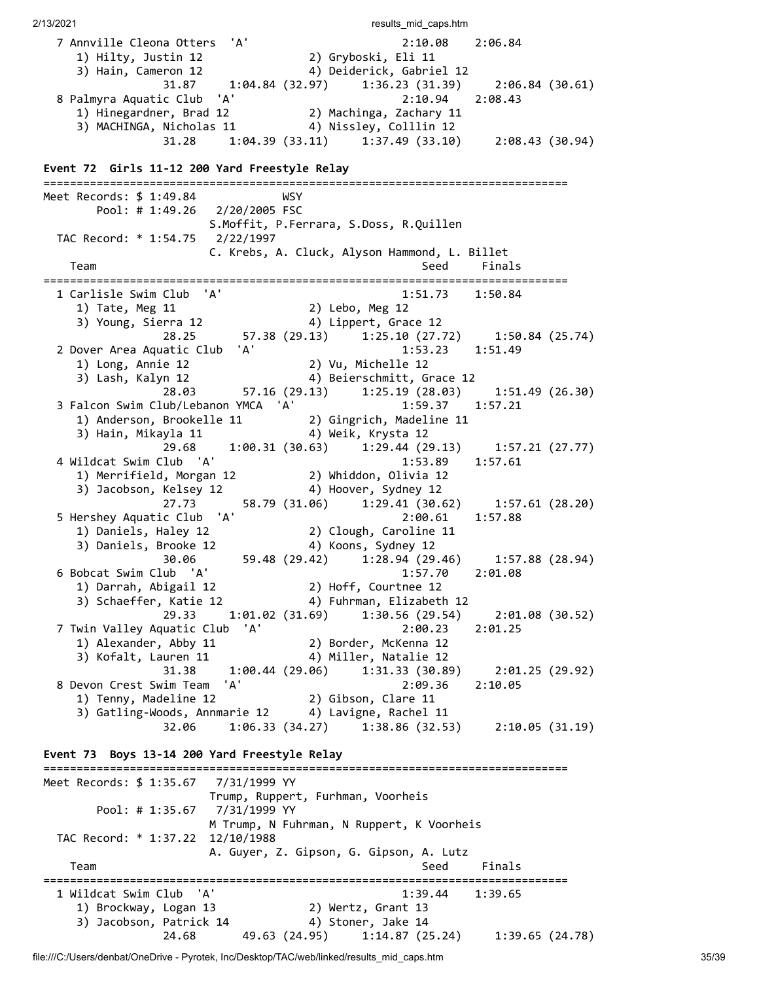2/13/2021 **results** mid caps.htm 7 Annville Cleona Otters 'A' 2:10.08 2:06.84 1) Hilty, Justin 12 2) Gryboski, Eli 11 3) Hain, Cameron 12 4) Deiderick, Gabriel 12 31.87 1:04.84 (32.97) 1:36.23 (31.39) 2:06.84 (30.61) 8 Palmyra Aquatic Club 'A' 2:10.94 2:08.43 1) Hinegardner, Brad 12 2) Machinga, Zachary 11 3) MACHINGA, Nicholas 11 4) Nissley, Colllin 12 31.28 1:04.39 (33.11) 1:37.49 (33.10) 2:08.43 (30.94) **Event 72 Girls 11-12 200 Yard Freestyle Relay** =============================================================================== Meet Records: \$ 1:49.84 WSY Pool: # 1:49.26 2/20/2005 FSC S.Moffit, P.Ferrara, S.Doss, R.Quillen TAC Record: \* 1:54.75 2/22/1997 C. Krebs, A. Cluck, Alyson Hammond, L. Billet Team Seed Finals =============================================================================== 1 Carlisle Swim Club 'A' 1:51.73 1:50.84 1) Tate, Meg 11 2) Lebo, Meg 12 3) Young, Sierra 12 4) Lippert, Grace 12 28.25 57.38 (29.13) 1:25.10 (27.72) 1:50.84 (25.74) 2 Dover Area Aquatic Club 'A' 1:53.23 1:51.49 1) Long, Annie 12 2) Vu, Michelle 12 3) Lash, Kalyn 12 4) Beierschmitt, Grace 12 28.03 57.16 (29.13) 1:25.19 (28.03) 1:51.49 (26.30) 3 Falcon Swim Club/Lebanon YMCA 'A' 1:59.37 1:57.21 1) Anderson, Brookelle 11 2) Gingrich, Madeline 11 3) Hain, Mikayla 11 4) Weik, Krysta 12 29.68 1:00.31 (30.63) 1:29.44 (29.13) 1:57.21 (27.77) 4 Wildcat Swim Club 'A' 1:53.89 1:57.61 1) Merrifield, Morgan 12 2) Whiddon, Olivia 12 3) Jacobson, Kelsey 12 4) Hoover, Sydney 12 27.73 58.79 (31.06) 1:29.41 (30.62) 1:57.61 (28.20) 5 Hershey Aquatic Club 'A' 2:00.61 1:57.88 1) Daniels, Haley 12 2) Clough, Caroline 11 3) Daniels, Brooke 12 4) Koons, Sydney 12 30.06 59.48 (29.42) 1:28.94 (29.46) 1:57.88 (28.94) 6 Bobcat Swim Club 'A' 1:57.70 2:01.08 1) Darrah, Abigail 12 2) Hoff, Courtnee 12 3) Schaeffer, Katie 12 4) Fuhrman, Elizabeth 12 29.33 1:01.02 (31.69) 1:30.56 (29.54) 2:01.08 (30.52) 7 Twin Valley Aquatic Club 'A' 2:00.23 2:01.25 1) Alexander, Abby 11 2) Border, McKenna 12 3) Kofalt, Lauren 11 4) Miller, Natalie 12 31.38 1:00.44 (29.06) 1:31.33 (30.89) 2:01.25 (29.92) 8 Devon Crest Swim Team 'A' 2:09.36 2:10.05 1) Tenny, Madeline 12 2) Gibson, Clare 11 3) Gatling-Woods, Annmarie 12 4) Lavigne, Rachel 11 32.06 1:06.33 (34.27) 1:38.86 (32.53) 2:10.05 (31.19) **Event 73 Boys 13-14 200 Yard Freestyle Relay** =============================================================================== Meet Records: \$ 1:35.67 7/31/1999 YY Trump, Ruppert, Furhman, Voorheis Pool: # 1:35.67 7/31/1999 YY M Trump, N Fuhrman, N Ruppert, K Voorheis TAC Record: \* 1:37.22 12/10/1988 A. Guyer, Z. Gipson, G. Gipson, A. Lutz Team Seed Finals =============================================================================== 1 Wildcat Swim Club 'A' 1:39.44 1:39.65 1) Brockway, Logan 13 2) Wertz, Grant 13 3) Jacobson, Patrick 14  $\hphantom{\ddots}$  4) Stoner, Jake 14 24.68 49.63 (24.95) 1:14.87 (25.24) 1:39.65 (24.78)

file:///C:/Users/denbat/OneDrive - Pyrotek, Inc/Desktop/TAC/web/linked/results\_mid\_caps.htm 35/39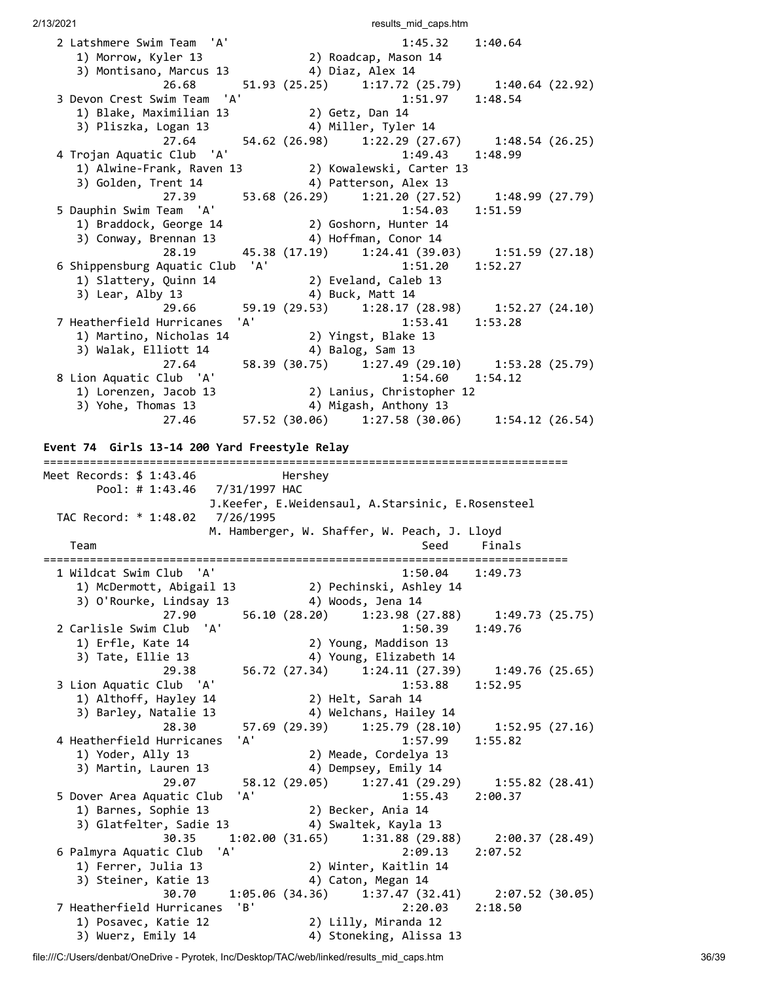2 Latshmere Swim Team 'A' 1:45.32 1:40.64 1) Morrow, Kyler 13 2) Roadcap, Mason 14 3) Montisano, Marcus 13 4) Diaz, Alex 14  $26.68$  51.93 (25.25) 1:17.72 (25.79) 1:40.64 (22.92) 3 Devon Crest Swim Team 'A' 1:51.97 1:48.54 1) Blake, Maximilian 13 2) Getz, Dan 14 3) Pliszka, Logan 13 4) Miller, Tyler 14 27.64 54.62 (26.98) 1:22.29 (27.67) 1:48.54 (26.25) 4 Trojan Aquatic Club 'A' 1:49.43 1:48.99 1) Alwine-Frank, Raven 13 2) Kowalewski, Carter 13 3) Golden, Trent 14  $\hskip1cm$  4) Patterson, Alex 13 27.39 53.68 (26.29) 1:21.20 (27.52) 1:48.99 (27.79) 5 Dauphin Swim Team 'A' 1:54.03 1:51.59 1) Braddock, George 14 2) Goshorn, Hunter 14 3) Conway, Brennan 13 4) Hoffman, Conor 14 28.19 45.38 (17.19) 1:24.41 (39.03) 1:51.59 (27.18) 6 Shippensburg Aquatic Club 'A' 1:51.20 1:52.27 1) Slattery, Quinn 14 2) Eveland, Caleb 13 3) Lear, Alby 13 4) Buck, Matt 14 3) Lear, Alby 13 (29.53) 4) Buck, Matt 14<br>29.66 59.19 (29.53) 1:28.17 (28.98) 1:52.27 (24.10) 7 Heatherfield Hurricanes 'A' 1:53.41 1:53.28 1) Martino, Nicholas 14 2) Yingst, Blake 13 3) Walak, Elliott 14 4) Balog, Sam 13 27.64 58.39 (30.75) 1:27.49 (29.10) 1:53.28 (25.79) 8 Lion Aquatic Club 'A' 1:54.60 1:54.12 1) Lorenzen, Jacob 13 2) Lanius, Christopher 12 3) Yohe, Thomas 13 4) Migash, Anthony 13 27.46 57.52 (30.06) 1:27.58 (30.06) 1:54.12 (26.54) **Event 74 Girls 13-14 200 Yard Freestyle Relay** =============================================================================== Meet Records: \$ 1:43.46 Hershey Pool: # 1:43.46 7/31/1997 HAC J.Keefer, E.Weidensaul, A.Starsinic, E.Rosensteel TAC Record: \* 1:48.02 7/26/1995 M. Hamberger, W. Shaffer, W. Peach, J. Lloyd Team Seed Finals =============================================================================== 1 Wildcat Swim Club 'A' 1:50.04 1:49.73 1) McDermott, Abigail 13 2) Pechinski, Ashley 14 3) O'Rourke, Lindsay 13 4) Woods, Jena 14 27.90 56.10 (28.20) 1:23.98 (27.88) 1:49.73 (25.75) 2 Carlisle Swim Club 'A' 1:50.39 1:49.76 1) Erfle, Kate 14 2) Young, Maddison 13<br>3) Tate, Fllie 13 11 12 11 Voung Elizabeth 14 3) Tate, Ellie 13 4) Young, Elizabeth 14 29.38 56.72 (27.34) 1:24.11 (27.39) 1:49.76 (25.65) 3 Lion Aquatic Club 'A' 1:53.88 1:52.95 1) Althoff, Hayley 14 2) Helt, Sarah 14<br>3) Barley, Natalie 13 4) Welchans, Hailey 14 3) Barley, Natalie 13 4) Welchans, Hailey 14 28.30 57.69 (29.39) 1:25.79 (28.10) 1:52.95 (27.16) 4 Heatherfield Hurricanes 'A' 1:57.99 1:55.82 1) Yoder, Ally 13 2) Meade, Cordelya 13 3) Martin, Lauren 13 4) Dempsey, Emily 14 29.07 58.12 (29.05) 1:27.41 (29.29) 1:55.82 (28.41) 5 Dover Area Aquatic Club 'A' 1:55.43 2:00.37 1) Barnes, Sophie 13 2) Becker, Ania 14 3) Glatfelter, Sadie 13 4) Swaltek, Kayla 13 30.35 1:02.00 (31.65) 1:31.88 (29.88) 2:00.37 (28.49) 6 Palmyra Aquatic Club 'A' 2:09.13 2:07.52 1) Ferrer, Julia 13 2) Winter, Kaitlin 14 3) Steiner, Katie 13 4) Caton, Megan 14 30.70 1:05.06 (34.36) 1:37.47 (32.41) 2:07.52 (30.05) 7 Heatherfield Hurricanes 'B' 2:20.03 2:18.50 1) Posavec, Katie 12 3) Wuerz, Emily 14 (4) Stoneking, Alissa 13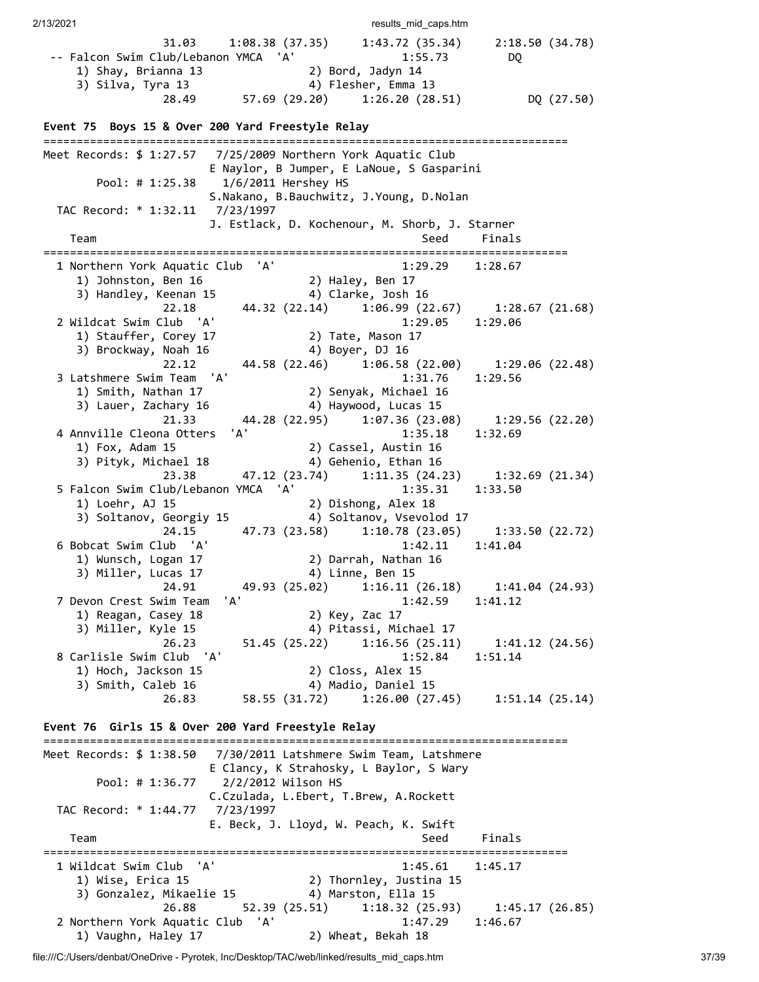2/13/2021 2002 and the caps.html caps.html caps.html caps.html caps.html caps.html caps.html caps.html caps.html caps.html caps.html caps.html caps.html caps.html caps.html caps.html caps.html caps.html caps.html caps.html 31.03 1:08.38 (37.35) 1:43.72 (35.34) 2:18.50 (34.78) -- Falcon Swim Club/Lebanon YMCA 'A' 1:55.73 DQ 1) Shay, Brianna 13 2) Bord, Jadyn 14 3) Silva, Tyra 13 4) Flesher, Emma 13 29.1.2, 20.1.2, 28.49<br>
28.49 57.69 (29.20) 1:26.20 (28.51) DQ (27.50) **Event 75 Boys 15 & Over 200 Yard Freestyle Relay** =============================================================================== Meet Records: \$ 1:27.57 7/25/2009 Northern York Aquatic Club E Naylor, B Jumper, E LaNoue, S Gasparini Pool: # 1:25.38 1/6/2011 Hershey HS S.Nakano, B.Bauchwitz, J.Young, D.Nolan TAC Record: \* 1:32.11 7/23/1997 J. Estlack, D. Kochenour, M. Shorb, J. Starner Team Seed Finals =============================================================================== 1 Northern York Aquatic Club 'A' 1:29.29 1:28.67 1) Johnston, Ben 16 2) Haley, Ben 17 3) Handley, Keenan 15 4) Clarke, Josh 16 22.18 44.32 (22.14) 1:06.99 (22.67) 1:28.67 (21.68) 2 Wildcat Swim Club 'A' 1:29.05 1:29.06 1) Stauffer, Corey 17 2) Tate, Mason 17 3) Brockway, Noah 16 4) Boyer, DJ 16 22.12 44.58 (22.46) 1:06.58 (22.00) 1:29.06 (22.48) 3 Latshmere Swim Team 'A' 1:31.76 1:29.56 1) Smith, Nathan 17 2) Senyak, Michael 16 3) Lauer, Zachary 16 4) Haywood, Lucas 15 21.33 44.28 (22.95) 1:07.36 (23.08) 1:29.56 (22.20) 4 Annville Cleona Otters 'A' 1:35.18 1:32.69 1) Fox, Adam 15 2) Cassel, Austin 16 3) Pityk, Michael 18 4) Gehenio, Ethan 16 23.38 47.12 (23.74) 1:11.35 (24.23) 1:32.69 (21.34) 5 Falcon Swim Club/Lebanon YMCA 'A' 1:35.31 1:33.50 1) Loehr, AJ 15 2) Dishong, Alex 18 3) Soltanov, Georgiy 15 4) Soltanov, Vsevolod 17 24.15 47.73 (23.58) 1:10.78 (23.05) 1:33.50 (22.72) 6 Bobcat Swim Club 'A' 1:42.11 1:41.04 1) Wunsch, Logan 17 2) Darrah, Nathan 16 3) Miller, Lucas 17 (4) Linne, Ben 15 24.91 49.93 (25.02) 1:16.11 (26.18) 1:41.04 (24.93)<br>
Swim Team 'A' 1:42.59 1:41.12 7 Devon Crest Swim Team 'A' 1) Reagan, Casey 18 2) Key, Zac 17 3) Miller, Kyle 15 (4) Pitassi, Michael 17 26.23 51.45 (25.22) 1:16.56 (25.11) 1:41.12 (24.56) 8 Carlisle Swim Club 'A' 1:52.84 1:51.14 1) Hoch, Jackson 15 2) Closs, Alex 15 3) Smith, Caleb 16 4) Madio, Daniel 15 26.83 58.55 (31.72) 1:26.00 (27.45) 1:51.14 (25.14) **Event 76 Girls 15 & Over 200 Yard Freestyle Relay** =============================================================================== Meet Records: \$ 1:38.50 7/30/2011 Latshmere Swim Team, Latshmere E Clancy, K Strahosky, L Baylor, S Wary Pool: # 1:36.77 2/2/2012 Wilson HS C.Czulada, L.Ebert, T.Brew, A.Rockett TAC Record: \* 1:44.77 7/23/1997 E. Beck, J. Lloyd, W. Peach, K. Swift Team Seed Finals =============================================================================== 1 Wildcat Swim Club 'A' 1:45.61 1:45.17 1) Wise, Erica 15 2) Thornley, Justina 15 3) Gonzalez, Mikaelie 15 4) Marston, Ella 15 26.88 52.39 (25.51) 1:18.32 (25.93) 1:45.17 (26.85) 2 Northern York Aquatic Club 'A' 1:47.29 1:46.67 1) Vaughn, Haley 17 2) Wheat, Bekah 18

file:///C:/Users/denbat/OneDrive - Pyrotek, Inc/Desktop/TAC/web/linked/results\_mid\_caps.htm 37/39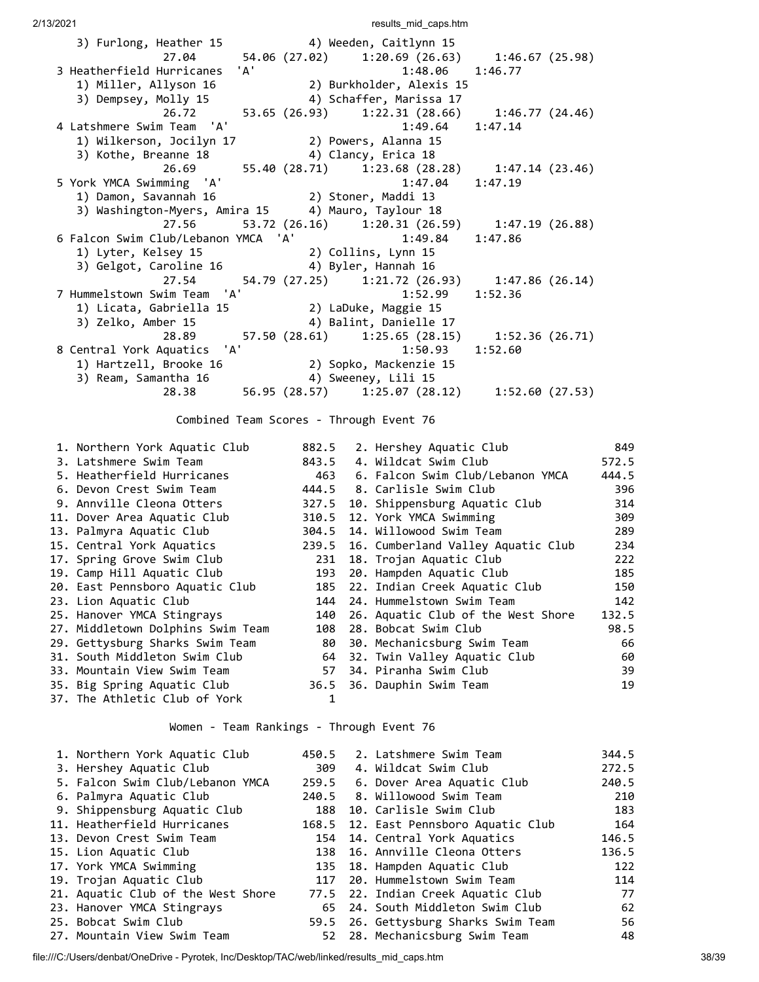| 3) Furlong, Heather 15                             | 4) Weeden, Caitlynn 15   |                                                     |
|----------------------------------------------------|--------------------------|-----------------------------------------------------|
|                                                    |                          | 27.04 54.06 (27.02) 1:20.69 (26.63) 1:46.67 (25.98) |
| 3 Heatherfield Hurricanes 'A'                      | 1:48.06                  | 1:46.77                                             |
| 1) Miller, Allyson 16                              | 2) Burkholder, Alexis 15 |                                                     |
| 3) Dempsey, Molly 15                               | 4) Schaffer, Marissa 17  |                                                     |
| 26.72                                              |                          | 53.65 (26.93) 1:22.31 (28.66) 1:46.77 (24.46)       |
| 4 Latshmere Swim Team 'A'                          | 1:49.64                  | 1:47.14                                             |
| 1) Wilkerson, Jocilyn 17                           | 2) Powers, Alanna 15     |                                                     |
| 3) Kothe, Breanne 18                               | 4) Clancy, Erica 18      |                                                     |
|                                                    |                          | 26.69 55.40 (28.71) 1:23.68 (28.28) 1:47.14 (23.46) |
| 5 York YMCA Swimming 'A'                           | 1:47.04                  | 1:47.19                                             |
|                                                    |                          |                                                     |
| 3) Washington-Myers, Amira 15 4) Mauro, Taylour 18 |                          |                                                     |
|                                                    |                          | 27.56 53.72 (26.16) 1:20.31 (26.59) 1:47.19 (26.88) |
| 6 Falcon Swim Club/Lebanon YMCA 'A' 1:49.84        |                          | 1:47.86                                             |
| 1) Lyter, Kelsey 15                                | 2) Collins, Lynn 15      |                                                     |
| 3) Gelgot, Caroline 16 (4) Byler, Hannah 16        |                          |                                                     |
|                                                    |                          | 27.54 54.79 (27.25) 1:21.72 (26.93) 1:47.86 (26.14) |
| 7 Hummelstown Swim Team 'A'                        | 1:52.99                  | 1:52.36                                             |
| 1) Licata, Gabriella 15 (2) LaDuke, Maggie 15      |                          |                                                     |
| 3) Zelko, Amber 15 (2015) 4) Balint, Danielle 17   |                          |                                                     |
|                                                    |                          |                                                     |
| 28.89                                              |                          | 57.50 (28.61) 1:25.65 (28.15) 1:52.36 (26.71)       |
| 8 Central York Aquatics 'A'                        | 1:50.93                  | 1:52.60                                             |
| 1) Hartzell, Brooke 16 (2) Sopko, Mackenzie 15     |                          |                                                     |
| 3) Ream, Samantha 16                               | 4) Sweeney, Lili 15      | 28.38 56.95 (28.57) 1:25.07 (28.12) 1:52.60 (27.53) |

Combined Team Scores - Through Event 76

| 1. Northern York Aquatic Club     | 882.5 | 2. Hershey Aquatic Club            | 849   |
|-----------------------------------|-------|------------------------------------|-------|
| 3. Latshmere Swim Team            | 843.5 | 4. Wildcat Swim Club               | 572.5 |
| 5. Heatherfield Hurricanes        | 463   | 6. Falcon Swim Club/Lebanon YMCA   | 444.5 |
| 6. Devon Crest Swim Team          |       | 444.5 8. Carlisle Swim Club        | 396   |
| 9. Annville Cleona Otters         | 327.5 | 10. Shippensburg Aquatic Club      | 314   |
| 11. Dover Area Aquatic Club       | 310.5 | 12. York YMCA Swimming             | 309   |
| 13. Palmyra Aquatic Club          | 304.5 | 14. Willowood Swim Team            | 289   |
| 15. Central York Aquatics         | 239.5 | 16. Cumberland Valley Aquatic Club | 234   |
| 17. Spring Grove Swim Club        | 231   | 18. Trojan Aquatic Club            | 222   |
| 19. Camp Hill Aquatic Club        | 193   | 20. Hampden Aquatic Club           | 185   |
| 20. East Pennsboro Aquatic Club   | 185   | 22. Indian Creek Aquatic Club      | 150   |
| 23. Lion Aquatic Club             | 144   | 24. Hummelstown Swim Team          | 142   |
| 25. Hanover YMCA Stingrays        | 140   | 26. Aquatic Club of the West Shore | 132.5 |
| 27. Middletown Dolphins Swim Team | 108   | 28. Bobcat Swim Club               | 98.5  |
| 29. Gettysburg Sharks Swim Team   | 80    | 30. Mechanicsburg Swim Team        | 66    |
| 31. South Middleton Swim Club     | 64    | 32. Twin Valley Aquatic Club       | 60    |
| 33. Mountain View Swim Team       | 57    | 34. Piranha Swim Club              | 39    |
| 35. Big Spring Aquatic Club       |       | 36.5 36. Dauphin Swim Team         | 19    |
| 37. The Athletic Club of York     |       |                                    |       |

Women - Team Rankings - Through Event 76

| 1. Northern York Aquatic Club      | 450.5 | 2. Latshmere Swim Team                | 344.5 |
|------------------------------------|-------|---------------------------------------|-------|
| 3. Hershey Aquatic Club            | 309   | 4. Wildcat Swim Club                  | 272.5 |
| 5. Falcon Swim Club/Lebanon YMCA   |       | 259.5 6. Dover Area Aquatic Club      | 240.5 |
| 6. Palmyra Aquatic Club            | 240.5 | 8. Willowood Swim Team                | 210   |
| 9. Shippensburg Aquatic Club       | 188   | 10. Carlisle Swim Club                | 183   |
| 11. Heatherfield Hurricanes        |       | 168.5 12. East Pennsboro Aquatic Club | 164   |
| 13. Devon Crest Swim Team          |       | 154 14. Central York Aquatics         | 146.5 |
| 15. Lion Aquatic Club              |       | 138 16. Annville Cleona Otters        | 136.5 |
| 17. York YMCA Swimming             |       | 135 18. Hampden Aquatic Club          | 122   |
| 19. Trojan Aquatic Club            |       | 117 20. Hummelstown Swim Team         | 114   |
| 21. Aquatic Club of the West Shore |       | 77.5 22. Indian Creek Aquatic Club    | 77    |
| 23. Hanover YMCA Stingrays         |       | 65 24. South Middleton Swim Club      | 62    |
| 25. Bobcat Swim Club               |       | 59.5 26. Gettysburg Sharks Swim Team  | 56    |
| 27. Mountain View Swim Team        |       | 52 28. Mechanicsburg Swim Team        | 48    |

file:///C:/Users/denbat/OneDrive - Pyrotek, Inc/Desktop/TAC/web/linked/results\_mid\_caps.htm 38/39